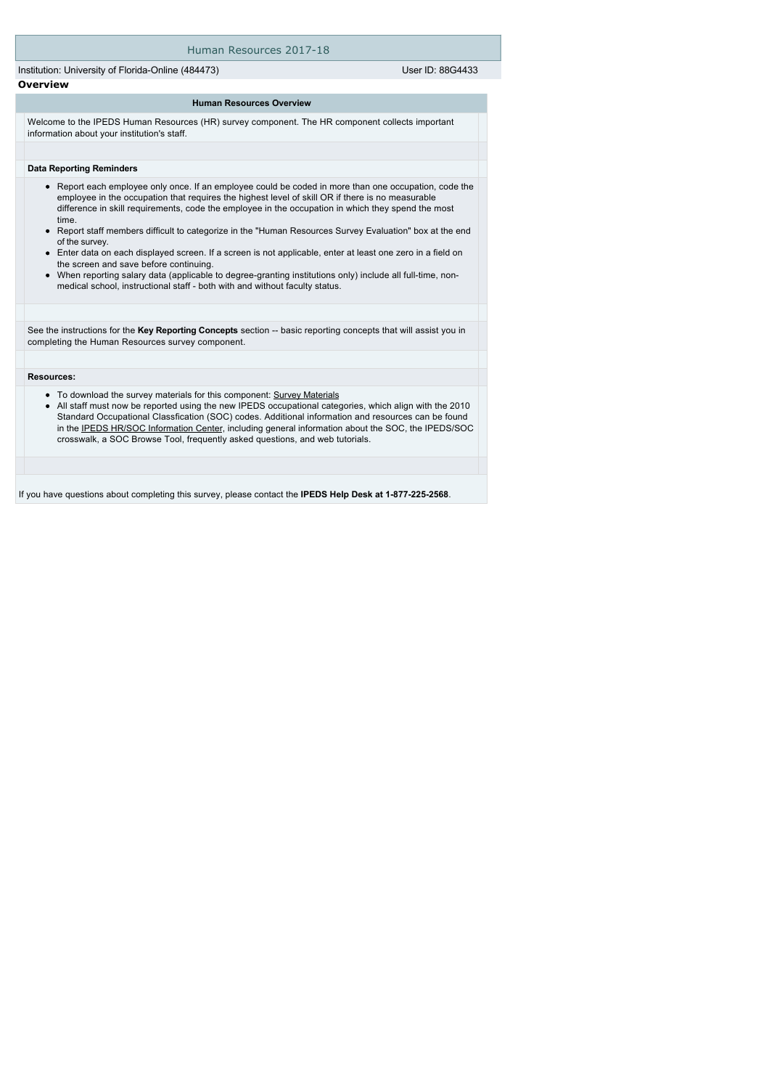### Human Resources 2017-18

Institution: University of Florida-Online (484473) User ID: 88G4433 **Overview**

#### **Human Resources Overview**

Welcome to the IPEDS Human Resources (HR) survey component. The HR component collects important information about your institution's staff.

#### **Data Reporting Reminders**

- Report each employee only once. If an employee could be coded in more than one occupation, code the employee in the occupation that requires the highest level of skill OR if there is no measurable difference in skill requirements, code the employee in the occupation in which they spend the most time.
- Report staff members difficult to categorize in the "Human Resources Survey Evaluation" box at the end of the survey.
- Enter data on each displayed screen. If a screen is not applicable, enter at least one zero in a field on the screen and save before continuing.
- When reporting salary data (applicable to degree-granting institutions only) include all full-time, nonmedical school, instructional staff - both with and without faculty status.

See the instructions for the Key Reporting Concepts section -- basic reporting concepts that will assist you in completing the Human Resources survey component.

#### **Resources:**

- To download the survey materials for this component: [Survey Materials](https://surveys.nces.ed.gov/ipeds/VisIndex.aspx)
- $\bullet$ All staff must now be reported using the new IPEDS occupational categories, which align with the 2010 Standard Occupational Classfication (SOC) codes. Additional information and resources can be found in the [IPEDS HR/SOC Information Center](http://nces.ed.gov/ipeds/Section/resources_soc), including general information about the SOC, the IPEDS/SOC crosswalk, a SOC Browse Tool, frequently asked questions, and web tutorials.

If you have questions about completing this survey, please contact the **IPEDS Help Desk at 1-877-225-2568**.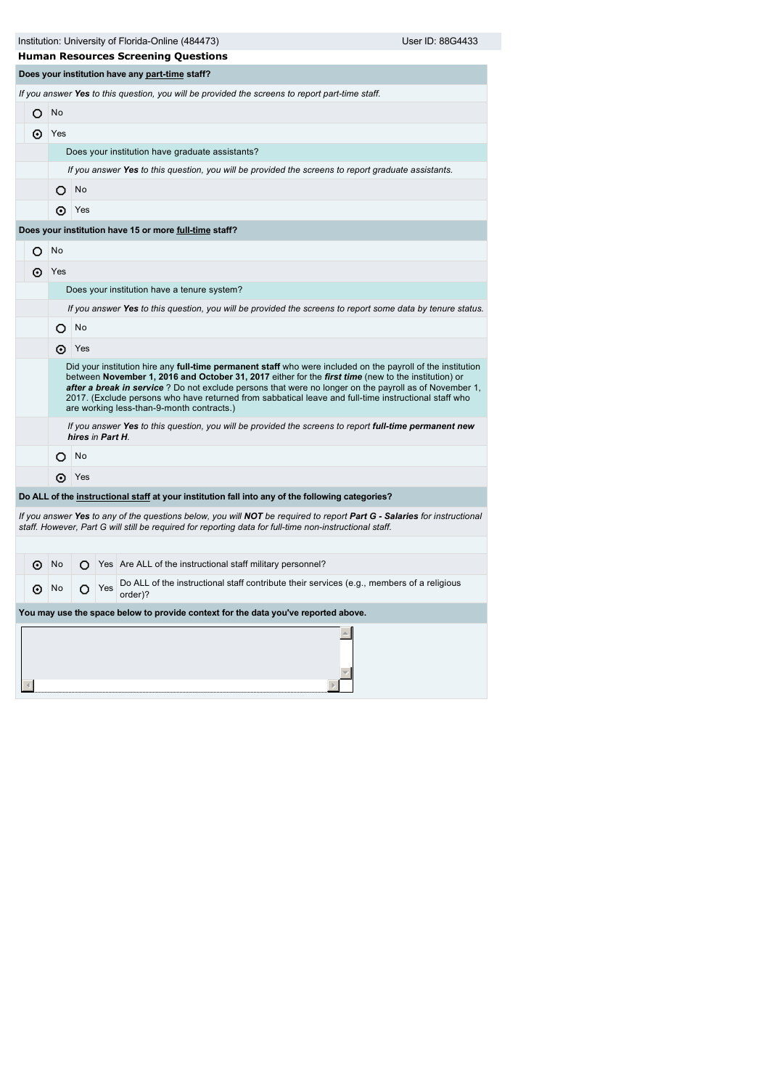| Institution: University of Florida-Online (484473) | User ID: 88G4433 |
|----------------------------------------------------|------------------|
|                                                    |                  |

 $\overline{4}$ 

| <b>Human Resources Screening Questions</b>             |                                                                                                                                                                                                                                                                                                                                                                                                                                                                                  |                  |     |                                                                                                                                                                                                                                    |  |  |  |  |  |  |  |
|--------------------------------------------------------|----------------------------------------------------------------------------------------------------------------------------------------------------------------------------------------------------------------------------------------------------------------------------------------------------------------------------------------------------------------------------------------------------------------------------------------------------------------------------------|------------------|-----|------------------------------------------------------------------------------------------------------------------------------------------------------------------------------------------------------------------------------------|--|--|--|--|--|--|--|
|                                                        |                                                                                                                                                                                                                                                                                                                                                                                                                                                                                  |                  |     | Does your institution have any part-time staff?                                                                                                                                                                                    |  |  |  |  |  |  |  |
|                                                        |                                                                                                                                                                                                                                                                                                                                                                                                                                                                                  |                  |     | If you answer Yes to this question, you will be provided the screens to report part-time staff.                                                                                                                                    |  |  |  |  |  |  |  |
| О                                                      | No                                                                                                                                                                                                                                                                                                                                                                                                                                                                               |                  |     |                                                                                                                                                                                                                                    |  |  |  |  |  |  |  |
| ⊙                                                      | Yes                                                                                                                                                                                                                                                                                                                                                                                                                                                                              |                  |     |                                                                                                                                                                                                                                    |  |  |  |  |  |  |  |
|                                                        |                                                                                                                                                                                                                                                                                                                                                                                                                                                                                  |                  |     | Does your institution have graduate assistants?                                                                                                                                                                                    |  |  |  |  |  |  |  |
|                                                        |                                                                                                                                                                                                                                                                                                                                                                                                                                                                                  |                  |     | If you answer Yes to this question, you will be provided the screens to report graduate assistants.                                                                                                                                |  |  |  |  |  |  |  |
|                                                        | O                                                                                                                                                                                                                                                                                                                                                                                                                                                                                | No               |     |                                                                                                                                                                                                                                    |  |  |  |  |  |  |  |
|                                                        | ⊙                                                                                                                                                                                                                                                                                                                                                                                                                                                                                | Yes              |     |                                                                                                                                                                                                                                    |  |  |  |  |  |  |  |
| Does your institution have 15 or more full-time staff? |                                                                                                                                                                                                                                                                                                                                                                                                                                                                                  |                  |     |                                                                                                                                                                                                                                    |  |  |  |  |  |  |  |
| O                                                      | No                                                                                                                                                                                                                                                                                                                                                                                                                                                                               |                  |     |                                                                                                                                                                                                                                    |  |  |  |  |  |  |  |
| ⊙                                                      | Yes                                                                                                                                                                                                                                                                                                                                                                                                                                                                              |                  |     |                                                                                                                                                                                                                                    |  |  |  |  |  |  |  |
|                                                        | Does your institution have a tenure system?                                                                                                                                                                                                                                                                                                                                                                                                                                      |                  |     |                                                                                                                                                                                                                                    |  |  |  |  |  |  |  |
|                                                        | If you answer Yes to this question, you will be provided the screens to report some data by tenure status.                                                                                                                                                                                                                                                                                                                                                                       |                  |     |                                                                                                                                                                                                                                    |  |  |  |  |  |  |  |
|                                                        | O                                                                                                                                                                                                                                                                                                                                                                                                                                                                                | No               |     |                                                                                                                                                                                                                                    |  |  |  |  |  |  |  |
|                                                        | ⊙                                                                                                                                                                                                                                                                                                                                                                                                                                                                                | Yes              |     |                                                                                                                                                                                                                                    |  |  |  |  |  |  |  |
|                                                        | Did your institution hire any full-time permanent staff who were included on the payroll of the institution<br>between November 1, 2016 and October 31, 2017 either for the first time (new to the institution) or<br>after a break in service? Do not exclude persons that were no longer on the payroll as of November 1,<br>2017. (Exclude persons who have returned from sabbatical leave and full-time instructional staff who<br>are working less-than-9-month contracts.) |                  |     |                                                                                                                                                                                                                                    |  |  |  |  |  |  |  |
|                                                        |                                                                                                                                                                                                                                                                                                                                                                                                                                                                                  | hires in Part H. |     | If you answer Yes to this question, you will be provided the screens to report full-time permanent new                                                                                                                             |  |  |  |  |  |  |  |
|                                                        | O                                                                                                                                                                                                                                                                                                                                                                                                                                                                                | No               |     |                                                                                                                                                                                                                                    |  |  |  |  |  |  |  |
|                                                        | ⊙                                                                                                                                                                                                                                                                                                                                                                                                                                                                                | Yes              |     |                                                                                                                                                                                                                                    |  |  |  |  |  |  |  |
|                                                        |                                                                                                                                                                                                                                                                                                                                                                                                                                                                                  |                  |     | Do ALL of the instructional staff at your institution fall into any of the following categories?                                                                                                                                   |  |  |  |  |  |  |  |
|                                                        |                                                                                                                                                                                                                                                                                                                                                                                                                                                                                  |                  |     | If you answer Yes to any of the questions below, you will NOT be required to report Part G - Salaries for instructional<br>staff. However, Part G will still be required for reporting data for full-time non-instructional staff. |  |  |  |  |  |  |  |
|                                                        |                                                                                                                                                                                                                                                                                                                                                                                                                                                                                  |                  |     |                                                                                                                                                                                                                                    |  |  |  |  |  |  |  |
| ⊙                                                      | No                                                                                                                                                                                                                                                                                                                                                                                                                                                                               | О                |     | Yes Are ALL of the instructional staff military personnel?                                                                                                                                                                         |  |  |  |  |  |  |  |
| ⊙                                                      | No                                                                                                                                                                                                                                                                                                                                                                                                                                                                               | O                | Yes | Do ALL of the instructional staff contribute their services (e.g., members of a religious<br>order)?                                                                                                                               |  |  |  |  |  |  |  |
|                                                        |                                                                                                                                                                                                                                                                                                                                                                                                                                                                                  |                  |     | You may use the space below to provide context for the data you've reported above.                                                                                                                                                 |  |  |  |  |  |  |  |
|                                                        |                                                                                                                                                                                                                                                                                                                                                                                                                                                                                  |                  |     |                                                                                                                                                                                                                                    |  |  |  |  |  |  |  |

 $\overline{\mathbf{v}}$  $\overline{\mathbb{R}}$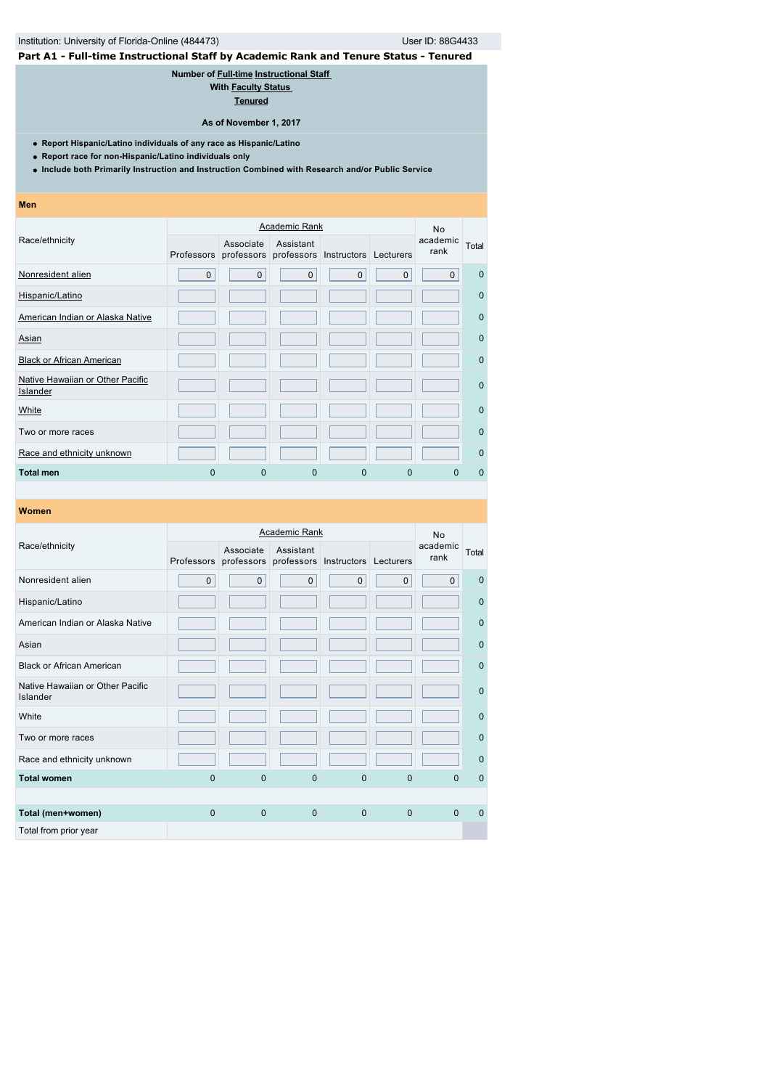# Institution: University of Florida-Online (484473) User ID: 88G4433

# **Part A1 - Full-time Instructional Staff by Academic Rank and Tenure Status - Tenured**

**Number of [Full-time](javascript:openglossary(257)) [Instructional Staff](javascript:openglossary(996))** 

**With [Faculty Status](javascript:openglossary(1009))** 

**[Tenured](javascript:openglossary(639))**

**As of November 1, 2017**

**Report Hispanic/Latino individuals of any race as Hispanic/Latino**

**Report race for non-Hispanic/Latino individuals only**

**Include both Primarily Instruction and Instruction Combined with Research and/or Public Service**

**Men**

|                                              |             |                                                           | <b>Academic Rank</b> |             |             | <b>No</b>        |             |
|----------------------------------------------|-------------|-----------------------------------------------------------|----------------------|-------------|-------------|------------------|-------------|
| Race/ethnicity                               |             | Associate<br>Professors professors professors Instructors | Assistant            |             | Lecturers   | academic<br>rank | Total       |
| Nonresident alien                            | $\mathbf 0$ | $\mathbf{0}$                                              | $\mathbf 0$          | $\mathbf 0$ | $\mathbf 0$ | $\mathbf{0}$     | $\Omega$    |
| Hispanic/Latino                              |             |                                                           |                      |             |             |                  | $\mathbf 0$ |
| American Indian or Alaska Native             |             |                                                           |                      |             |             |                  | $\mathbf 0$ |
| Asian                                        |             |                                                           |                      |             |             |                  | $\mathbf 0$ |
| <b>Black or African American</b>             |             |                                                           |                      |             |             |                  | $\mathbf 0$ |
| Native Hawaiian or Other Pacific<br>Islander |             |                                                           |                      |             |             |                  | $\mathbf 0$ |
| White                                        |             |                                                           |                      |             |             |                  | $\Omega$    |
| Two or more races                            |             |                                                           |                      |             |             |                  | $\Omega$    |
| Race and ethnicity unknown                   |             |                                                           |                      |             |             |                  | $\Omega$    |
| <b>Total men</b>                             | $\Omega$    | $\Omega$                                                  | 0                    | 0           | $\mathbf 0$ | <sup>0</sup>     | $\Omega$    |

|                                              |              |              | <b>Academic Rank</b> |                                  |             | <b>No</b>        |              |
|----------------------------------------------|--------------|--------------|----------------------|----------------------------------|-------------|------------------|--------------|
| Race/ethnicity                               |              | Associate    | Assistant            |                                  |             | academic<br>rank | Total        |
|                                              | Professors   | professors   |                      | professors Instructors Lecturers |             |                  |              |
| Nonresident alien                            | $\mathbf 0$  | $\mathbf{0}$ | $\Omega$             | $\mathbf{0}$                     | $\mathbf 0$ | $\mathbf 0$      | $\Omega$     |
| Hispanic/Latino                              |              |              |                      |                                  |             |                  | $\mathbf{0}$ |
| American Indian or Alaska Native             |              |              |                      |                                  |             |                  | $\mathbf{0}$ |
| Asian                                        |              |              |                      |                                  |             |                  | $\mathbf{0}$ |
| <b>Black or African American</b>             |              |              |                      |                                  |             |                  | $\mathbf{0}$ |
| Native Hawaiian or Other Pacific<br>Islander |              |              |                      |                                  |             |                  | $\mathbf{0}$ |
| White                                        |              |              |                      |                                  |             |                  | $\mathbf{0}$ |
| Two or more races                            |              |              |                      |                                  |             |                  | $\mathbf{0}$ |
| Race and ethnicity unknown                   |              |              |                      |                                  |             |                  | $\mathbf{0}$ |
| <b>Total women</b>                           | $\Omega$     | $\Omega$     | $\Omega$             | $\Omega$                         | $\Omega$    | $\Omega$         | $\mathbf{0}$ |
|                                              |              |              |                      |                                  |             |                  |              |
| Total (men+women)                            | $\mathbf{0}$ | $\mathbf{0}$ | $\mathbf{0}$         | $\mathbf{0}$                     | $\mathbf 0$ | $\Omega$         | $\Omega$     |
| Total from prior year                        |              |              |                      |                                  |             |                  |              |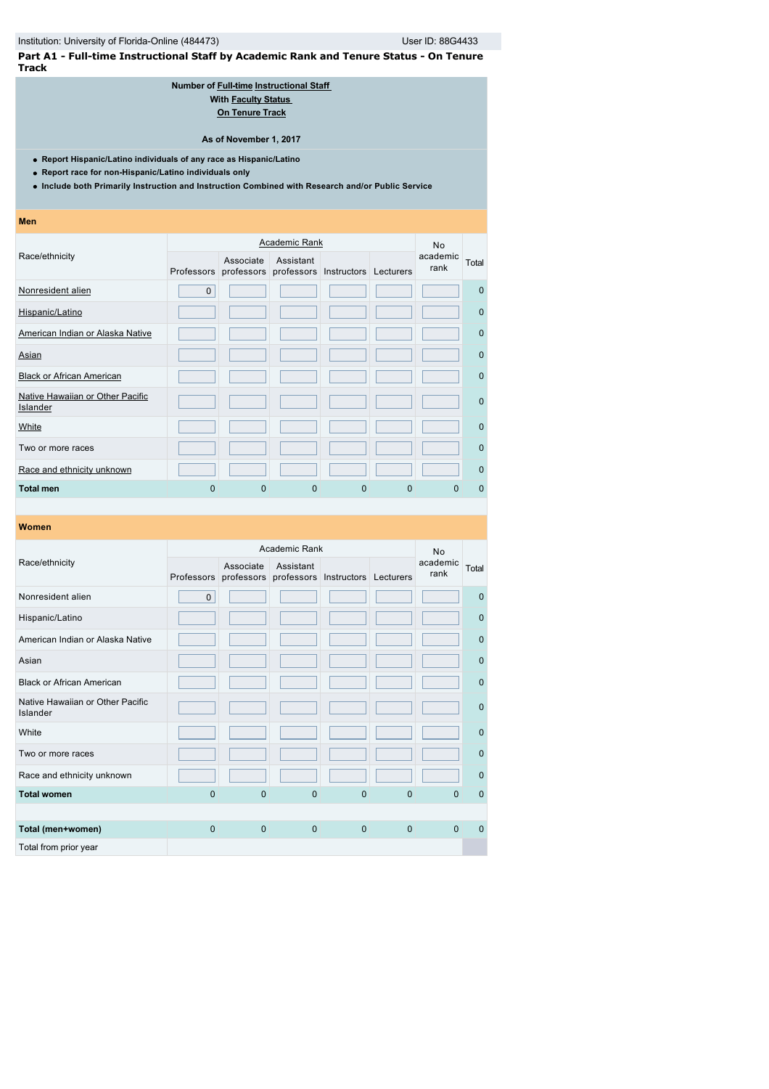**Part A1 - Full-time Instructional Staff by Academic Rank and Tenure Status - On Tenure Track**

### **Number of [Full-time](javascript:openglossary(257)) [Instructional Staff](javascript:openglossary(996))  With [Faculty Status](javascript:openglossary(1009))  [On Tenure Track](javascript:openglossary(641))**

**As of November 1, 2017**

- **Report Hispanic/Latino individuals of any race as Hispanic/Latino**
- **Report race for non-Hispanic/Latino individuals only**
- **Include both Primarily Instruction and Instruction Combined with Research and/or Public Service**

| <b>Men</b>                                   |              |                                                                     |                      |   |          |                  |              |
|----------------------------------------------|--------------|---------------------------------------------------------------------|----------------------|---|----------|------------------|--------------|
|                                              |              |                                                                     | <b>Academic Rank</b> |   |          | <b>No</b>        |              |
| Race/ethnicity                               |              | Associate<br>Professors professors professors Instructors Lecturers | Assistant            |   |          | academic<br>rank | Total        |
| Nonresident alien                            | $\mathbf{0}$ |                                                                     |                      |   |          |                  | $\mathbf{0}$ |
| Hispanic/Latino                              |              |                                                                     |                      |   |          |                  | $\mathbf{0}$ |
| American Indian or Alaska Native             |              |                                                                     |                      |   |          |                  | $\mathbf{0}$ |
| Asian                                        |              |                                                                     |                      |   |          |                  | $\Omega$     |
| <b>Black or African American</b>             |              |                                                                     |                      |   |          |                  | $\mathbf{0}$ |
| Native Hawaiian or Other Pacific<br>Islander |              |                                                                     |                      |   |          |                  | $\mathbf{0}$ |
| White                                        |              |                                                                     |                      |   |          |                  | $\mathbf{0}$ |
| Two or more races                            |              |                                                                     |                      |   |          |                  | $\mathbf{0}$ |
| Race and ethnicity unknown                   |              |                                                                     |                      |   |          |                  | $\Omega$     |
| <b>Total men</b>                             | $\Omega$     | $\Omega$                                                            | $\Omega$             | 0 | $\Omega$ | <sup>0</sup>     | $\Omega$     |

| Women                                        |              |                         |               |                                  |                |                  |              |
|----------------------------------------------|--------------|-------------------------|---------------|----------------------------------|----------------|------------------|--------------|
|                                              |              |                         | Academic Rank |                                  |                | <b>No</b>        |              |
| Race/ethnicity                               | Professors   | Associate<br>professors | Assistant     | professors Instructors Lecturers |                | academic<br>rank | Total        |
| Nonresident alien                            | $\mathbf 0$  |                         |               |                                  |                |                  | $\Omega$     |
| Hispanic/Latino                              |              |                         |               |                                  |                |                  | $\mathbf 0$  |
| American Indian or Alaska Native             |              |                         |               |                                  |                |                  | $\mathbf{0}$ |
| Asian                                        |              |                         |               |                                  |                |                  | $\mathbf{0}$ |
| <b>Black or African American</b>             |              |                         |               |                                  |                |                  | $\mathbf{0}$ |
| Native Hawaiian or Other Pacific<br>Islander |              |                         |               |                                  |                |                  | $\mathbf{0}$ |
| White                                        |              |                         |               |                                  |                |                  | $\mathbf{0}$ |
| Two or more races                            |              |                         |               |                                  |                |                  | $\mathbf{0}$ |
| Race and ethnicity unknown                   |              |                         |               |                                  |                |                  | $\Omega$     |
| <b>Total women</b>                           | $\Omega$     | $\Omega$                | $\Omega$      | $\Omega$                         | $\overline{0}$ | $\Omega$         | $\mathbf 0$  |
|                                              |              |                         |               |                                  |                |                  |              |
| Total (men+women)                            | $\mathbf{0}$ | $\mathbf{0}$            | $\mathbf{0}$  | $\mathbf{0}$                     | $\mathbf 0$    | $\Omega$         | $\mathbf 0$  |
| Total from prior year                        |              |                         |               |                                  |                |                  |              |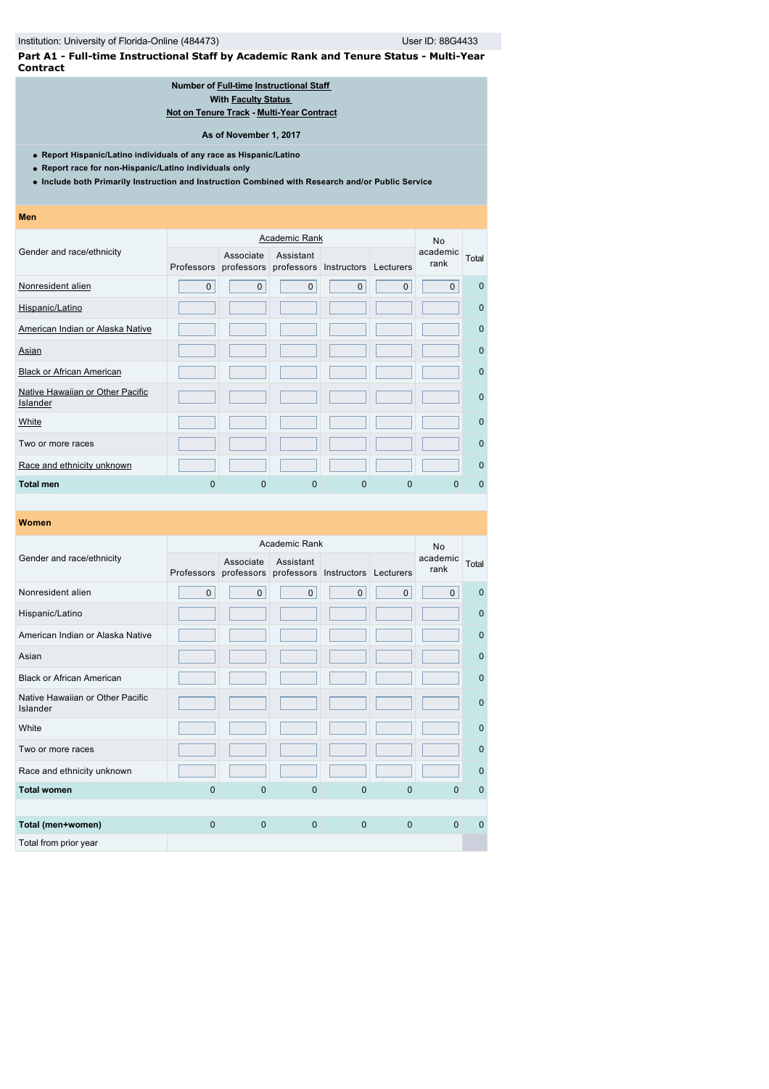**Part A1 - Full-time Instructional Staff by Academic Rank and Tenure Status - Multi-Year Contract**

# **Number of [Full-time](javascript:openglossary(257)) [Instructional Staff](javascript:openglossary(996))  With [Faculty Status](javascript:openglossary(1009))**

**[Not on Tenure Track](javascript:openglossary(966)) - [Multi-Year Contract](javascript:openglossary(981))**

**As of November 1, 2017**

**Report Hispanic/Latino individuals of any race as Hispanic/Latino**

**Report race for non-Hispanic/Latino individuals only**

**Include both Primarily Instruction and Instruction Combined with Research and/or Public Service**

**Men**

|                                              |             | <b>Academic Rank</b>                                                |              |          |             |                  |              |  |
|----------------------------------------------|-------------|---------------------------------------------------------------------|--------------|----------|-------------|------------------|--------------|--|
| Gender and race/ethnicity                    |             | Associate<br>Professors professors professors Instructors Lecturers | Assistant    |          |             | academic<br>rank | Total        |  |
| Nonresident alien                            | $\mathbf 0$ | $\mathbf{0}$                                                        | $\mathbf{0}$ | $\Omega$ | $\mathbf 0$ | $\Omega$         | $\Omega$     |  |
| Hispanic/Latino                              |             |                                                                     |              |          |             |                  | $\Omega$     |  |
| American Indian or Alaska Native             |             |                                                                     |              |          |             |                  | $\mathbf 0$  |  |
| <u>Asian</u>                                 |             |                                                                     |              |          |             |                  | $\Omega$     |  |
| <b>Black or African American</b>             |             |                                                                     |              |          |             |                  | $\Omega$     |  |
| Native Hawaiian or Other Pacific<br>Islander |             |                                                                     |              |          |             |                  | $\mathbf 0$  |  |
| White                                        |             |                                                                     |              |          |             |                  | $\mathbf{0}$ |  |
| Two or more races                            |             |                                                                     |              |          |             |                  | $\Omega$     |  |
| Race and ethnicity unknown                   |             |                                                                     |              |          |             |                  | $\mathbf 0$  |  |
| Total men                                    | $\Omega$    | 0                                                                   | 0            | 0        | 0           | 0                | $\Omega$     |  |

|                                              |              |                                    | Academic Rank |                                  |                | <b>No</b>        |              |
|----------------------------------------------|--------------|------------------------------------|---------------|----------------------------------|----------------|------------------|--------------|
| Gender and race/ethnicity                    |              | Associate<br>Professors professors | Assistant     | professors Instructors Lecturers |                | academic<br>rank | Total        |
| Nonresident alien                            | $\mathbf 0$  | $\mathbf{0}$                       | $\mathbf 0$   | $\mathbf{0}$                     | $\mathbf 0$    | $\mathbf{0}$     | $\mathbf 0$  |
| Hispanic/Latino                              |              |                                    |               |                                  |                |                  | $\mathbf 0$  |
| American Indian or Alaska Native             |              |                                    |               |                                  |                |                  | $\mathbf 0$  |
| Asian                                        |              |                                    |               |                                  |                |                  | $\mathbf{0}$ |
| <b>Black or African American</b>             |              |                                    |               |                                  |                |                  | $\mathbf 0$  |
| Native Hawaiian or Other Pacific<br>Islander |              |                                    |               |                                  |                |                  | $\mathbf{0}$ |
| White                                        |              |                                    |               |                                  |                |                  | $\mathbf{0}$ |
| Two or more races                            |              |                                    |               |                                  |                |                  | $\Omega$     |
| Race and ethnicity unknown                   |              |                                    |               |                                  |                |                  | $\mathbf{0}$ |
| <b>Total women</b>                           | $\mathbf 0$  | $\mathbf{0}$                       | $\mathbf{0}$  | $\mathbf{0}$                     | $\overline{0}$ | $\Omega$         | $\mathbf 0$  |
|                                              |              |                                    |               |                                  |                |                  |              |
| Total (men+women)                            | $\mathbf{0}$ | $\mathbf{0}$                       | $\mathbf{0}$  | $\mathbf{0}$                     | $\mathbf{0}$   | $\Omega$         | $\mathbf 0$  |
| Total from prior year                        |              |                                    |               |                                  |                |                  |              |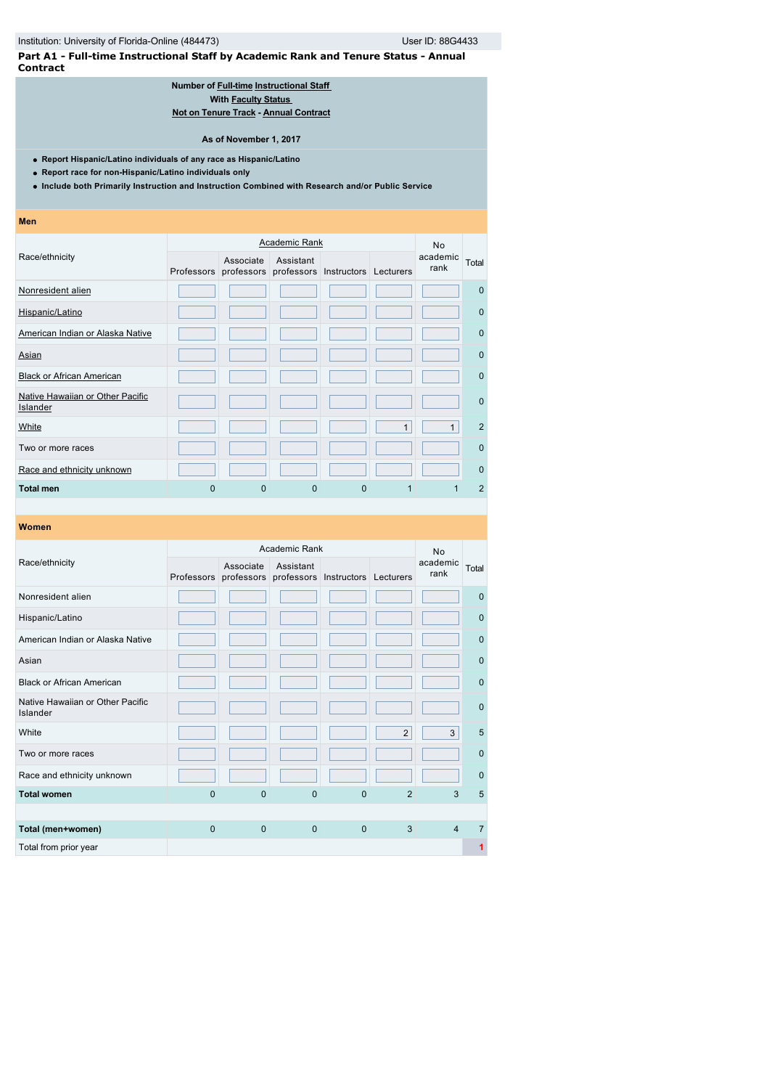**Part A1 - Full-time Instructional Staff by Academic Rank and Tenure Status - Annual Contract**

### **Number of [Full-time](javascript:openglossary(257)) [Instructional Staff](javascript:openglossary(996))  With [Faculty Status](javascript:openglossary(1009))  [Not on Tenure Track](javascript:openglossary(966)) - [Annual Contract](javascript:openglossary(979))**

**As of November 1, 2017**

- **Report Hispanic/Latino individuals of any race as Hispanic/Latino**
- **Report race for non-Hispanic/Latino individuals only**
- **Include both Primarily Instruction and Instruction Combined with Research and/or Public Service**

| Men                                          |   |                                                                     |                      |   |              |                  |                |
|----------------------------------------------|---|---------------------------------------------------------------------|----------------------|---|--------------|------------------|----------------|
|                                              |   |                                                                     | <b>Academic Rank</b> |   |              | <b>No</b>        |                |
| Race/ethnicity                               |   | Associate<br>Professors professors professors Instructors Lecturers | Assistant            |   |              | academic<br>rank | Total          |
| Nonresident alien                            |   |                                                                     |                      |   |              |                  | $\mathbf 0$    |
| Hispanic/Latino                              |   |                                                                     |                      |   |              |                  | $\mathbf 0$    |
| American Indian or Alaska Native             |   |                                                                     |                      |   |              |                  | $\mathbf 0$    |
| Asian                                        |   |                                                                     |                      |   |              |                  | $\Omega$       |
| <b>Black or African American</b>             |   |                                                                     |                      |   |              |                  | $\mathbf 0$    |
| Native Hawaiian or Other Pacific<br>Islander |   |                                                                     |                      |   |              |                  | $\mathbf 0$    |
| White                                        |   |                                                                     |                      |   | $\mathbf{1}$ | 1                | $\overline{2}$ |
| Two or more races                            |   |                                                                     |                      |   |              |                  | $\mathbf 0$    |
| Race and ethnicity unknown                   |   |                                                                     |                      |   |              |                  | $\mathbf 0$    |
| <b>Total men</b>                             | 0 | 0                                                                   | $\Omega$             | 0 |              |                  | $\overline{2}$ |

| Women                                        |              |                         |               |                                  |                |                  |              |
|----------------------------------------------|--------------|-------------------------|---------------|----------------------------------|----------------|------------------|--------------|
|                                              |              |                         | Academic Rank |                                  |                | <b>No</b>        |              |
| Race/ethnicity                               | Professors   | Associate<br>professors | Assistant     | professors Instructors Lecturers |                | academic<br>rank | Total        |
| Nonresident alien                            |              |                         |               |                                  |                |                  | $\mathbf 0$  |
| Hispanic/Latino                              |              |                         |               |                                  |                |                  | $\mathbf{0}$ |
| American Indian or Alaska Native             |              |                         |               |                                  |                |                  | $\mathbf{0}$ |
| Asian                                        |              |                         |               |                                  |                |                  | $\Omega$     |
| <b>Black or African American</b>             |              |                         |               |                                  |                |                  | $\mathbf 0$  |
| Native Hawaiian or Other Pacific<br>Islander |              |                         |               |                                  |                |                  | $\mathbf 0$  |
| White                                        |              |                         |               |                                  | 2              | 3                | 5            |
| Two or more races                            |              |                         |               |                                  |                |                  | $\mathbf{0}$ |
| Race and ethnicity unknown                   |              |                         |               |                                  |                |                  | $\Omega$     |
| <b>Total women</b>                           | $\mathbf{0}$ | $\Omega$                | $\Omega$      | $\mathbf{0}$                     | $\overline{2}$ | 3                | 5            |
|                                              |              |                         |               |                                  |                |                  |              |
| Total (men+women)                            | $\mathbf{0}$ | $\mathbf{0}$            | $\mathbf{0}$  | $\mathbf{0}$                     | 3              | $\overline{4}$   | 7            |
| Total from prior year                        |              |                         |               |                                  |                |                  | 1            |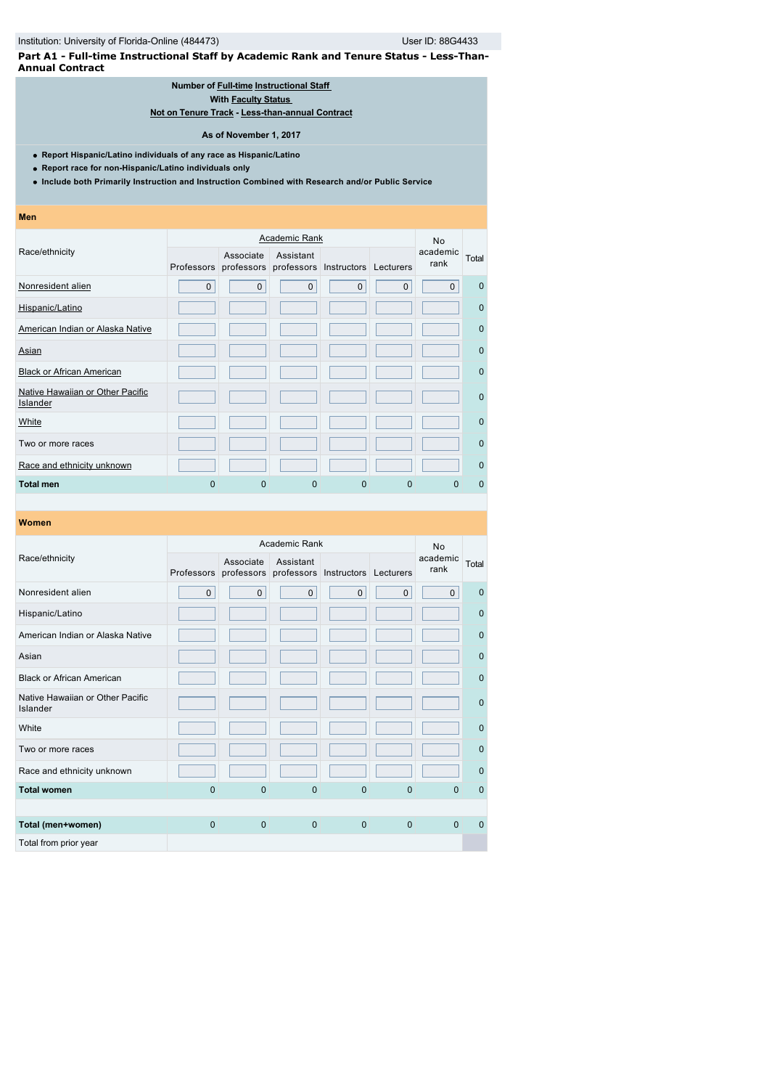**Part A1 - Full-time Instructional Staff by Academic Rank and Tenure Status - Less-Than-Annual Contract**

### **Number of [Full-time](javascript:openglossary(257)) [Instructional Staff](javascript:openglossary(996))  With [Faculty Status](javascript:openglossary(1009))**

**[Not on Tenure Track](javascript:openglossary(966)) - [Less-than-annual Contract](javascript:openglossary(980))**

### **As of November 1, 2017**

**Report Hispanic/Latino individuals of any race as Hispanic/Latino**

- **Report race for non-Hispanic/Latino individuals only**
- **Include both Primarily Instruction and Instruction Combined with Research and/or Public Service**
- **Men**

|                                              |              |                                                                     | <b>Academic Rank</b> |              |             | <b>No</b>        |             |
|----------------------------------------------|--------------|---------------------------------------------------------------------|----------------------|--------------|-------------|------------------|-------------|
| Race/ethnicity                               |              | Associate<br>Professors professors professors Instructors Lecturers | Assistant            |              |             | academic<br>rank | Total       |
| Nonresident alien                            | $\mathbf{0}$ | $\mathbf{0}$                                                        | $\mathbf{0}$         | $\mathbf{0}$ | $\mathbf 0$ | $\Omega$         | $\Omega$    |
| Hispanic/Latino                              |              |                                                                     |                      |              |             |                  | $\mathbf 0$ |
| American Indian or Alaska Native             |              |                                                                     |                      |              |             |                  | $\Omega$    |
| <u>Asian</u>                                 |              |                                                                     |                      |              |             |                  | $\Omega$    |
| <b>Black or African American</b>             |              |                                                                     |                      |              |             |                  | $\mathbf 0$ |
| Native Hawaiian or Other Pacific<br>Islander |              |                                                                     |                      |              |             |                  | $\Omega$    |
| White                                        |              |                                                                     |                      |              |             |                  | $\Omega$    |
| Two or more races                            |              |                                                                     |                      |              |             |                  | $\mathbf 0$ |
| Race and ethnicity unknown                   |              |                                                                     |                      |              |             |                  | $\mathbf 0$ |
| <b>Total men</b>                             | $\Omega$     | 0                                                                   | 0                    | 0            | 0           | O                | $\Omega$    |

|                                              |                |                                    | Academic Rank |                                  |              | <b>No</b>        |              |
|----------------------------------------------|----------------|------------------------------------|---------------|----------------------------------|--------------|------------------|--------------|
| Race/ethnicity                               |                | Associate<br>Professors professors | Assistant     | professors Instructors Lecturers |              | academic<br>rank | Total        |
| Nonresident alien                            | $\mathbf 0$    | $\mathbf{0}$                       | $\mathbf{0}$  | $\mathbf{0}$                     | $\mathbf{0}$ | $\mathbf 0$      | $\mathbf 0$  |
| Hispanic/Latino                              |                |                                    |               |                                  |              |                  | $\mathbf 0$  |
| American Indian or Alaska Native             |                |                                    |               |                                  |              |                  | $\mathbf 0$  |
| Asian                                        |                |                                    |               |                                  |              |                  | $\mathbf{0}$ |
| <b>Black or African American</b>             |                |                                    |               |                                  |              |                  | $\mathbf 0$  |
| Native Hawaiian or Other Pacific<br>Islander |                |                                    |               |                                  |              |                  | $\mathbf{0}$ |
| White                                        |                |                                    |               |                                  |              |                  | $\mathbf{0}$ |
| Two or more races                            |                |                                    |               |                                  |              |                  | $\Omega$     |
| Race and ethnicity unknown                   |                |                                    |               |                                  |              |                  | $\mathbf{0}$ |
| <b>Total women</b>                           | $\overline{0}$ | $\mathbf{0}$                       | $\mathbf{0}$  | $\mathbf{0}$                     | $\mathbf{0}$ | $\Omega$         | $\mathbf 0$  |
|                                              |                |                                    |               |                                  |              |                  |              |
| Total (men+women)                            | $\mathbf{0}$   | $\mathbf{0}$                       | $\mathbf{0}$  | $\mathbf{0}$                     | $\mathbf{0}$ | $\Omega$         | $\mathbf 0$  |
| Total from prior year                        |                |                                    |               |                                  |              |                  |              |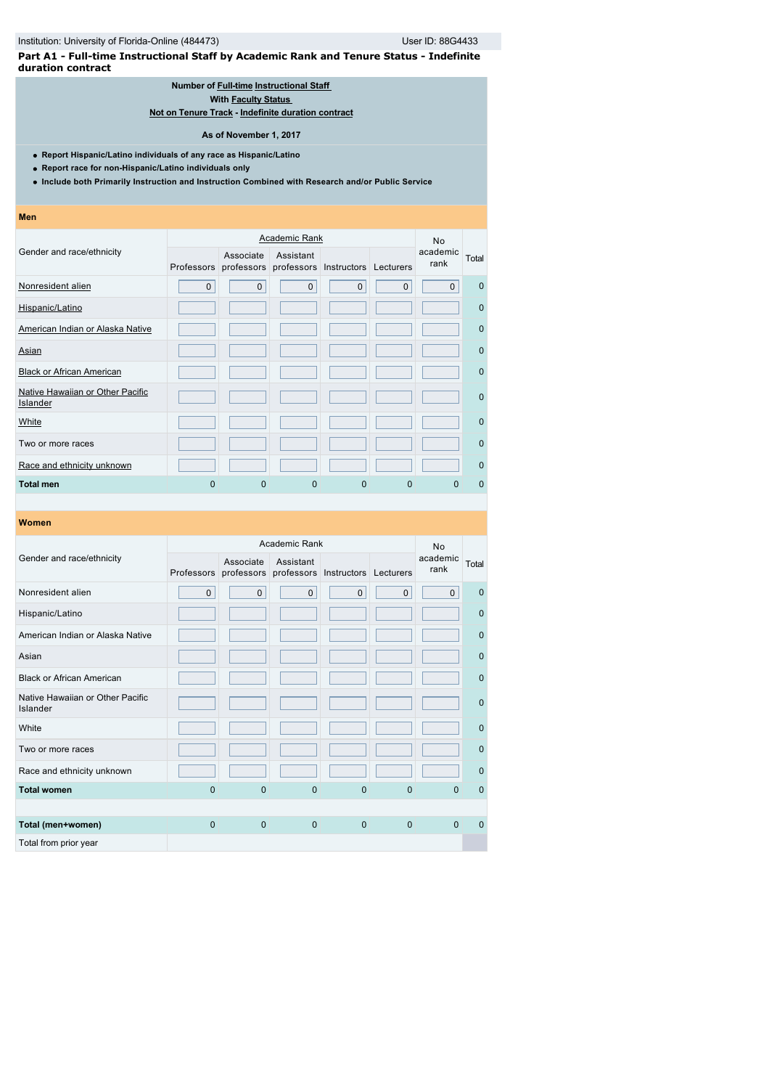**Part A1 - Full-time Instructional Staff by Academic Rank and Tenure Status - Indefinite duration contract**

### **Number of [Full-time](javascript:openglossary(257)) [Instructional Staff](javascript:openglossary(996))**

**With [Faculty Status](javascript:openglossary(1009))** 

**[Not on Tenure Track](javascript:openglossary(966)) - [Indefinite duration contract](javascript:openglossary(1075))**

### **As of November 1, 2017**

**Report Hispanic/Latino individuals of any race as Hispanic/Latino**

**Report race for non-Hispanic/Latino individuals only**

**Include both Primarily Instruction and Instruction Combined with Research and/or Public Service**

**Men**

|                                              |              | <b>No</b>    |                                                           |              |             |                  |              |
|----------------------------------------------|--------------|--------------|-----------------------------------------------------------|--------------|-------------|------------------|--------------|
| Gender and race/ethnicity                    |              | Associate    | Assistant<br>Professors professors professors Instructors |              | Lecturers   | academic<br>rank | Total        |
| Nonresident alien                            | $\mathbf{0}$ | $\mathbf{0}$ | $\mathbf{0}$                                              | $\mathbf{0}$ | $\mathbf 0$ | $\mathbf{0}$     | $\mathbf 0$  |
| Hispanic/Latino                              |              |              |                                                           |              |             |                  | $\mathbf 0$  |
| American Indian or Alaska Native             |              |              |                                                           |              |             |                  | $\mathbf 0$  |
| Asian                                        |              |              |                                                           |              |             |                  | $\mathbf 0$  |
| <b>Black or African American</b>             |              |              |                                                           |              |             |                  | $\mathbf 0$  |
| Native Hawaiian or Other Pacific<br>Islander |              |              |                                                           |              |             |                  | $\mathbf{0}$ |
| White                                        |              |              |                                                           |              |             |                  | $\mathbf 0$  |
| Two or more races                            |              |              |                                                           |              |             |                  | $\mathbf 0$  |
| Race and ethnicity unknown                   |              |              |                                                           |              |             |                  | $\Omega$     |
| <b>Total men</b>                             | 0            | 0            | 0                                                         | 0            | 0           | 0                | $\Omega$     |

|                                              |              |                                                                     | <b>No</b>    |              |             |                  |              |
|----------------------------------------------|--------------|---------------------------------------------------------------------|--------------|--------------|-------------|------------------|--------------|
| Gender and race/ethnicity                    |              | Associate<br>Professors professors professors Instructors Lecturers | Assistant    |              |             | academic<br>rank | Total        |
| Nonresident alien                            | $\mathbf 0$  | $\mathbf 0$                                                         | $\mathbf{0}$ | $\mathsf 0$  | $\mathbf 0$ | $\mathbf 0$      | $\mathbf 0$  |
| Hispanic/Latino                              |              |                                                                     |              |              |             |                  | $\mathbf{0}$ |
| American Indian or Alaska Native             |              |                                                                     |              |              |             |                  | $\mathbf{0}$ |
| Asian                                        |              |                                                                     |              |              |             |                  | $\mathbf{0}$ |
| <b>Black or African American</b>             |              |                                                                     |              |              |             |                  | $\mathbf{0}$ |
| Native Hawaiian or Other Pacific<br>Islander |              |                                                                     |              |              |             |                  | $\mathbf{0}$ |
| White                                        |              |                                                                     |              |              |             |                  | $\mathbf{0}$ |
| Two or more races                            |              |                                                                     |              |              |             |                  | $\mathbf{0}$ |
| Race and ethnicity unknown                   |              |                                                                     |              |              |             |                  | $\mathbf 0$  |
| <b>Total women</b>                           | $\mathbf{0}$ | $\overline{0}$                                                      | $\mathbf{0}$ | $\mathbf{0}$ | 0           | $\Omega$         | $\mathbf 0$  |
|                                              |              |                                                                     |              |              |             |                  |              |
| Total (men+women)                            | $\Omega$     | $\mathbf{0}$                                                        | $\mathbf{0}$ | $\mathbf{0}$ | $\Omega$    | $\Omega$         | $\Omega$     |
| Total from prior year                        |              |                                                                     |              |              |             |                  |              |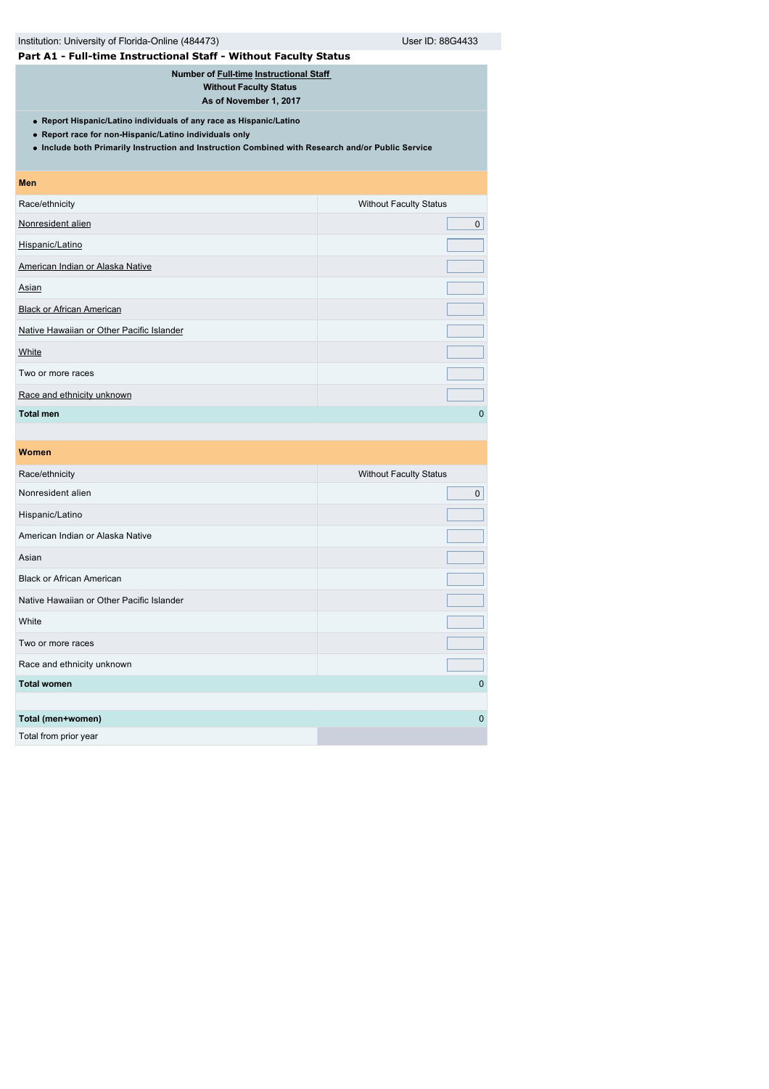| Institution: University of Florida-Online (484473)                                                                                                                                                                                 | User ID: 88G4433              |  |  |  |  |
|------------------------------------------------------------------------------------------------------------------------------------------------------------------------------------------------------------------------------------|-------------------------------|--|--|--|--|
| Part A1 - Full-time Instructional Staff - Without Faculty Status                                                                                                                                                                   |                               |  |  |  |  |
| Number of Full-time Instructional Staff<br><b>Without Faculty Status</b><br>As of November 1, 2017                                                                                                                                 |                               |  |  |  |  |
| • Report Hispanic/Latino individuals of any race as Hispanic/Latino<br>• Report race for non-Hispanic/Latino individuals only<br>. Include both Primarily Instruction and Instruction Combined with Research and/or Public Service |                               |  |  |  |  |
| <b>Men</b>                                                                                                                                                                                                                         |                               |  |  |  |  |
| Race/ethnicity                                                                                                                                                                                                                     | <b>Without Faculty Status</b> |  |  |  |  |
| Nonresident alien                                                                                                                                                                                                                  | $\Omega$                      |  |  |  |  |
| Hispanic/Latino                                                                                                                                                                                                                    |                               |  |  |  |  |
| American Indian or Alaska Native                                                                                                                                                                                                   |                               |  |  |  |  |
| Asian                                                                                                                                                                                                                              |                               |  |  |  |  |
| <b>Black or African American</b>                                                                                                                                                                                                   |                               |  |  |  |  |
| Native Hawaiian or Other Pacific Islander                                                                                                                                                                                          |                               |  |  |  |  |
| White                                                                                                                                                                                                                              |                               |  |  |  |  |
| Two or more races                                                                                                                                                                                                                  |                               |  |  |  |  |
| Race and ethnicity unknown                                                                                                                                                                                                         |                               |  |  |  |  |
| <b>Total men</b>                                                                                                                                                                                                                   | $\Omega$                      |  |  |  |  |
|                                                                                                                                                                                                                                    |                               |  |  |  |  |

| Race/ethnicity                            | <b>Without Faculty Status</b> |
|-------------------------------------------|-------------------------------|
| Nonresident alien                         | $\mathsf 0$                   |
| Hispanic/Latino                           |                               |
| American Indian or Alaska Native          |                               |
| Asian                                     |                               |
| <b>Black or African American</b>          |                               |
| Native Hawaiian or Other Pacific Islander |                               |
| White                                     |                               |
| Two or more races                         |                               |
| Race and ethnicity unknown                |                               |
| <b>Total women</b>                        | $\mathbf{0}$                  |
|                                           |                               |
| Total (men+women)                         | $\mathbf{0}$                  |
| Total from prior year                     |                               |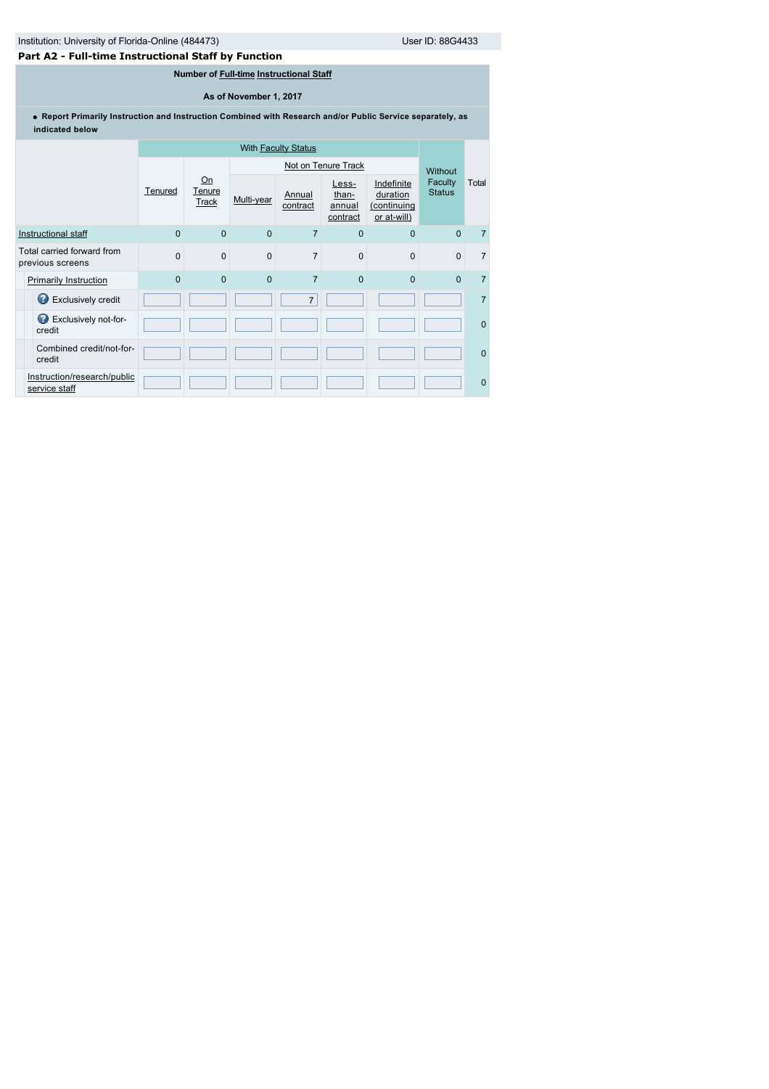# **Part A2 - Full-time Instructional Staff by Function**

# **Number of [Full-time](javascript:openglossary(257)) [Instructional Staff](javascript:openglossary(996))**

# **As of November 1, 2017**

**Report Primarily Instruction and Instruction Combined with Research and/or Public Service separately, as indicated below**

|                                                | <b>With Faculty Status</b> |                              |             |                    |                                      |                                                      |                          |                |
|------------------------------------------------|----------------------------|------------------------------|-------------|--------------------|--------------------------------------|------------------------------------------------------|--------------------------|----------------|
|                                                |                            |                              |             |                    | Not on Tenure Track                  |                                                      | Without                  |                |
|                                                | Tenured                    | Qn<br>Tenure<br><b>Track</b> | Multi-year  | Annual<br>contract | Less-<br>than-<br>annual<br>contract | Indefinite<br>duration<br>(continuing<br>or at-will) | Faculty<br><b>Status</b> | Total          |
| Instructional staff                            | $\Omega$                   | $\Omega$                     | $\Omega$    | $\overline{7}$     | $\mathbf{0}$                         | $\Omega$                                             | $\Omega$                 | $\overline{7}$ |
| Total carried forward from<br>previous screens | $\Omega$                   | $\Omega$                     | $\mathbf 0$ | $\overline{7}$     | $\mathbf 0$                          | $\Omega$                                             | $\mathbf{0}$             | $\overline{7}$ |
| <b>Primarily Instruction</b>                   | $\Omega$                   | $\Omega$                     | $\Omega$    | $\overline{7}$     | $\mathbf{0}$                         | $\Omega$                                             | $\Omega$                 | $\overline{7}$ |
| Exclusively credit                             |                            |                              |             | $\overline{7}$     |                                      |                                                      |                          | $\overline{7}$ |
| Exclusively not-for-<br>credit                 |                            |                              |             |                    |                                      |                                                      |                          | $\Omega$       |
| Combined credit/not-for-<br>credit             |                            |                              |             |                    |                                      |                                                      |                          | $\mathbf{0}$   |
| Instruction/research/public<br>service staff   |                            |                              |             |                    |                                      |                                                      |                          | $\mathbf{0}$   |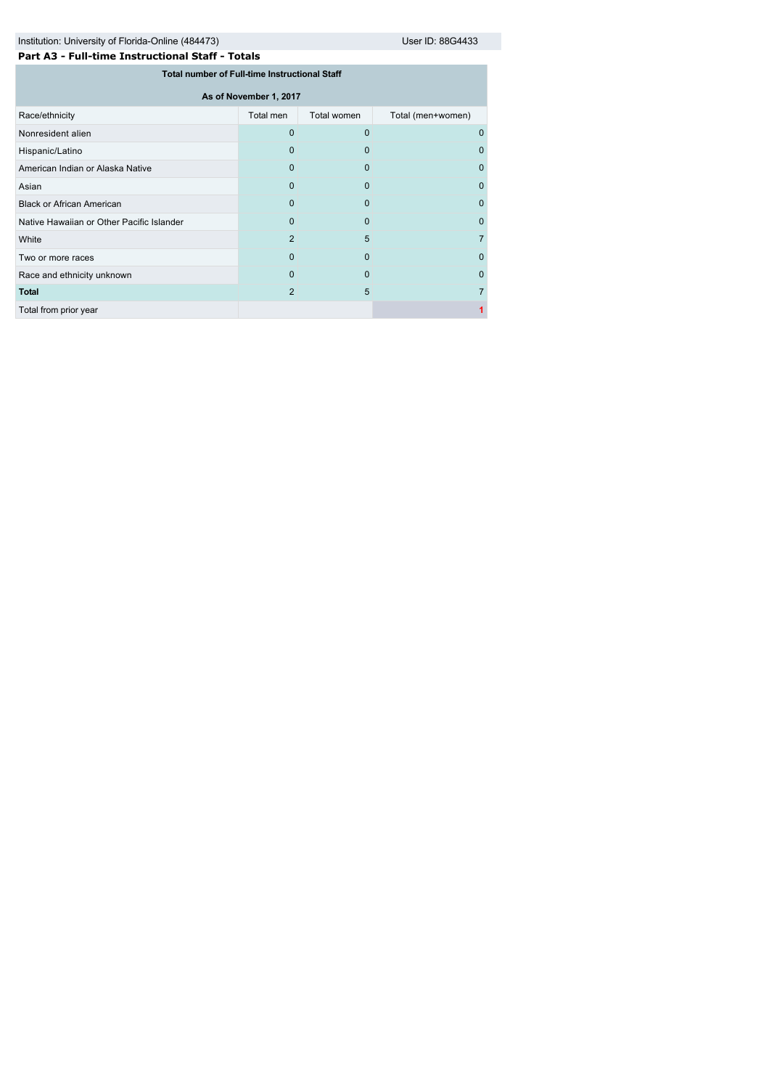|  | Part A3 - Full-time Instructional Staff - Totals |  |
|--|--------------------------------------------------|--|
|  |                                                  |  |

| Total number of Full-time Instructional Staff |           |             |                   |  |  |  |  |
|-----------------------------------------------|-----------|-------------|-------------------|--|--|--|--|
| As of November 1, 2017                        |           |             |                   |  |  |  |  |
| Race/ethnicity                                | Total men | Total women | Total (men+women) |  |  |  |  |
| Nonresident alien                             | $\Omega$  | $\Omega$    | 0                 |  |  |  |  |
| Hispanic/Latino                               | 0         | 0           | O                 |  |  |  |  |
| American Indian or Alaska Native              | $\Omega$  | $\Omega$    | 0                 |  |  |  |  |
| Asian                                         | $\Omega$  | 0           | 0                 |  |  |  |  |
| Black or African American                     | 0         | 0           | $\Omega$          |  |  |  |  |
| Native Hawaiian or Other Pacific Islander     | $\Omega$  | $\Omega$    | 0                 |  |  |  |  |
| White                                         | 2         | 5           |                   |  |  |  |  |
| Two or more races                             | $\Omega$  | $\Omega$    | 0                 |  |  |  |  |
| Race and ethnicity unknown                    | $\Omega$  | $\Omega$    | 0                 |  |  |  |  |
| <b>Total</b>                                  | 2         | 5           |                   |  |  |  |  |
| Total from prior year                         |           |             |                   |  |  |  |  |
|                                               |           |             |                   |  |  |  |  |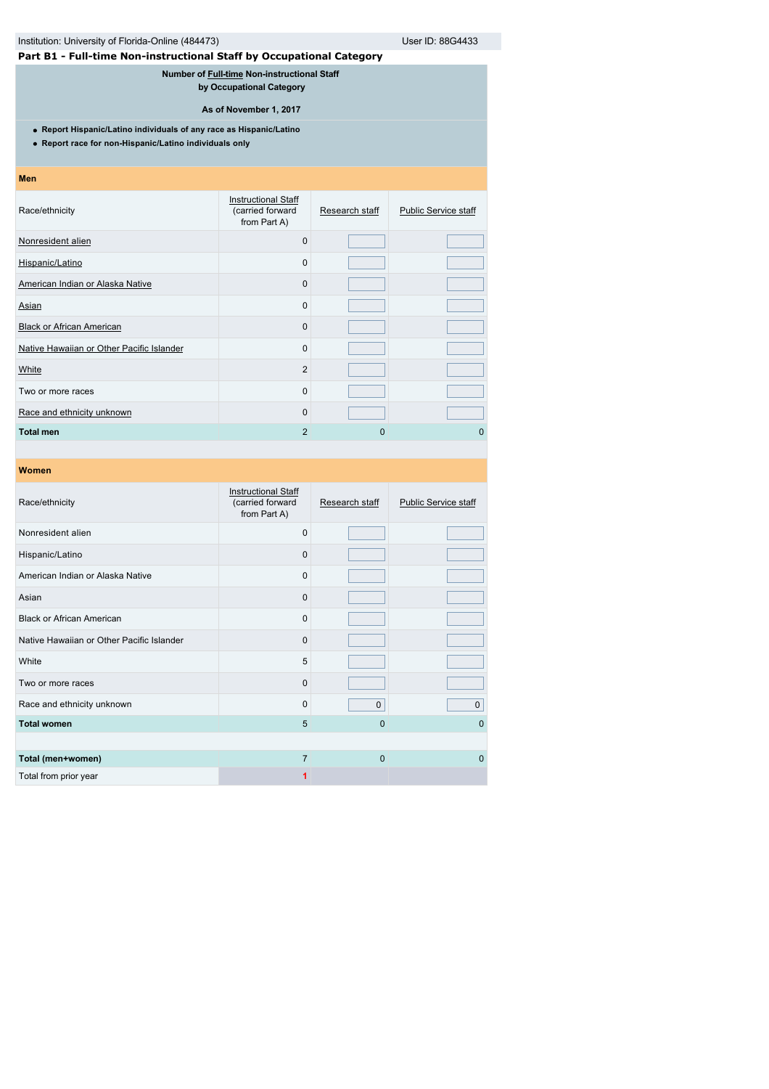# Institution: University of Florida-Online (484473) User ID: 88G4433

# **Part B1 - Full-time Non-instructional Staff by Occupational Category**

**Number of [Full-time](javascript:openglossary(257)) Non-instructional Staff** 

**by Occupational Category**

**As of November 1, 2017**

**Report Hispanic/Latino individuals of any race as Hispanic/Latino**

**Report race for non-Hispanic/Latino individuals only**

### **Men**

| <b>Instructional Staff</b><br>(carried forward<br>from Part A) | Research staff | <b>Public Service staff</b> |
|----------------------------------------------------------------|----------------|-----------------------------|
| $\Omega$                                                       |                |                             |
| 0                                                              |                |                             |
| 0                                                              |                |                             |
| 0                                                              |                |                             |
| $\Omega$                                                       |                |                             |
| 0                                                              |                |                             |
| $\overline{2}$                                                 |                |                             |
| 0                                                              |                |                             |
| $\Omega$                                                       |                |                             |
| $\overline{2}$                                                 | 0              | 0                           |
|                                                                |                |                             |

| Race/ethnicity                            | <b>Instructional Staff</b><br>(carried forward<br>from Part A) | Research staff | <b>Public Service staff</b> |
|-------------------------------------------|----------------------------------------------------------------|----------------|-----------------------------|
| Nonresident alien                         | $\Omega$                                                       |                |                             |
| Hispanic/Latino                           | $\Omega$                                                       |                |                             |
| American Indian or Alaska Native          | $\Omega$                                                       |                |                             |
| Asian                                     | $\Omega$                                                       |                |                             |
| <b>Black or African American</b>          | $\Omega$                                                       |                |                             |
| Native Hawaiian or Other Pacific Islander | $\Omega$                                                       |                |                             |
| White                                     | 5                                                              |                |                             |
| Two or more races                         | $\Omega$                                                       |                |                             |
| Race and ethnicity unknown                | $\Omega$                                                       | $\Omega$       | $\pmb{0}$                   |
| <b>Total women</b>                        | 5                                                              | 0              | $\Omega$                    |
|                                           |                                                                |                |                             |
| Total (men+women)                         | $\overline{7}$                                                 | 0              | $\Omega$                    |
| Total from prior year                     |                                                                |                |                             |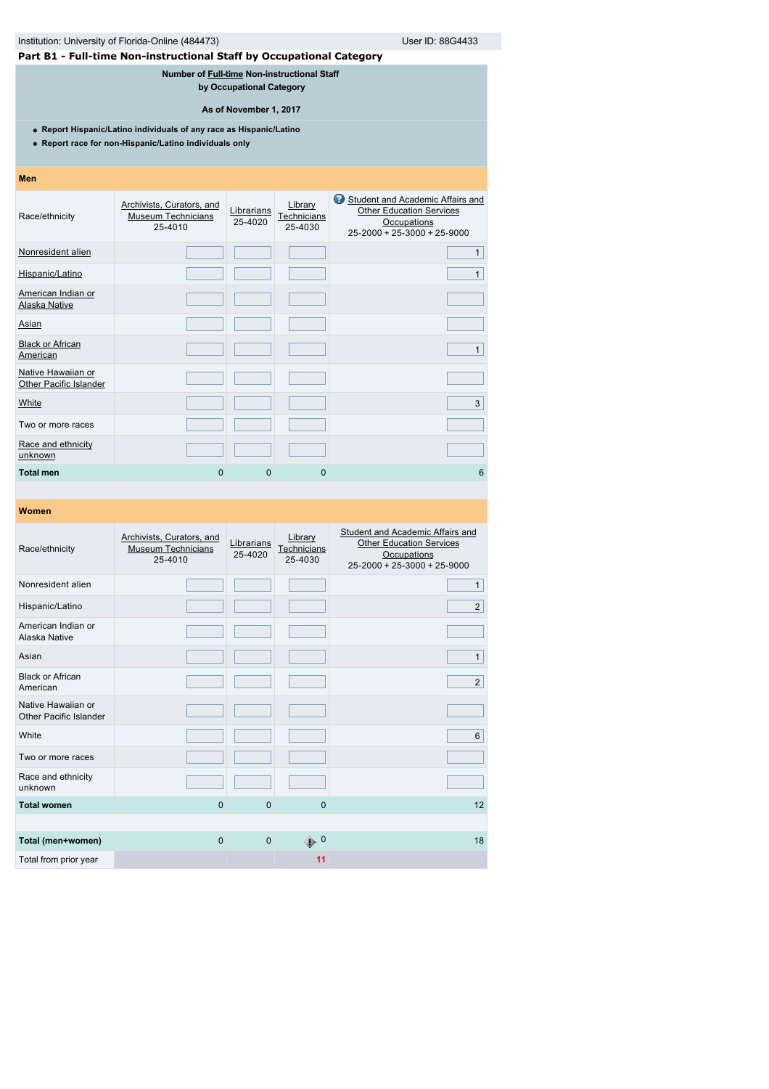|                                              | Institution: University of Florida-Online (484473)                                                                            |                          | User ID: 88G4433                  |                                                                                                                           |  |  |  |  |
|----------------------------------------------|-------------------------------------------------------------------------------------------------------------------------------|--------------------------|-----------------------------------|---------------------------------------------------------------------------------------------------------------------------|--|--|--|--|
|                                              | Part B1 - Full-time Non-instructional Staff by Occupational Category                                                          |                          |                                   |                                                                                                                           |  |  |  |  |
|                                              | Number of Full-time Non-instructional Staff                                                                                   | by Occupational Category |                                   |                                                                                                                           |  |  |  |  |
|                                              |                                                                                                                               | As of November 1, 2017   |                                   |                                                                                                                           |  |  |  |  |
|                                              | • Report Hispanic/Latino individuals of any race as Hispanic/Latino<br>• Report race for non-Hispanic/Latino individuals only |                          |                                   |                                                                                                                           |  |  |  |  |
| <b>Men</b>                                   |                                                                                                                               |                          |                                   |                                                                                                                           |  |  |  |  |
| Race/ethnicity                               | Archivists, Curators, and<br><b>Museum Technicians</b><br>25-4010                                                             | Librarians<br>25-4020    | Library<br>Technicians<br>25-4030 | Student and Academic Affairs and<br><b>Other Education Services</b><br>Occupations<br>$25 - 2000 + 25 - 3000 + 25 - 9000$ |  |  |  |  |
| Nonresident alien                            |                                                                                                                               |                          |                                   | $\mathbf{1}$                                                                                                              |  |  |  |  |
| Hispanic/Latino                              |                                                                                                                               |                          |                                   | $\mathbf{1}$                                                                                                              |  |  |  |  |
| American Indian or<br><b>Alaska Native</b>   |                                                                                                                               |                          |                                   |                                                                                                                           |  |  |  |  |
| Asian                                        |                                                                                                                               |                          |                                   |                                                                                                                           |  |  |  |  |
| <b>Black or African</b><br>American          |                                                                                                                               |                          |                                   | $\mathbf{1}$                                                                                                              |  |  |  |  |
| Native Hawaiian or<br>Other Pacific Islander |                                                                                                                               |                          |                                   |                                                                                                                           |  |  |  |  |
| White                                        |                                                                                                                               |                          |                                   | 3                                                                                                                         |  |  |  |  |
| Two or more races                            |                                                                                                                               |                          |                                   |                                                                                                                           |  |  |  |  |
| Race and ethnicity<br>unknown                |                                                                                                                               |                          |                                   |                                                                                                                           |  |  |  |  |
| <b>Total men</b>                             | 0                                                                                                                             | 0                        | $\Omega$                          | 6                                                                                                                         |  |  |  |  |

| Race/ethnicity                               | Archivists, Curators, and<br><b>Museum Technicians</b><br>25-4010 | Librarians<br>25-4020 | Library<br>Technicians<br>25-4030 | Student and Academic Affairs and<br><b>Other Education Services</b><br>Occupations<br>25-2000 + 25-3000 + 25-9000 |
|----------------------------------------------|-------------------------------------------------------------------|-----------------------|-----------------------------------|-------------------------------------------------------------------------------------------------------------------|
| Nonresident alien                            |                                                                   |                       |                                   | $\mathbf{1}$                                                                                                      |
| Hispanic/Latino                              |                                                                   |                       |                                   | $\overline{2}$                                                                                                    |
| American Indian or<br>Alaska Native          |                                                                   |                       |                                   |                                                                                                                   |
| Asian                                        |                                                                   |                       |                                   | $\mathbf{1}$                                                                                                      |
| <b>Black or African</b><br>American          |                                                                   |                       |                                   | $\overline{2}$                                                                                                    |
| Native Hawaiian or<br>Other Pacific Islander |                                                                   |                       |                                   |                                                                                                                   |
| White                                        |                                                                   |                       |                                   | 6                                                                                                                 |
| Two or more races                            |                                                                   |                       |                                   |                                                                                                                   |
| Race and ethnicity<br>unknown                |                                                                   |                       |                                   |                                                                                                                   |
| <b>Total women</b>                           | $\mathbf 0$                                                       | $\Omega$              | $\Omega$                          | 12                                                                                                                |
|                                              |                                                                   |                       |                                   |                                                                                                                   |
| Total (men+women)                            | $\mathbf 0$                                                       | $\mathbf{0}$          | $\bigoplus$ 0                     | 18                                                                                                                |
| Total from prior year                        |                                                                   |                       | 11                                |                                                                                                                   |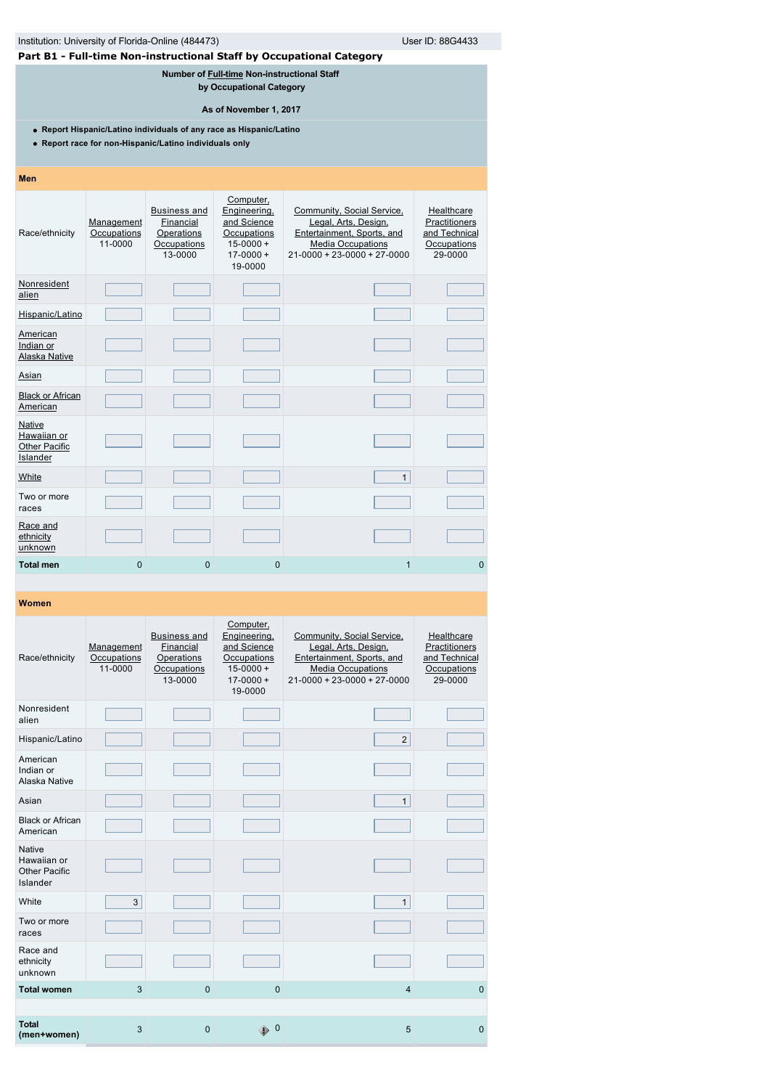| Institution: University of Florida-Online (484473)                                                                            |                                      | User ID: 88G4433                                                         |                                                                                                    |                                                                                                                                             |                                                                        |  |
|-------------------------------------------------------------------------------------------------------------------------------|--------------------------------------|--------------------------------------------------------------------------|----------------------------------------------------------------------------------------------------|---------------------------------------------------------------------------------------------------------------------------------------------|------------------------------------------------------------------------|--|
|                                                                                                                               |                                      |                                                                          |                                                                                                    | Part B1 - Full-time Non-instructional Staff by Occupational Category                                                                        |                                                                        |  |
| Number of Full-time Non-instructional Staff<br>by Occupational Category                                                       |                                      |                                                                          |                                                                                                    |                                                                                                                                             |                                                                        |  |
| As of November 1, 2017                                                                                                        |                                      |                                                                          |                                                                                                    |                                                                                                                                             |                                                                        |  |
| • Report Hispanic/Latino individuals of any race as Hispanic/Latino<br>• Report race for non-Hispanic/Latino individuals only |                                      |                                                                          |                                                                                                    |                                                                                                                                             |                                                                        |  |
| <b>Men</b>                                                                                                                    |                                      |                                                                          |                                                                                                    |                                                                                                                                             |                                                                        |  |
| Race/ethnicity                                                                                                                | Management<br>Occupations<br>11-0000 | <b>Business and</b><br>Financial<br>Operations<br>Occupations<br>13-0000 | Computer,<br>Engineering,<br>and Science<br>Occupations<br>$15 - 0000 +$<br>$17-0000 +$<br>19-0000 | Community, Social Service,<br>Legal, Arts, Design,<br>Entertainment, Sports, and<br><b>Media Occupations</b><br>21-0000 + 23-0000 + 27-0000 | Healthcare<br>Practitioners<br>and Technical<br>Occupations<br>29-0000 |  |
| Nonresident<br>alien                                                                                                          |                                      |                                                                          |                                                                                                    |                                                                                                                                             |                                                                        |  |
| Hispanic/Latino                                                                                                               |                                      |                                                                          |                                                                                                    |                                                                                                                                             |                                                                        |  |
| American<br>Indian or<br>Alaska Native                                                                                        |                                      |                                                                          |                                                                                                    |                                                                                                                                             |                                                                        |  |
| Asian                                                                                                                         |                                      |                                                                          |                                                                                                    |                                                                                                                                             |                                                                        |  |
| <b>Black or African</b><br>American                                                                                           |                                      |                                                                          |                                                                                                    |                                                                                                                                             |                                                                        |  |
| Native<br>Hawaiian or<br><b>Other Pacific</b><br>Islander                                                                     |                                      |                                                                          |                                                                                                    |                                                                                                                                             |                                                                        |  |
| White                                                                                                                         |                                      |                                                                          |                                                                                                    | $\mathbf{1}$                                                                                                                                |                                                                        |  |
| Two or more<br>races                                                                                                          |                                      |                                                                          |                                                                                                    |                                                                                                                                             |                                                                        |  |
| Race and<br>ethnicity<br>unknown                                                                                              |                                      |                                                                          |                                                                                                    |                                                                                                                                             |                                                                        |  |
| <b>Total men</b>                                                                                                              | $\Omega$                             | $\Omega$                                                                 | $\Omega$                                                                                           | $\overline{1}$                                                                                                                              | $\Omega$                                                               |  |
|                                                                                                                               |                                      |                                                                          |                                                                                                    |                                                                                                                                             |                                                                        |  |

| Race/ethnicity                                            | Management<br>Occupations<br>11-0000 | <b>Business and</b><br>Financial<br>Operations<br>Occupations<br>13-0000 | Computer,<br>Engineering,<br>and Science<br>Occupations<br>$15 - 0000 +$<br>$17 - 0000 +$<br>19-0000 | Community, Social Service,<br>Legal, Arts, Design,<br>Entertainment, Sports, and<br><b>Media Occupations</b><br>$21 - 0000 + 23 - 0000 + 27 - 0000$ | Healthcare<br>Practitioners<br>and Technical<br>Occupations<br>29-0000 |
|-----------------------------------------------------------|--------------------------------------|--------------------------------------------------------------------------|------------------------------------------------------------------------------------------------------|-----------------------------------------------------------------------------------------------------------------------------------------------------|------------------------------------------------------------------------|
| Nonresident<br>alien                                      |                                      |                                                                          |                                                                                                      |                                                                                                                                                     |                                                                        |
| Hispanic/Latino                                           |                                      |                                                                          |                                                                                                      | $\overline{2}$                                                                                                                                      |                                                                        |
| American<br>Indian or<br>Alaska Native                    |                                      |                                                                          |                                                                                                      |                                                                                                                                                     |                                                                        |
| Asian                                                     |                                      |                                                                          |                                                                                                      | $\mathbf{1}$                                                                                                                                        |                                                                        |
| <b>Black or African</b><br>American                       |                                      |                                                                          |                                                                                                      |                                                                                                                                                     |                                                                        |
| <b>Native</b><br>Hawaiian or<br>Other Pacific<br>Islander |                                      |                                                                          |                                                                                                      |                                                                                                                                                     |                                                                        |
| White                                                     | 3                                    |                                                                          |                                                                                                      | $\mathbf{1}$                                                                                                                                        |                                                                        |
| Two or more<br>races                                      |                                      |                                                                          |                                                                                                      |                                                                                                                                                     |                                                                        |
| Race and<br>ethnicity<br>unknown                          |                                      |                                                                          |                                                                                                      |                                                                                                                                                     |                                                                        |
| <b>Total women</b>                                        | 3                                    | $\mathbf 0$                                                              | $\mathbf{0}$                                                                                         | $\overline{4}$                                                                                                                                      | $\mathbf{0}$                                                           |
|                                                           |                                      |                                                                          |                                                                                                      |                                                                                                                                                     |                                                                        |
| <b>Total</b><br>(men+women)                               | 3                                    | $\overline{0}$                                                           | $\mathbf 0$<br>⊕                                                                                     | 5                                                                                                                                                   | $\Omega$                                                               |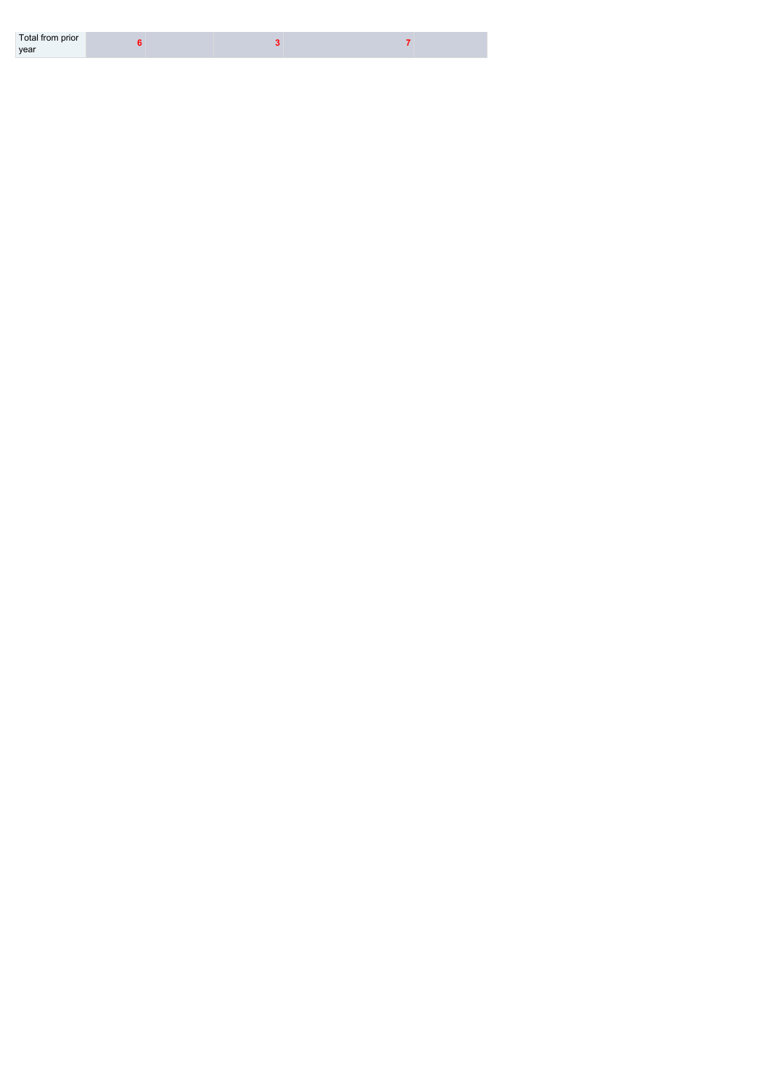| Total from prior |  |  |
|------------------|--|--|
| year             |  |  |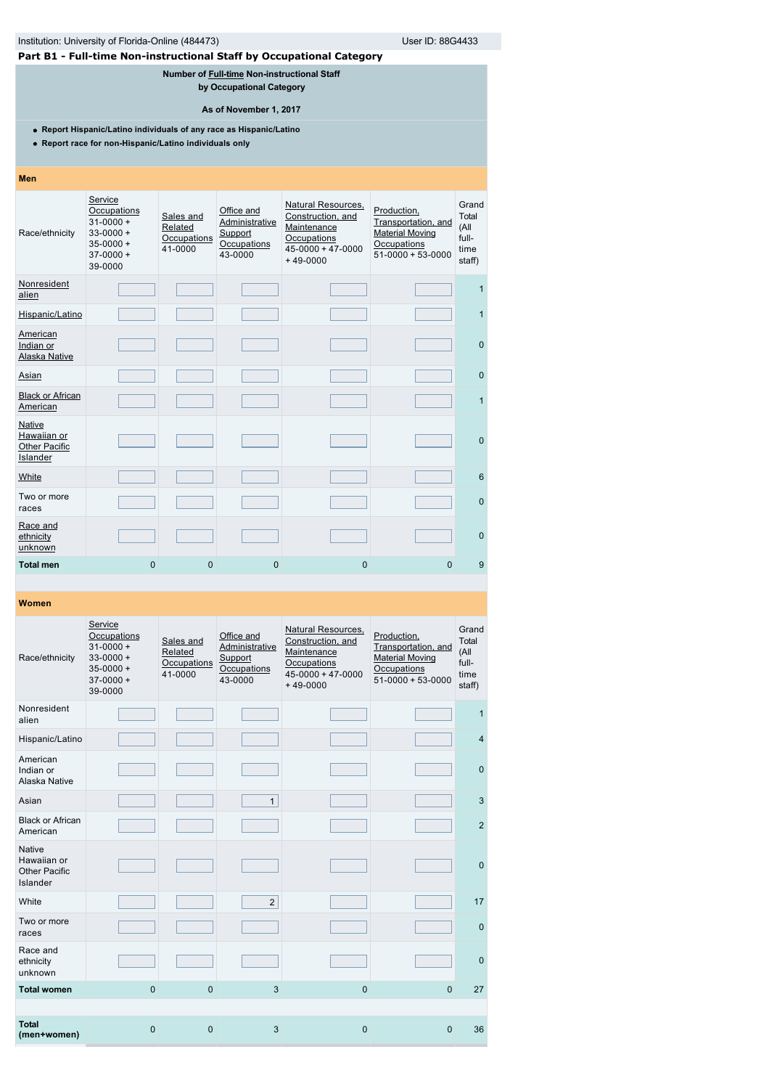| Institution: University of Florida-Online (484473)<br>User ID: 88G4433                                                        |                                                                                                    |                                                |                                                                                                   |                                                                                                                 |                                                                                                  |                                                   |  |  |
|-------------------------------------------------------------------------------------------------------------------------------|----------------------------------------------------------------------------------------------------|------------------------------------------------|---------------------------------------------------------------------------------------------------|-----------------------------------------------------------------------------------------------------------------|--------------------------------------------------------------------------------------------------|---------------------------------------------------|--|--|
| Part B1 - Full-time Non-instructional Staff by Occupational Category                                                          |                                                                                                    |                                                |                                                                                                   |                                                                                                                 |                                                                                                  |                                                   |  |  |
|                                                                                                                               |                                                                                                    |                                                | Number of Full-time Non-instructional Staff<br>by Occupational Category<br>As of November 1, 2017 |                                                                                                                 |                                                                                                  |                                                   |  |  |
| • Report Hispanic/Latino individuals of any race as Hispanic/Latino<br>• Report race for non-Hispanic/Latino individuals only |                                                                                                    |                                                |                                                                                                   |                                                                                                                 |                                                                                                  |                                                   |  |  |
| Men                                                                                                                           |                                                                                                    |                                                |                                                                                                   |                                                                                                                 |                                                                                                  |                                                   |  |  |
| Race/ethnicity                                                                                                                | Service<br>Occupations<br>$31 - 0000 +$<br>$33 - 0000 +$<br>$35 - 0000 +$<br>$37-0000+$<br>39-0000 | Sales and<br>Related<br>Occupations<br>41-0000 | Office and<br>Administrative<br>Support<br>Occupations<br>43-0000                                 | <b>Natural Resources,</b><br>Construction, and<br>Maintenance<br>Occupations<br>45-0000 + 47-0000<br>$+49-0000$ | Production,<br>Transportation, and<br><b>Material Moving</b><br>Occupations<br>$51-0000+53-0000$ | Grand<br>Total<br>(All<br>full-<br>time<br>staff) |  |  |
| Nonresident<br>alien                                                                                                          |                                                                                                    |                                                |                                                                                                   |                                                                                                                 |                                                                                                  | $\mathbf{1}$                                      |  |  |
| Hispanic/Latino                                                                                                               |                                                                                                    |                                                |                                                                                                   |                                                                                                                 |                                                                                                  | $\mathbf{1}$                                      |  |  |
| American<br>Indian or<br><b>Alaska Native</b>                                                                                 |                                                                                                    |                                                |                                                                                                   |                                                                                                                 |                                                                                                  | $\mathbf{0}$                                      |  |  |
| Asian                                                                                                                         |                                                                                                    |                                                |                                                                                                   |                                                                                                                 |                                                                                                  | $\mathbf{0}$                                      |  |  |
| <b>Black or African</b><br>American                                                                                           |                                                                                                    |                                                |                                                                                                   |                                                                                                                 |                                                                                                  | $\mathbf{1}$                                      |  |  |
| <b>Native</b><br>Hawaiian or<br><b>Other Pacific</b><br>Islander                                                              |                                                                                                    |                                                |                                                                                                   |                                                                                                                 |                                                                                                  | $\mathbf{0}$                                      |  |  |
| White                                                                                                                         |                                                                                                    |                                                |                                                                                                   |                                                                                                                 |                                                                                                  | 6                                                 |  |  |
| Two or more<br>races                                                                                                          |                                                                                                    |                                                |                                                                                                   |                                                                                                                 |                                                                                                  | 0                                                 |  |  |
| Race and<br>ethnicity<br>unknown                                                                                              |                                                                                                    |                                                |                                                                                                   |                                                                                                                 |                                                                                                  | $\mathbf{0}$                                      |  |  |
| <b>Total men</b>                                                                                                              | $\overline{0}$                                                                                     | $\mathbf{0}$                                   | $\mathbf{0}$                                                                                      | $\mathbf 0$                                                                                                     | $\Omega$                                                                                         | 9                                                 |  |  |
|                                                                                                                               |                                                                                                    |                                                |                                                                                                   |                                                                                                                 |                                                                                                  |                                                   |  |  |

| Race/ethnicity                                                   | Service<br>Occupations<br>$31 - 0000 +$<br>$33 - 0000 +$<br>$35 - 0000 +$<br>$37-0000+$<br>39-0000 | Sales and<br>Related<br>Occupations<br>41-0000 | Office and<br>Administrative<br>Support<br>Occupations<br>43-0000 | Natural Resources,<br>Construction, and<br>Maintenance<br>Occupations<br>$45 - 0000 + 47 - 0000$<br>$+49-0000$ | Production,<br>Transportation, and<br><b>Material Moving</b><br>Occupations<br>$51-0000+53-0000$ | Grand<br>Total<br>(All<br>full-<br>time<br>staff) |
|------------------------------------------------------------------|----------------------------------------------------------------------------------------------------|------------------------------------------------|-------------------------------------------------------------------|----------------------------------------------------------------------------------------------------------------|--------------------------------------------------------------------------------------------------|---------------------------------------------------|
| Nonresident<br>alien                                             |                                                                                                    |                                                |                                                                   |                                                                                                                |                                                                                                  | $\mathbf{1}$                                      |
| Hispanic/Latino                                                  |                                                                                                    |                                                |                                                                   |                                                                                                                |                                                                                                  | $\overline{4}$                                    |
| American<br>Indian or<br>Alaska Native                           |                                                                                                    |                                                |                                                                   |                                                                                                                |                                                                                                  | $\mathbf{0}$                                      |
| Asian                                                            |                                                                                                    |                                                | $\mathbf{1}$                                                      |                                                                                                                |                                                                                                  | 3                                                 |
| <b>Black or African</b><br>American                              |                                                                                                    |                                                |                                                                   |                                                                                                                |                                                                                                  | $\overline{2}$                                    |
| <b>Native</b><br>Hawaiian or<br><b>Other Pacific</b><br>Islander |                                                                                                    |                                                |                                                                   |                                                                                                                |                                                                                                  | $\overline{0}$                                    |
| White                                                            |                                                                                                    |                                                | $\overline{2}$                                                    |                                                                                                                |                                                                                                  | 17                                                |
| Two or more<br>races                                             |                                                                                                    |                                                |                                                                   |                                                                                                                |                                                                                                  | $\mathbf{0}$                                      |
| Race and<br>ethnicity<br>unknown                                 |                                                                                                    |                                                |                                                                   |                                                                                                                |                                                                                                  | $\mathbf{0}$                                      |
| <b>Total women</b>                                               | $\Omega$                                                                                           | $\mathbf 0$                                    | 3                                                                 | $\Omega$                                                                                                       | $\Omega$                                                                                         | 27                                                |
|                                                                  |                                                                                                    |                                                |                                                                   |                                                                                                                |                                                                                                  |                                                   |
| <b>Total</b><br>(men+women)                                      | $\overline{0}$                                                                                     | $\mathbf 0$                                    | 3                                                                 | $\mathbf 0$                                                                                                    | $\mathbf{0}$                                                                                     | 36                                                |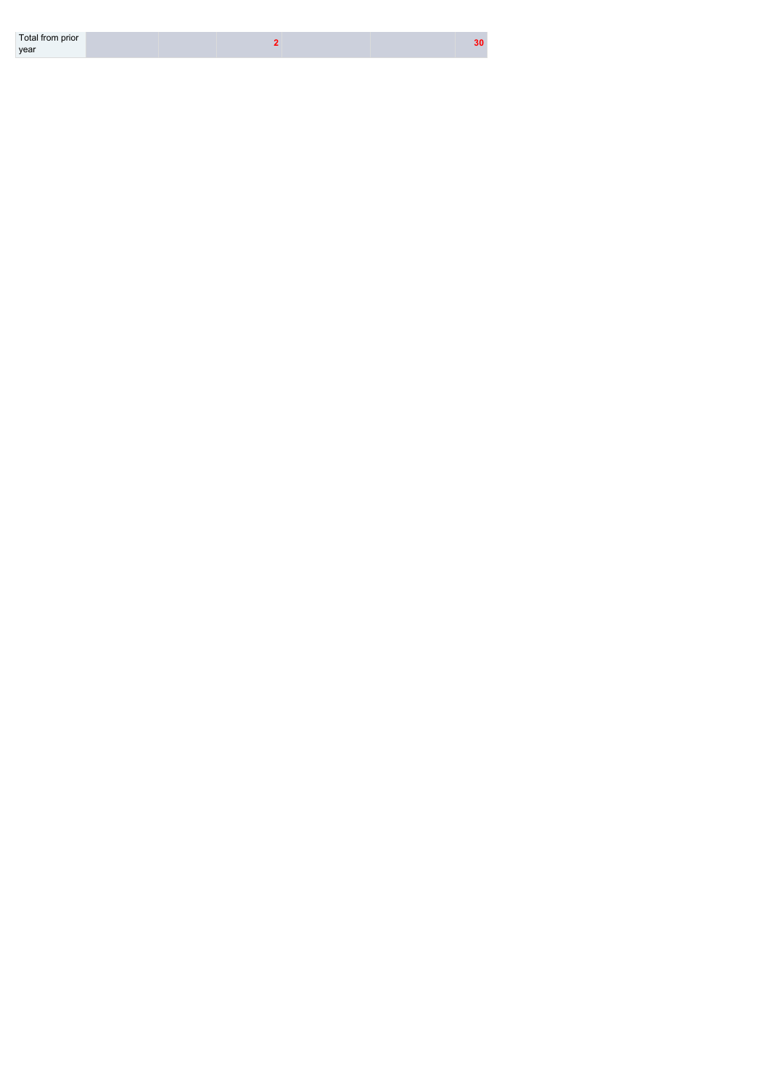| Total from prior |  |
|------------------|--|
| year             |  |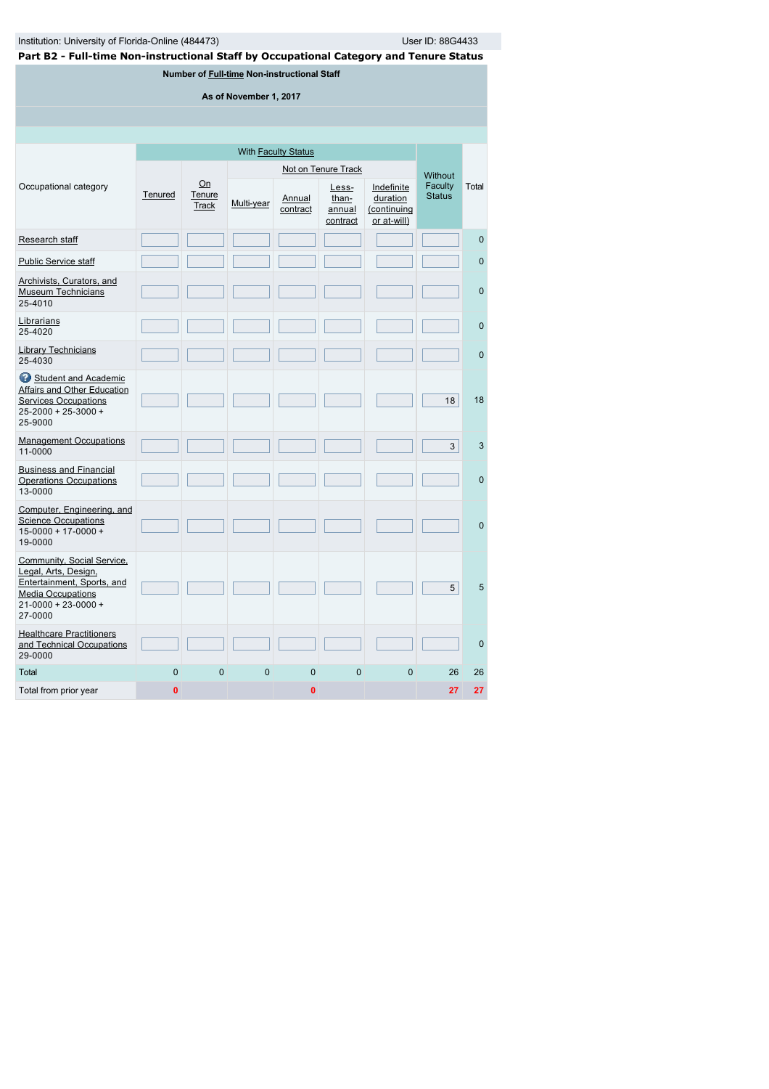| Institution: University of Florida-Online (484473)                                     |         |                              |                                             |                            |                                      |                                                      | User ID: 88G4433         |          |
|----------------------------------------------------------------------------------------|---------|------------------------------|---------------------------------------------|----------------------------|--------------------------------------|------------------------------------------------------|--------------------------|----------|
| Part B2 - Full-time Non-instructional Staff by Occupational Category and Tenure Status |         |                              |                                             |                            |                                      |                                                      |                          |          |
|                                                                                        |         |                              | Number of Full-time Non-instructional Staff |                            |                                      |                                                      |                          |          |
|                                                                                        |         |                              | As of November 1, 2017                      |                            |                                      |                                                      |                          |          |
|                                                                                        |         |                              |                                             |                            |                                      |                                                      |                          |          |
|                                                                                        |         |                              |                                             |                            |                                      |                                                      |                          |          |
|                                                                                        |         |                              |                                             | With <b>Faculty Status</b> |                                      |                                                      |                          |          |
|                                                                                        |         |                              |                                             |                            | Not on Tenure Track                  |                                                      |                          |          |
| Occupational category                                                                  | Tenured | On<br><b>Tenure</b><br>Track | Multi-year                                  | Annual<br>contract         | Less-<br>than-<br>annual<br>contract | Indefinite<br>duration<br>(continuing<br>or at-will) | Faculty<br><b>Status</b> | Total    |
| Research staff                                                                         |         |                              |                                             |                            |                                      |                                                      |                          | $\Omega$ |
| <b>Public Service staff</b>                                                            |         |                              |                                             |                            |                                      |                                                      |                          | $\Omega$ |
| Archivists, Curators, and<br>— <u>—</u>                                                |         |                              |                                             |                            |                                      |                                                      |                          | $\sim$   |

|                                                                                                                                                      |          |              |          |              | contract     | or at-will) |    |              |
|------------------------------------------------------------------------------------------------------------------------------------------------------|----------|--------------|----------|--------------|--------------|-------------|----|--------------|
| Research staff                                                                                                                                       |          |              |          |              |              |             |    | $\mathbf{0}$ |
| <b>Public Service staff</b>                                                                                                                          |          |              |          |              |              |             |    | $\mathbf{0}$ |
| Archivists, Curators, and<br><b>Museum Technicians</b><br>25-4010                                                                                    |          |              |          |              |              |             |    | $\mathbf{0}$ |
| Librarians<br>25-4020                                                                                                                                |          |              |          |              |              |             |    | $\mathbf{0}$ |
| <b>Library Technicians</b><br>25-4030                                                                                                                |          |              |          |              |              |             |    | $\mathbf{0}$ |
| Student and Academic<br>Affairs and Other Education<br><b>Services Occupations</b><br>$25 - 2000 + 25 - 3000 +$<br>25-9000                           |          |              |          |              |              |             | 18 | 18           |
| <b>Management Occupations</b><br>11-0000                                                                                                             |          |              |          |              |              |             | 3  | 3            |
| <b>Business and Financial</b><br><b>Operations Occupations</b><br>13-0000                                                                            |          |              |          |              |              |             |    | $\mathbf{0}$ |
| Computer, Engineering, and<br><b>Science Occupations</b><br>$15 - 0000 + 17 - 0000 +$<br>19-0000                                                     |          |              |          |              |              |             |    | $\Omega$     |
| Community, Social Service,<br>Legal, Arts, Design,<br>Entertainment, Sports, and<br><b>Media Occupations</b><br>$21 - 0000 + 23 - 0000 +$<br>27-0000 |          |              |          |              |              |             | 5  | 5            |
| <b>Healthcare Practitioners</b><br>and Technical Occupations<br>29-0000                                                                              |          |              |          |              |              |             |    | $\mathbf{0}$ |
| Total                                                                                                                                                | $\Omega$ | $\mathbf{0}$ | $\Omega$ | $\Omega$     | $\mathbf{0}$ | $\Omega$    | 26 | 26           |
| Total from prior year                                                                                                                                | 0        |              |          | $\mathbf{0}$ |              |             | 27 | 27           |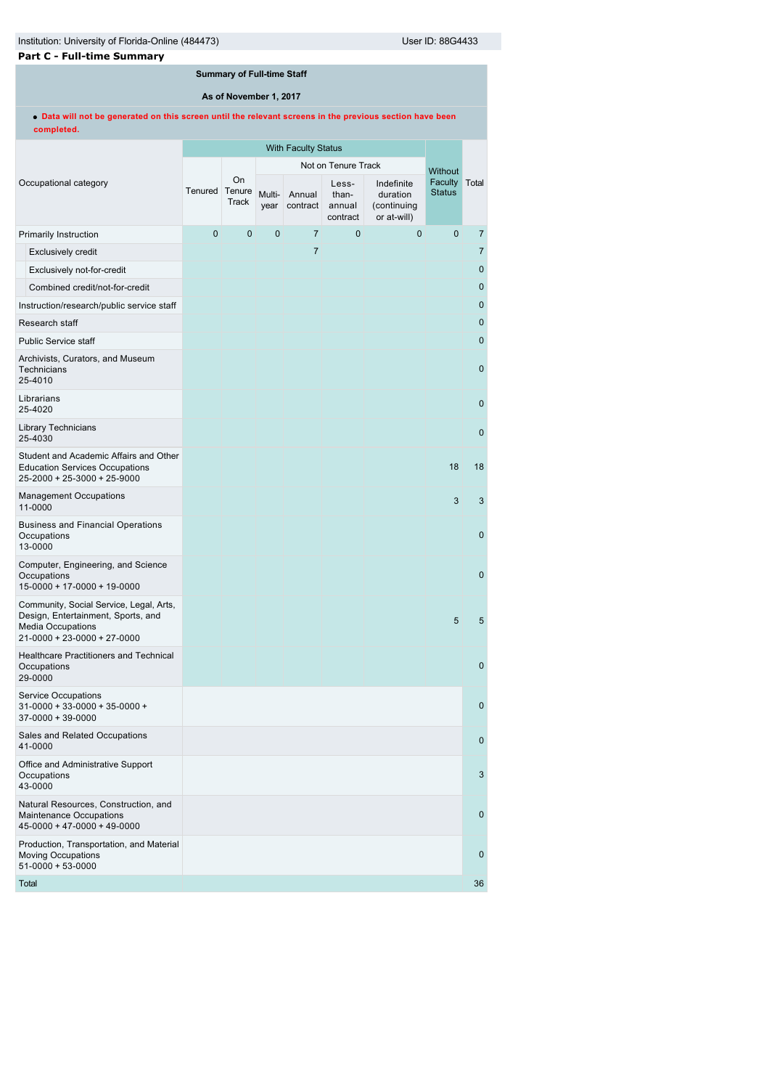# **Part C - Full-time Summary**

# **Summary of Full-time Staff**

**As of November 1, 2017**

**Data will not be generated on this screen until the relevant screens in the previous section have been completed.**

|                                                                                                                                          | <b>With Faculty Status</b> |                       |                |                     |                                      |                                                      |                          |                  |
|------------------------------------------------------------------------------------------------------------------------------------------|----------------------------|-----------------------|----------------|---------------------|--------------------------------------|------------------------------------------------------|--------------------------|------------------|
|                                                                                                                                          |                            |                       |                | Not on Tenure Track |                                      | <b>Without</b>                                       |                          |                  |
| Occupational category                                                                                                                    | Tenured                    | On<br>Tenure<br>Track | Multi-<br>year | Annual<br>contract  | Less-<br>than-<br>annual<br>contract | Indefinite<br>duration<br>(continuing<br>or at-will) | Faculty<br><b>Status</b> | Total            |
| <b>Primarily Instruction</b>                                                                                                             | $\mathbf{0}$               | $\overline{0}$        | 0              | $\overline{7}$      | $\mathbf{0}$                         | $\mathbf{0}$                                         | $\mathbf{0}$             | 7                |
| <b>Exclusively credit</b>                                                                                                                |                            |                       |                | $\overline{7}$      |                                      |                                                      |                          | $\overline{7}$   |
| Exclusively not-for-credit                                                                                                               |                            |                       |                |                     |                                      |                                                      |                          | $\boldsymbol{0}$ |
| Combined credit/not-for-credit                                                                                                           |                            |                       |                |                     |                                      |                                                      |                          | $\mathbf{0}$     |
| Instruction/research/public service staff                                                                                                |                            |                       |                |                     |                                      |                                                      |                          | $\mathbf 0$      |
| Research staff                                                                                                                           |                            |                       |                |                     |                                      |                                                      |                          | $\pmb{0}$        |
| <b>Public Service staff</b>                                                                                                              |                            |                       |                |                     |                                      |                                                      |                          | $\mathbf{0}$     |
| Archivists, Curators, and Museum<br>Technicians<br>25-4010                                                                               |                            |                       |                |                     |                                      |                                                      |                          | $\mathbf 0$      |
| Librarians<br>25-4020                                                                                                                    |                            |                       |                |                     |                                      |                                                      |                          | $\mathbf{0}$     |
| <b>Library Technicians</b><br>25-4030                                                                                                    |                            |                       |                |                     |                                      |                                                      |                          | $\mathbf 0$      |
| Student and Academic Affairs and Other<br><b>Education Services Occupations</b><br>25-2000 + 25-3000 + 25-9000                           |                            |                       |                |                     |                                      |                                                      | 18                       | 18               |
| <b>Management Occupations</b><br>11-0000                                                                                                 |                            |                       |                |                     |                                      |                                                      | 3                        | 3                |
| <b>Business and Financial Operations</b><br>Occupations<br>13-0000                                                                       |                            |                       |                |                     |                                      |                                                      |                          | $\mathbf{0}$     |
| Computer, Engineering, and Science<br>Occupations<br>15-0000 + 17-0000 + 19-0000                                                         |                            |                       |                |                     |                                      |                                                      |                          | $\mathbf 0$      |
| Community, Social Service, Legal, Arts,<br>Design, Entertainment, Sports, and<br><b>Media Occupations</b><br>21-0000 + 23-0000 + 27-0000 |                            |                       |                |                     |                                      |                                                      | 5                        | 5                |
| Healthcare Practitioners and Technical<br>Occupations<br>29-0000                                                                         |                            |                       |                |                     |                                      |                                                      |                          | $\mathbf 0$      |
| Service Occupations<br>31-0000 + 33-0000 + 35-0000 +<br>$37-0000+39-0000$                                                                |                            |                       |                |                     |                                      |                                                      |                          | $\mathbf{0}$     |
| Sales and Related Occupations<br>41-0000                                                                                                 |                            |                       |                |                     |                                      |                                                      |                          | $\mathbf 0$      |
| Office and Administrative Support<br>Occupations<br>43-0000                                                                              |                            |                       |                |                     |                                      |                                                      |                          | 3                |
| Natural Resources, Construction, and<br>Maintenance Occupations<br>$45 - 0000 + 47 - 0000 + 49 - 0000$                                   |                            |                       |                |                     |                                      |                                                      |                          | $\mathbf 0$      |
| Production, Transportation, and Material<br><b>Moving Occupations</b><br>$51-0000+53-0000$                                               |                            |                       |                |                     |                                      |                                                      |                          | $\mathbf 0$      |
| Total                                                                                                                                    |                            |                       |                |                     |                                      |                                                      |                          | 36               |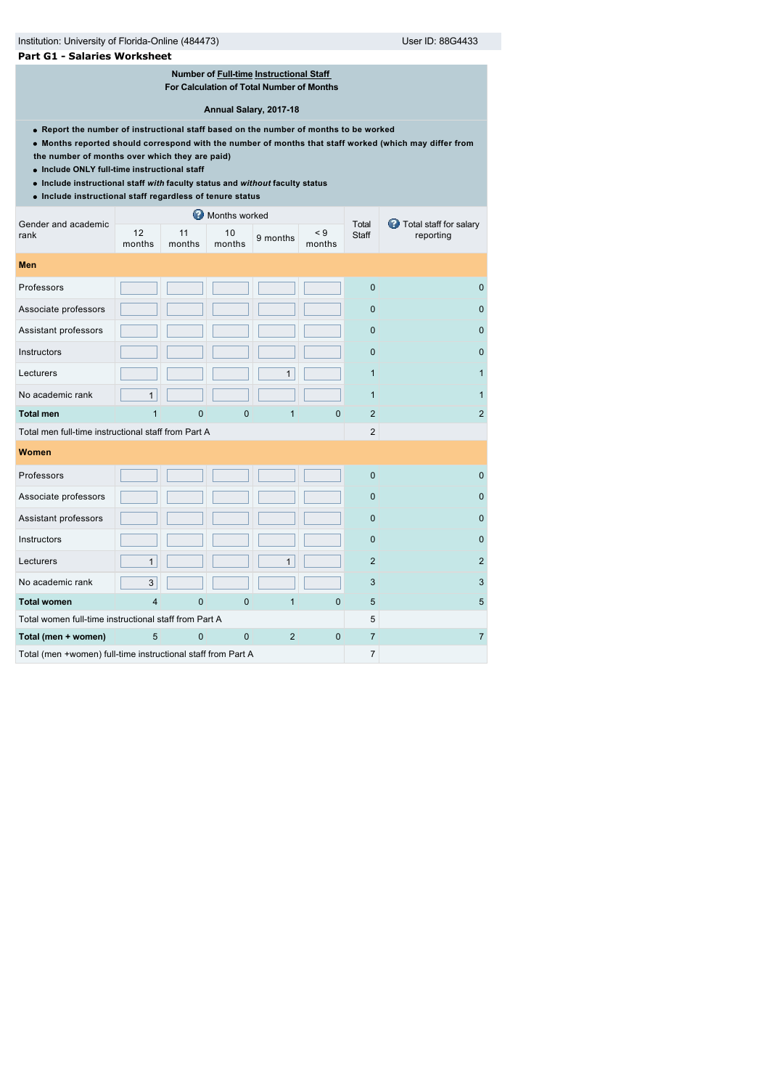### **Part G1 - Salaries Worksheet**

### **Number of [Full-time](javascript:openglossary(257)) [Instructional Staff](javascript:openglossary(996))  For Calculation of Total Number of Months**

**Annual Salary, 2017-18**

- **Report the number of instructional staff based on the number of months to be worked**
- **Months reported should correspond with the number of months that staff worked (which may differ from**
- **the number of months over which they are paid)**
- **Include ONLY full-time instructional staff**
- **Include instructional staff** *with* **faculty status and** *without* **faculty status**
- **Include instructional staff regardless of tenure status**

| Gender and academic                                          | ๏<br>Months worked |              |                |                |                    |                | Total staff for salary |  |
|--------------------------------------------------------------|--------------------|--------------|----------------|----------------|--------------------|----------------|------------------------|--|
| rank                                                         | 12<br>months       | 11<br>months | 10<br>months   | 9 months       | $\leq 9$<br>months | Total<br>Staff | reporting              |  |
| <b>Men</b>                                                   |                    |              |                |                |                    |                |                        |  |
| Professors                                                   |                    |              |                |                |                    | $\overline{0}$ | $\mathbf{0}$           |  |
| Associate professors                                         |                    |              |                |                |                    | $\mathbf 0$    | $\mathbf{0}$           |  |
| Assistant professors                                         |                    |              |                |                |                    | $\mathbf 0$    | $\mathbf{0}$           |  |
| Instructors                                                  |                    |              |                |                |                    | $\mathbf 0$    | $\mathbf{0}$           |  |
| Lecturers                                                    |                    |              |                | $\mathbf{1}$   |                    | $\mathbf{1}$   | $\mathbf{1}$           |  |
| No academic rank                                             | $\mathbf{1}$       |              |                |                |                    | $\mathbf{1}$   | 1                      |  |
| <b>Total men</b>                                             | 1                  | 0            | $\overline{0}$ | $\mathbf 1$    | $\mathbf{0}$       | $\overline{2}$ | $\overline{2}$         |  |
| Total men full-time instructional staff from Part A          |                    |              |                |                |                    | $\mathbf{2}$   |                        |  |
| Women                                                        |                    |              |                |                |                    |                |                        |  |
| Professors                                                   |                    |              |                |                |                    | $\mathbf 0$    | $\mathbf 0$            |  |
| Associate professors                                         |                    |              |                |                |                    | $\mathbf 0$    | $\mathbf{0}$           |  |
| Assistant professors                                         |                    |              |                |                |                    | $\mathbf 0$    | $\mathbf{0}$           |  |
| Instructors                                                  |                    |              |                |                |                    | $\mathbf 0$    | $\mathbf 0$            |  |
| Lecturers                                                    | $\mathbf{1}$       |              |                | $\mathbf{1}$   |                    | $\overline{2}$ | $\overline{2}$         |  |
| No academic rank                                             | 3                  |              |                |                |                    | 3              | 3                      |  |
| <b>Total women</b>                                           | $\overline{4}$     | 0            | $\overline{0}$ | 1              | $\mathbf 0$        | 5              | 5                      |  |
| Total women full-time instructional staff from Part A        |                    |              |                |                |                    | 5              |                        |  |
| Total (men + women)                                          | 5                  | $\mathbf 0$  | $\mathbf{0}$   | $\overline{2}$ | $\mathbf 0$        | $\overline{7}$ | $\overline{7}$         |  |
| Total (men +women) full-time instructional staff from Part A |                    |              |                |                |                    | $\overline{7}$ |                        |  |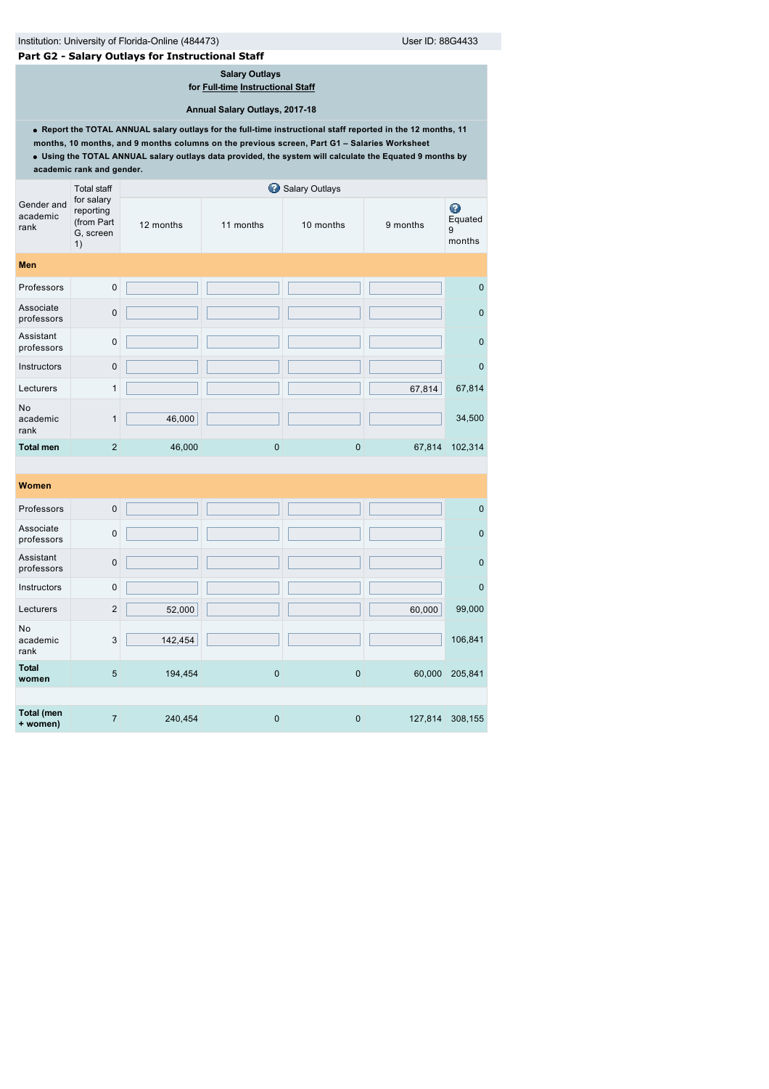**Total (men**

# **Part G2 - Salary Outlays for Instructional Staff**

**Salary Outlays for [Full-time](javascript:openglossary(257)) [Instructional Staff](javascript:openglossary(996))**

**Annual Salary Outlays, 2017-18**

**Report the TOTAL ANNUAL salary outlays for the full-time instructional staff reported in the 12 months, 11**

|                                | academic rank and gender.                                |           |             |                |          |                             |
|--------------------------------|----------------------------------------------------------|-----------|-------------|----------------|----------|-----------------------------|
|                                | <b>Total staff</b>                                       |           |             | Salary Outlays |          |                             |
| Gender and<br>academic<br>rank | for salary<br>reporting<br>(from Part<br>G, screen<br>1) | 12 months | 11 months   | 10 months      | 9 months | ◉<br>Equated<br>9<br>months |
| <b>Men</b>                     |                                                          |           |             |                |          |                             |
| Professors                     | $\mathbf 0$                                              |           |             |                |          | $\mathbf 0$                 |
| Associate<br>professors        | $\pmb{0}$                                                |           |             |                |          | $\pmb{0}$                   |
| Assistant<br>professors        | $\mathbf 0$                                              |           |             |                |          | $\pmb{0}$                   |
| Instructors                    | $\mathbf 0$                                              |           |             |                |          | $\pmb{0}$                   |
| Lecturers                      | 1                                                        |           |             |                | 67,814   | 67,814                      |
| No<br>academic<br>rank         | $\mathbf{1}$                                             | 46,000    |             |                |          | 34,500                      |
| <b>Total men</b>               | $\overline{2}$                                           | 46,000    | $\mathbf 0$ | $\mathbf 0$    | 67,814   | 102,314                     |
|                                |                                                          |           |             |                |          |                             |
| Women                          |                                                          |           |             |                |          |                             |
| Professors                     | $\mathbf 0$                                              |           |             |                |          | $\pmb{0}$                   |
| Associate<br>professors        | $\mathbf 0$                                              |           |             |                |          | $\pmb{0}$                   |
| Assistant<br>professors        | $\mathbf 0$                                              |           |             |                |          | $\mathbf 0$                 |
| Instructors                    | $\mathbf 0$                                              |           |             |                |          | $\pmb{0}$                   |
| Lecturers                      | $\overline{c}$                                           | 52,000    |             |                | 60,000   | 99,000                      |
| No<br>academic<br>rank         | 3                                                        | 142,454   |             |                |          | 106,841                     |
| <b>Total</b><br>women          | 5                                                        | 194,454   | $\mathbf 0$ | $\pmb{0}$      | 60,000   | 205,841                     |

**+ women)** 7 240,454 0 0 127,814 308,155 0 127,814 308,155

**months, 10 months, and 9 months columns on the previous screen, Part G1 – Salaries Worksheet Using the TOTAL ANNUAL salary outlays data provided, the system will calculate the Equated 9 months by**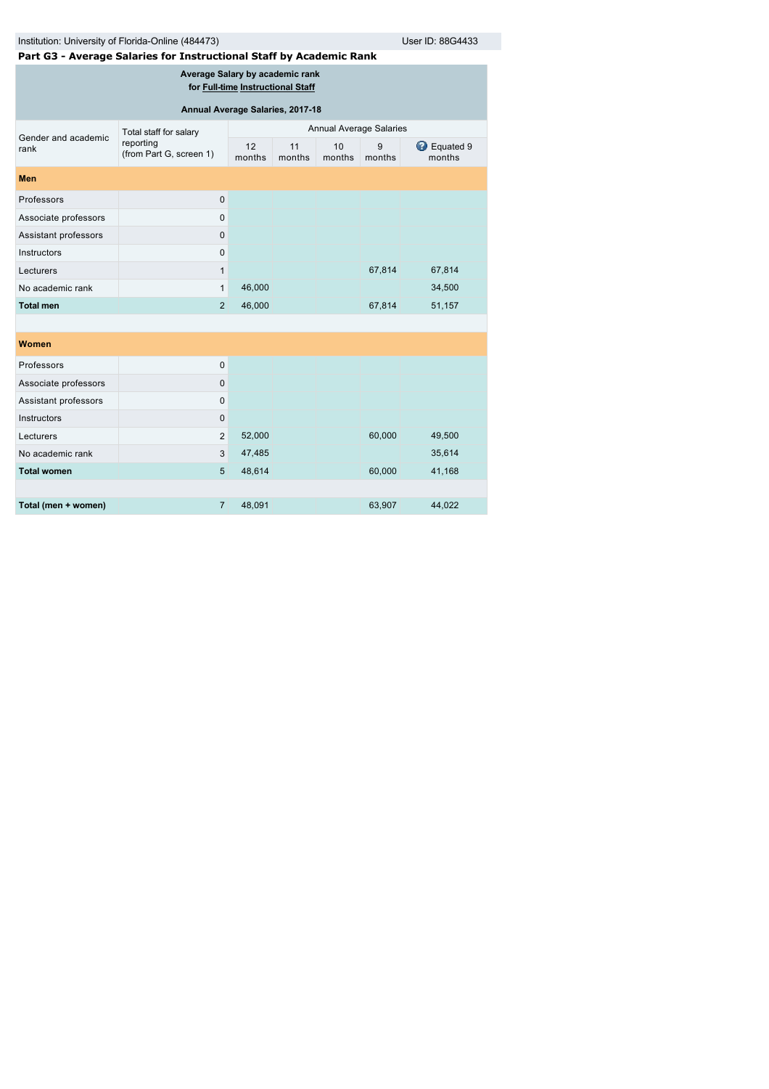| Institution: University of Florida-Online (484473) |  |
|----------------------------------------------------|--|
|                                                    |  |

Institution: University of Florida-Online (4854433) User ID: 88G4433

| Part G3 - Average Salaries for Instructional Staff by Academic Rank |  |  |
|---------------------------------------------------------------------|--|--|
|                                                                     |  |  |

**Average Salary by academic rank for [Full-time](javascript:openglossary(257)) [Instructional Staff](javascript:openglossary(996))**

| Annual Average Salaries, 2017-18 |                                      |                         |              |              |             |                     |  |
|----------------------------------|--------------------------------------|-------------------------|--------------|--------------|-------------|---------------------|--|
| Gender and academic              | Total staff for salary               | Annual Average Salaries |              |              |             |                     |  |
| rank                             | reporting<br>(from Part G, screen 1) | 12<br>months            | 11<br>months | 10<br>months | 9<br>months | Equated 9<br>months |  |
| <b>Men</b>                       |                                      |                         |              |              |             |                     |  |
| Professors                       | $\mathbf 0$                          |                         |              |              |             |                     |  |
| Associate professors             | $\mathbf 0$                          |                         |              |              |             |                     |  |
| Assistant professors             | $\mathbf 0$                          |                         |              |              |             |                     |  |
| Instructors                      | $\mathbf 0$                          |                         |              |              |             |                     |  |
| Lecturers                        | 1                                    |                         |              |              | 67,814      | 67,814              |  |
| No academic rank                 | 1                                    | 46,000                  |              |              |             | 34,500              |  |
| <b>Total men</b>                 | 2                                    | 46,000                  |              |              | 67,814      | 51,157              |  |
|                                  |                                      |                         |              |              |             |                     |  |
| <b>Women</b>                     |                                      |                         |              |              |             |                     |  |
| Professors                       | $\mathbf 0$                          |                         |              |              |             |                     |  |
| Associate professors             | $\mathbf 0$                          |                         |              |              |             |                     |  |
| Assistant professors             | $\mathbf 0$                          |                         |              |              |             |                     |  |
| Instructors                      | $\mathbf 0$                          |                         |              |              |             |                     |  |
| Lecturers                        | $\overline{2}$                       | 52,000                  |              |              | 60,000      | 49,500              |  |

| Lecturers           | 2 | 52,000 |  | 60,000 | 49,500 |
|---------------------|---|--------|--|--------|--------|
| No academic rank    | 3 | 47,485 |  |        | 35,614 |
| Total women         | 5 | 48.614 |  | 60,000 | 41,168 |
|                     |   |        |  |        |        |
| Total (men + women) |   | 48.091 |  | 63,907 | 44.022 |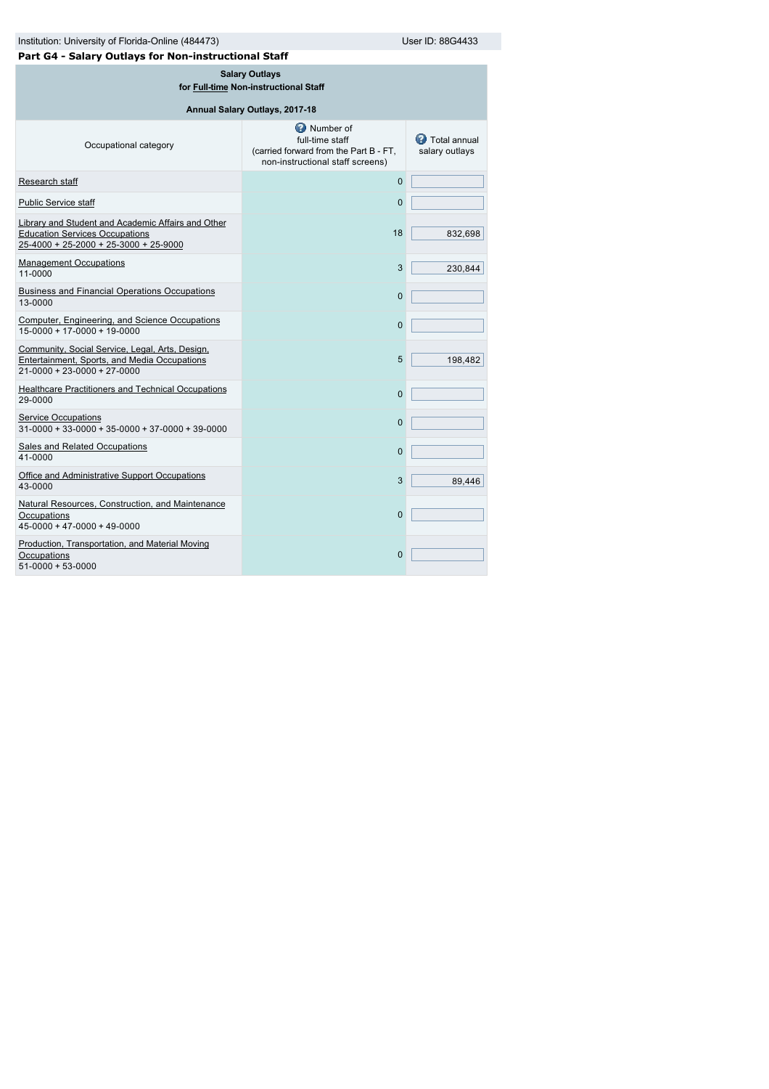| Institution: University of Florida-Online (484473)<br>Part G4 - Salary Outlays for Non-instructional Staff                           | User ID: 88G4433                                                                                                  |                                         |  |  |  |  |  |
|--------------------------------------------------------------------------------------------------------------------------------------|-------------------------------------------------------------------------------------------------------------------|-----------------------------------------|--|--|--|--|--|
| <b>Salary Outlays</b><br>for Full-time Non-instructional Staff                                                                       |                                                                                                                   |                                         |  |  |  |  |  |
| Annual Salary Outlays, 2017-18                                                                                                       |                                                                                                                   |                                         |  |  |  |  |  |
| Occupational category                                                                                                                | <b>Number of</b><br>full-time staff<br>(carried forward from the Part B - FT,<br>non-instructional staff screens) | <b>C</b> Total annual<br>salary outlays |  |  |  |  |  |
| Research staff                                                                                                                       | $\overline{0}$                                                                                                    |                                         |  |  |  |  |  |
| <b>Public Service staff</b>                                                                                                          | 0                                                                                                                 |                                         |  |  |  |  |  |
| Library and Student and Academic Affairs and Other<br><b>Education Services Occupations</b><br>25-4000 + 25-2000 + 25-3000 + 25-9000 | 18                                                                                                                | 832,698                                 |  |  |  |  |  |
| <b>Management Occupations</b><br>11-0000                                                                                             | 3                                                                                                                 | 230,844                                 |  |  |  |  |  |
| <b>Business and Financial Operations Occupations</b><br>13-0000                                                                      | $\overline{0}$                                                                                                    |                                         |  |  |  |  |  |
| Computer, Engineering, and Science Occupations<br>$15-0000 + 17-0000 + 19-0000$                                                      | $\Omega$                                                                                                          |                                         |  |  |  |  |  |
| Community, Social Service, Legal, Arts, Design,<br>Entertainment, Sports, and Media Occupations<br>21-0000 + 23-0000 + 27-0000       | 5                                                                                                                 | 198,482                                 |  |  |  |  |  |
| <b>Healthcare Practitioners and Technical Occupations</b><br>29-0000                                                                 | $\overline{0}$                                                                                                    |                                         |  |  |  |  |  |
| <b>Service Occupations</b><br>$31-0000 + 33-0000 + 35-0000 + 37-0000 + 39-0000$                                                      | $\overline{0}$                                                                                                    |                                         |  |  |  |  |  |
| <b>Sales and Related Occupations</b><br>41-0000                                                                                      | $\overline{0}$                                                                                                    |                                         |  |  |  |  |  |
| Office and Administrative Support Occupations<br>43-0000                                                                             | 3                                                                                                                 | 89.446                                  |  |  |  |  |  |
| Natural Resources, Construction, and Maintenance<br>Occupations<br>$45-0000 + 47-0000 + 49-0000$                                     | $\Omega$                                                                                                          |                                         |  |  |  |  |  |
| <b>Production, Transportation, and Material Moving</b><br>Occupations<br>51-0000 + 53-0000                                           | $\Omega$                                                                                                          |                                         |  |  |  |  |  |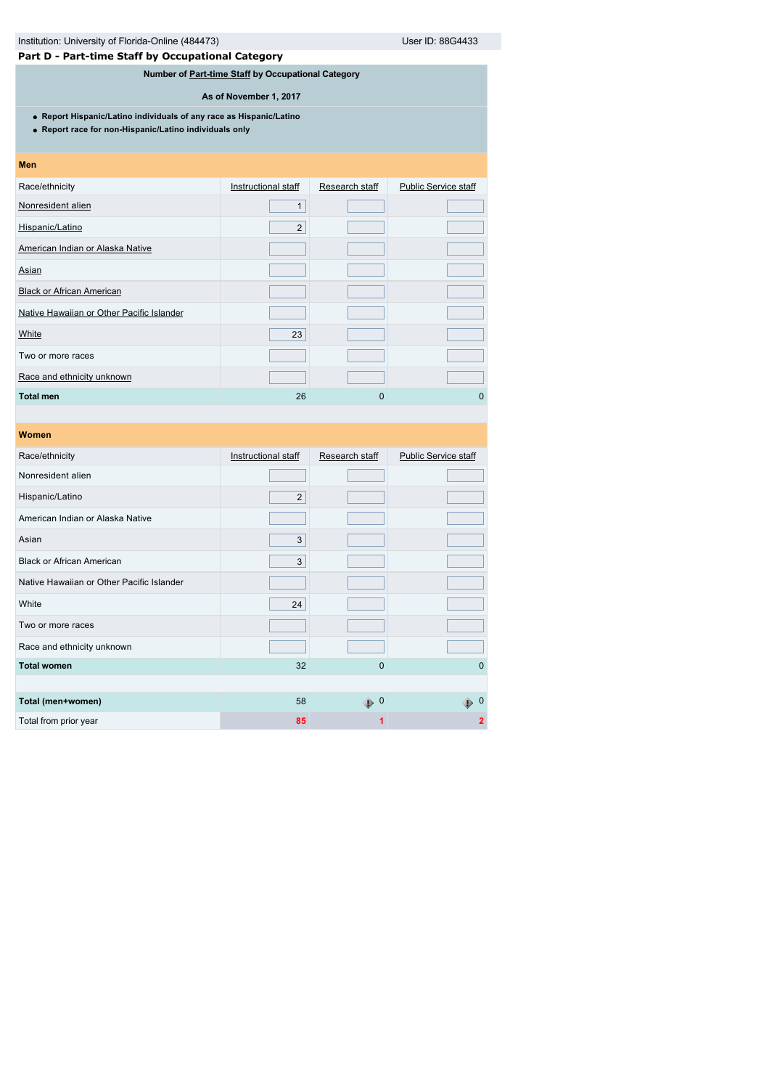**Part D - Part-time Staff by Occupational Category**

# **Number of [Part-time Staff](javascript:openglossary(467)) by Occupational Category**

**As of November 1, 2017**

**Report Hispanic/Latino individuals of any race as Hispanic/Latino**

**Report race for non-Hispanic/Latino individuals only**

| Men                                       |                     |                |                             |
|-------------------------------------------|---------------------|----------------|-----------------------------|
| Race/ethnicity                            | Instructional staff | Research staff | <b>Public Service staff</b> |
| Nonresident alien                         | 1                   |                |                             |
| Hispanic/Latino                           | $\overline{2}$      |                |                             |
| American Indian or Alaska Native          |                     |                |                             |
| Asian                                     |                     |                |                             |
| <b>Black or African American</b>          |                     |                |                             |
| Native Hawaiian or Other Pacific Islander |                     |                |                             |
| White                                     | 23                  |                |                             |
| Two or more races                         |                     |                |                             |
| Race and ethnicity unknown                |                     |                |                             |
| <b>Total men</b>                          | 26                  | 0              | 0                           |

| Women                                     |                     |                |                             |
|-------------------------------------------|---------------------|----------------|-----------------------------|
| Race/ethnicity                            | Instructional staff | Research staff | <b>Public Service staff</b> |
| Nonresident alien                         |                     |                |                             |
| Hispanic/Latino                           | $\overline{2}$      |                |                             |
| American Indian or Alaska Native          |                     |                |                             |
| Asian                                     | 3                   |                |                             |
| <b>Black or African American</b>          | 3                   |                |                             |
| Native Hawaiian or Other Pacific Islander |                     |                |                             |
| White                                     | 24                  |                |                             |
| Two or more races                         |                     |                |                             |
| Race and ethnicity unknown                |                     |                |                             |
| <b>Total women</b>                        | 32                  | $\mathbf 0$    | $\Omega$                    |
|                                           |                     |                |                             |
| Total (men+women)                         | 58                  | $\bigoplus$ 0  | - 0<br>⊕                    |
| Total from prior year                     | 85                  | 1              | $\mathbf{2}$                |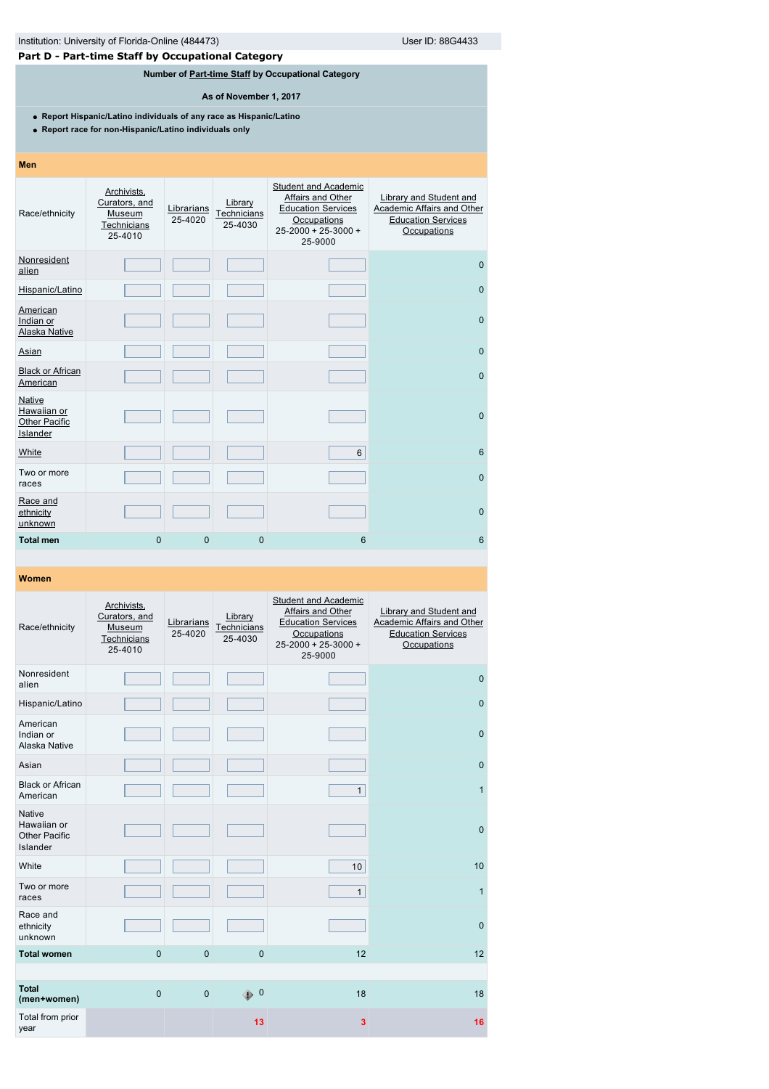# **Part D - Part-time Staff by Occupational Category**

# **Number of [Part-time Staff](javascript:openglossary(467)) by Occupational Category**

**As of November 1, 2017**

**Report Hispanic/Latino individuals of any race as Hispanic/Latino**

**Report race for non-Hispanic/Latino individuals only**

| Race/ethnicity                                                   | Archivists,<br>Curators, and<br>Museum<br>Technicians<br>25-4010 | Librarians<br>25-4020 | Library<br>Technicians<br>25-4030 | <b>Student and Academic</b><br><b>Affairs and Other</b><br><b>Education Services</b><br>Occupations<br>$25 - 2000 + 25 - 3000 +$<br>25-9000 | Library and Student and<br>Academic Affairs and Other<br><b>Education Services</b><br>Occupations |
|------------------------------------------------------------------|------------------------------------------------------------------|-----------------------|-----------------------------------|---------------------------------------------------------------------------------------------------------------------------------------------|---------------------------------------------------------------------------------------------------|
| Nonresident<br>alien                                             |                                                                  |                       |                                   |                                                                                                                                             | $\mathbf{0}$                                                                                      |
| Hispanic/Latino                                                  |                                                                  |                       |                                   |                                                                                                                                             | $\mathbf{0}$                                                                                      |
| American<br>Indian or<br>Alaska Native                           |                                                                  |                       |                                   |                                                                                                                                             | $\mathbf{0}$                                                                                      |
| Asian                                                            |                                                                  |                       |                                   |                                                                                                                                             | $\mathbf{0}$                                                                                      |
| <b>Black or African</b><br>American                              |                                                                  |                       |                                   |                                                                                                                                             | $\mathbf{0}$                                                                                      |
| <b>Native</b><br>Hawaiian or<br><b>Other Pacific</b><br>Islander |                                                                  |                       |                                   |                                                                                                                                             | $\mathbf{0}$                                                                                      |
| White                                                            |                                                                  |                       |                                   | 6                                                                                                                                           | $6\phantom{1}$                                                                                    |
| Two or more<br>races                                             |                                                                  |                       |                                   |                                                                                                                                             | $\mathbf{0}$                                                                                      |
| Race and<br>ethnicity<br>unknown                                 |                                                                  |                       |                                   |                                                                                                                                             | $\mathbf{0}$                                                                                      |
| <b>Total men</b>                                                 | $\overline{0}$                                                   | $\overline{0}$        | $\mathbf 0$                       | 6                                                                                                                                           | 6                                                                                                 |

### **Women**

**Men**

| Race/ethnicity                                                   | Archivists,<br>Curators, and<br>Museum<br>Technicians<br>25-4010 | Librarians<br>25-4020 | Library<br>Technicians<br>25-4030 | <b>Student and Academic</b><br>Affairs and Other<br><b>Education Services</b><br>Occupations<br>$25 - 2000 + 25 - 3000 +$<br>25-9000 | <b>Library and Student and</b><br>Academic Affairs and Other<br><b>Education Services</b><br>Occupations |
|------------------------------------------------------------------|------------------------------------------------------------------|-----------------------|-----------------------------------|--------------------------------------------------------------------------------------------------------------------------------------|----------------------------------------------------------------------------------------------------------|
| Nonresident<br>alien                                             |                                                                  |                       |                                   |                                                                                                                                      | $\mathbf{0}$                                                                                             |
| Hispanic/Latino                                                  |                                                                  |                       |                                   |                                                                                                                                      | $\pmb{0}$                                                                                                |
| American<br>Indian or<br>Alaska Native                           |                                                                  |                       |                                   |                                                                                                                                      | $\mathbf{0}$                                                                                             |
| Asian                                                            |                                                                  |                       |                                   |                                                                                                                                      | $\pmb{0}$                                                                                                |
| <b>Black or African</b><br>American                              |                                                                  |                       |                                   | $\mathbf{1}$                                                                                                                         | $\mathbf{1}$                                                                                             |
| <b>Native</b><br>Hawaiian or<br><b>Other Pacific</b><br>Islander |                                                                  |                       |                                   |                                                                                                                                      | $\mathbf{0}$                                                                                             |
| White                                                            |                                                                  |                       |                                   | 10                                                                                                                                   | 10                                                                                                       |
| Two or more<br>races                                             |                                                                  |                       |                                   | $\mathbf{1}$                                                                                                                         | $\mathbf{1}$                                                                                             |
| Race and<br>ethnicity<br>unknown                                 |                                                                  |                       |                                   |                                                                                                                                      | $\mathbf{0}$                                                                                             |
| <b>Total women</b>                                               | $\Omega$                                                         | $\overline{0}$        | $\Omega$                          | 12                                                                                                                                   | 12                                                                                                       |
|                                                                  |                                                                  |                       |                                   |                                                                                                                                      |                                                                                                          |
| <b>Total</b><br>(men+women)                                      | $\overline{0}$                                                   | $\overline{0}$        | ⊕ 0                               | 18                                                                                                                                   | 18                                                                                                       |
| Total from prior<br>year                                         |                                                                  |                       | 13                                | 3                                                                                                                                    | 16                                                                                                       |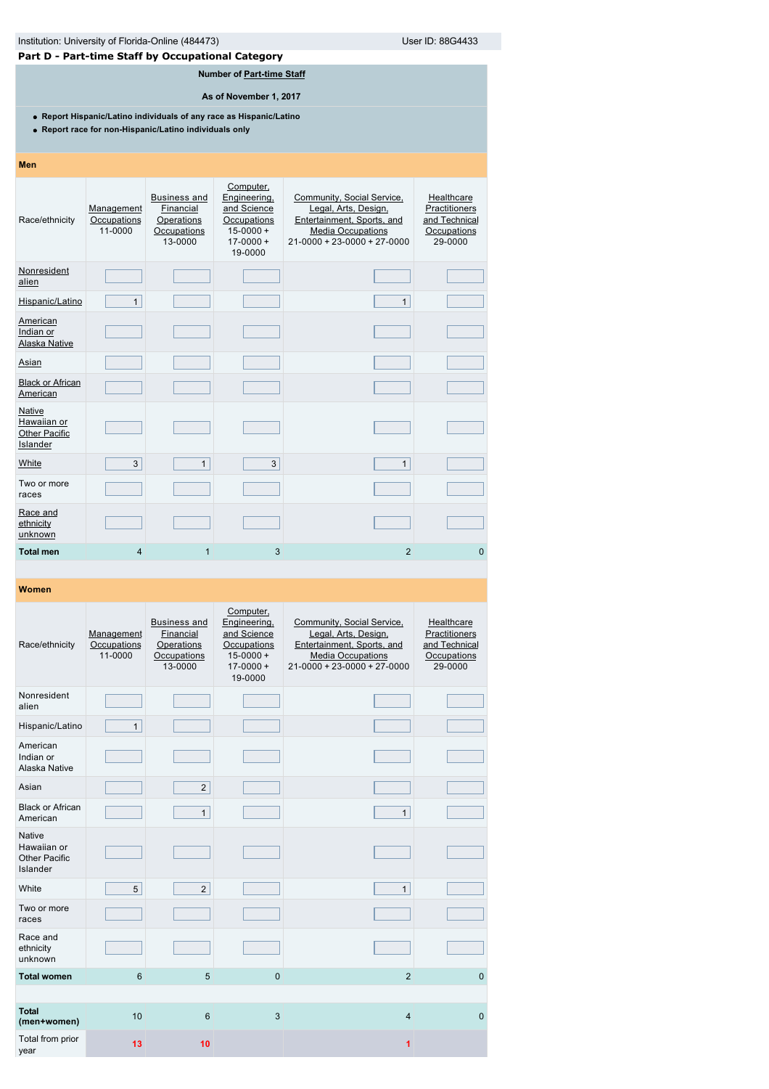| Institution: University of Florida-Online (484473)<br>User ID: 88G4433<br>Part D - Part-time Staff by Occupational Category   |                                      |                                                                          |                                                                                                      |                                                                                                                                               |                                                                        |  |  |  |
|-------------------------------------------------------------------------------------------------------------------------------|--------------------------------------|--------------------------------------------------------------------------|------------------------------------------------------------------------------------------------------|-----------------------------------------------------------------------------------------------------------------------------------------------|------------------------------------------------------------------------|--|--|--|
|                                                                                                                               |                                      |                                                                          | Number of Part-time Staff                                                                            |                                                                                                                                               |                                                                        |  |  |  |
|                                                                                                                               |                                      |                                                                          | As of November 1, 2017                                                                               |                                                                                                                                               |                                                                        |  |  |  |
| • Report Hispanic/Latino individuals of any race as Hispanic/Latino<br>• Report race for non-Hispanic/Latino individuals only |                                      |                                                                          |                                                                                                      |                                                                                                                                               |                                                                        |  |  |  |
| Men                                                                                                                           |                                      |                                                                          |                                                                                                      |                                                                                                                                               |                                                                        |  |  |  |
| Race/ethnicity                                                                                                                | Management<br>Occupations<br>11-0000 | <b>Business and</b><br>Financial<br>Operations<br>Occupations<br>13-0000 | Computer,<br>Engineering,<br>and Science<br>Occupations<br>$15 - 0000 +$<br>$17 - 0000 +$<br>19-0000 | Community, Social Service,<br>Legal, Arts, Design,<br>Entertainment, Sports, and<br><b>Media Occupations</b><br>$21-0000 + 23-0000 + 27-0000$ | Healthcare<br>Practitioners<br>and Technical<br>Occupations<br>29-0000 |  |  |  |
| Nonresident<br>alien                                                                                                          |                                      |                                                                          |                                                                                                      |                                                                                                                                               |                                                                        |  |  |  |
| Hispanic/Latino                                                                                                               | $\mathbf{1}$                         |                                                                          |                                                                                                      | $\mathbf{1}$                                                                                                                                  |                                                                        |  |  |  |
| <b>American</b><br>Indian or<br>Alaska Native                                                                                 |                                      |                                                                          |                                                                                                      |                                                                                                                                               |                                                                        |  |  |  |
| <b>Asian</b>                                                                                                                  |                                      |                                                                          |                                                                                                      |                                                                                                                                               |                                                                        |  |  |  |
| <b>Black or African</b><br>American                                                                                           |                                      |                                                                          |                                                                                                      |                                                                                                                                               |                                                                        |  |  |  |
| Native<br>Hawaiian or<br><b>Other Pacific</b><br>Islander                                                                     |                                      |                                                                          |                                                                                                      |                                                                                                                                               |                                                                        |  |  |  |
| <b>White</b>                                                                                                                  | 3                                    | 1                                                                        | 3                                                                                                    | $\mathbf{1}$                                                                                                                                  |                                                                        |  |  |  |
| Two or more<br>races                                                                                                          |                                      |                                                                          |                                                                                                      |                                                                                                                                               |                                                                        |  |  |  |
| Race and<br>ethnicity<br>unknown                                                                                              |                                      |                                                                          |                                                                                                      |                                                                                                                                               |                                                                        |  |  |  |
| <b>Total men</b>                                                                                                              | 4                                    | 1                                                                        | 3                                                                                                    | $\overline{2}$                                                                                                                                | 0                                                                      |  |  |  |

| Race/ethnicity                                                   | Management<br>Occupations<br>11-0000 | <b>Business and</b><br>Financial<br>Operations<br>Occupations<br>13-0000 | Computer,<br>Engineering,<br>and Science<br>Occupations<br>$15 - 0000 +$<br>$17 - 0000 +$<br>19-0000 | Community, Social Service,<br>Legal, Arts, Design,<br>Entertainment, Sports, and<br><b>Media Occupations</b><br>$21 - 0000 + 23 - 0000 + 27 - 0000$ | Healthcare<br>Practitioners<br>and Technical<br>Occupations<br>29-0000 |
|------------------------------------------------------------------|--------------------------------------|--------------------------------------------------------------------------|------------------------------------------------------------------------------------------------------|-----------------------------------------------------------------------------------------------------------------------------------------------------|------------------------------------------------------------------------|
| Nonresident<br>alien                                             |                                      |                                                                          |                                                                                                      |                                                                                                                                                     |                                                                        |
| Hispanic/Latino                                                  | $\mathbf{1}$                         |                                                                          |                                                                                                      |                                                                                                                                                     |                                                                        |
| American<br>Indian or<br>Alaska Native                           |                                      |                                                                          |                                                                                                      |                                                                                                                                                     |                                                                        |
| Asian                                                            |                                      | $\overline{2}$                                                           |                                                                                                      |                                                                                                                                                     |                                                                        |
| <b>Black or African</b><br>American                              |                                      | $\mathbf{1}$                                                             |                                                                                                      | $\mathbf{1}$                                                                                                                                        |                                                                        |
| <b>Native</b><br>Hawaiian or<br><b>Other Pacific</b><br>Islander |                                      |                                                                          |                                                                                                      |                                                                                                                                                     |                                                                        |
| White                                                            | 5                                    | 2                                                                        |                                                                                                      | $\mathbf{1}$                                                                                                                                        |                                                                        |
| Two or more<br>races                                             |                                      |                                                                          |                                                                                                      |                                                                                                                                                     |                                                                        |
| Race and<br>ethnicity<br>unknown                                 |                                      |                                                                          |                                                                                                      |                                                                                                                                                     |                                                                        |
| <b>Total women</b>                                               | 6                                    | 5                                                                        | $\mathbf{0}$                                                                                         | $\overline{2}$                                                                                                                                      | $\mathbf 0$                                                            |
|                                                                  |                                      |                                                                          |                                                                                                      |                                                                                                                                                     |                                                                        |
| <b>Total</b><br>(men+women)                                      | 10                                   | $6\phantom{1}6$                                                          | 3                                                                                                    | $\overline{4}$                                                                                                                                      | $\mathbf 0$                                                            |
| Total from prior<br>year                                         | 13                                   | 10                                                                       |                                                                                                      |                                                                                                                                                     |                                                                        |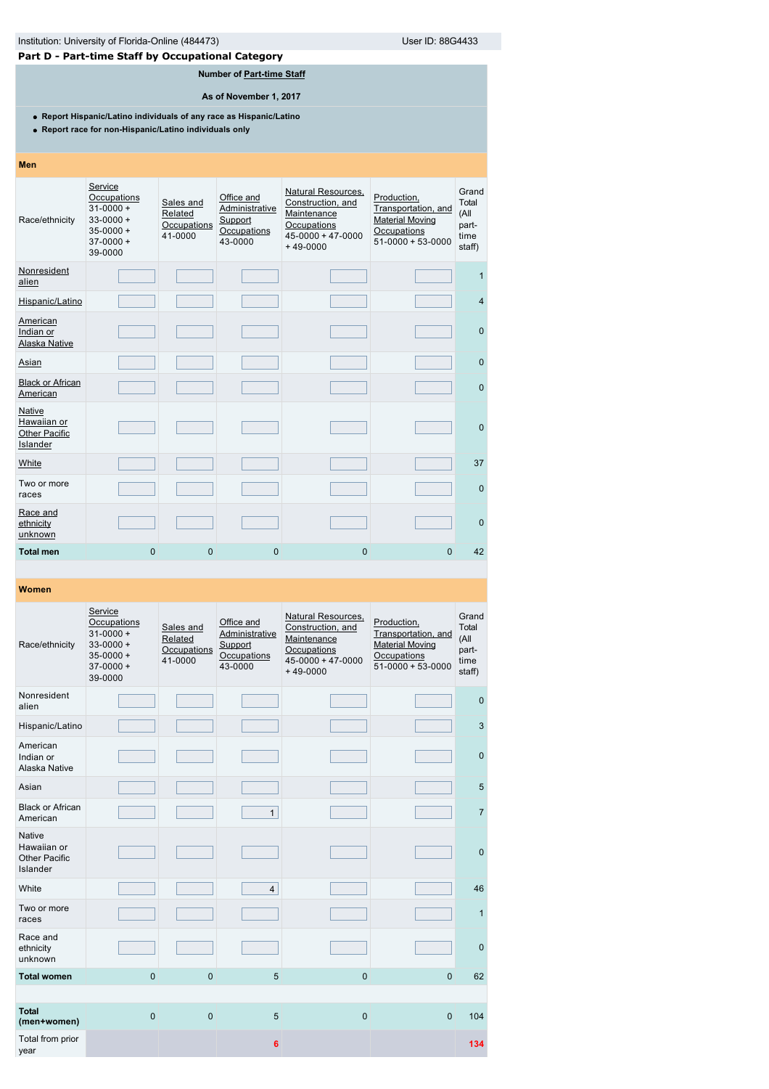# **Part D - Part-time Staff by Occupational Category**

# **Number of [Part-time Staff](javascript:openglossary(467))**

**As of November 1, 2017**

**Report Hispanic/Latino individuals of any race as Hispanic/Latino**

**Report race for non-Hispanic/Latino individuals only**

| Men                                                       |                                                                                                    |                                                |                                                                   |                                                                                                                |                                                                                                        |                                                   |
|-----------------------------------------------------------|----------------------------------------------------------------------------------------------------|------------------------------------------------|-------------------------------------------------------------------|----------------------------------------------------------------------------------------------------------------|--------------------------------------------------------------------------------------------------------|---------------------------------------------------|
| Race/ethnicity                                            | Service<br>Occupations<br>$31 - 0000 +$<br>$33 - 0000 +$<br>$35 - 0000 +$<br>$37-0000+$<br>39-0000 | Sales and<br>Related<br>Occupations<br>41-0000 | Office and<br>Administrative<br>Support<br>Occupations<br>43-0000 | Natural Resources,<br>Construction, and<br>Maintenance<br>Occupations<br>$45 - 0000 + 47 - 0000$<br>$+49-0000$ | Production,<br>Transportation, and<br><b>Material Moving</b><br>Occupations<br>$51 - 0000 + 53 - 0000$ | Grand<br>Total<br>(All<br>part-<br>time<br>staff) |
| Nonresident<br>alien                                      |                                                                                                    |                                                |                                                                   |                                                                                                                |                                                                                                        | 1                                                 |
| Hispanic/Latino                                           |                                                                                                    |                                                |                                                                   |                                                                                                                |                                                                                                        | $\overline{4}$                                    |
| American<br>Indian or<br>Alaska Native                    |                                                                                                    |                                                |                                                                   |                                                                                                                |                                                                                                        | $\mathbf{0}$                                      |
| Asian                                                     |                                                                                                    |                                                |                                                                   |                                                                                                                |                                                                                                        | $\mathbf{0}$                                      |
| <b>Black or African</b><br>American                       |                                                                                                    |                                                |                                                                   |                                                                                                                |                                                                                                        | $\mathbf{0}$                                      |
| Native<br>Hawaiian or<br><b>Other Pacific</b><br>Islander |                                                                                                    |                                                |                                                                   |                                                                                                                |                                                                                                        | $\Omega$                                          |
| White                                                     |                                                                                                    |                                                |                                                                   |                                                                                                                |                                                                                                        | 37                                                |
| Two or more<br>races                                      |                                                                                                    |                                                |                                                                   |                                                                                                                |                                                                                                        | $\mathbf{0}$                                      |
| Race and<br>ethnicity<br>unknown                          |                                                                                                    |                                                |                                                                   |                                                                                                                |                                                                                                        | $\Omega$                                          |
| <b>Total men</b>                                          | $\overline{0}$                                                                                     | $\mathbf{0}$                                   | $\mathbf{0}$                                                      | $\mathbf 0$                                                                                                    | $\Omega$                                                                                               | 42                                                |

| Race/ethnicity                                            | Service<br>Occupations<br>$31 - 0000 +$<br>$33 - 0000 +$<br>$35 - 0000 +$<br>$37-0000+$<br>39-0000 | Sales and<br>Related<br>Occupations<br>41-0000 | Office and<br>Administrative<br>Support<br>Occupations<br>43-0000 | Natural Resources,<br>Construction, and<br>Maintenance<br>Occupations<br>$45 - 0000 + 47 - 0000$<br>$+49-0000$ | Production,<br>Transportation, and<br><b>Material Moving</b><br>Occupations<br>$51 - 0000 + 53 - 0000$ | Grand<br>Total<br>(All<br>part-<br>time<br>staff) |
|-----------------------------------------------------------|----------------------------------------------------------------------------------------------------|------------------------------------------------|-------------------------------------------------------------------|----------------------------------------------------------------------------------------------------------------|--------------------------------------------------------------------------------------------------------|---------------------------------------------------|
| Nonresident<br>alien                                      |                                                                                                    |                                                |                                                                   |                                                                                                                |                                                                                                        | $\mathbf 0$                                       |
| Hispanic/Latino                                           |                                                                                                    |                                                |                                                                   |                                                                                                                |                                                                                                        | 3                                                 |
| American<br>Indian or<br>Alaska Native                    |                                                                                                    |                                                |                                                                   |                                                                                                                |                                                                                                        | $\mathbf{0}$                                      |
| Asian                                                     |                                                                                                    |                                                |                                                                   |                                                                                                                |                                                                                                        | 5                                                 |
| <b>Black or African</b><br>American                       |                                                                                                    |                                                | $\mathbf{1}$                                                      |                                                                                                                |                                                                                                        | $\overline{7}$                                    |
| <b>Native</b><br>Hawaiian or<br>Other Pacific<br>Islander |                                                                                                    |                                                |                                                                   |                                                                                                                |                                                                                                        | $\mathbf 0$                                       |
| White                                                     |                                                                                                    |                                                | $\overline{4}$                                                    |                                                                                                                |                                                                                                        | 46                                                |
| Two or more<br>races                                      |                                                                                                    |                                                |                                                                   |                                                                                                                |                                                                                                        | $\mathbf{1}$                                      |
| Race and<br>ethnicity<br>unknown                          |                                                                                                    |                                                |                                                                   |                                                                                                                |                                                                                                        | $\mathbf{0}$                                      |
| <b>Total women</b>                                        | $\mathbf 0$                                                                                        | $\mathbf 0$                                    | 5                                                                 | $\overline{0}$                                                                                                 | $\mathbf{0}$                                                                                           | 62                                                |
|                                                           |                                                                                                    |                                                |                                                                   |                                                                                                                |                                                                                                        |                                                   |
| <b>Total</b><br>(men+women)                               | $\mathbf 0$                                                                                        | $\mathbf 0$                                    | 5                                                                 | $\mathbf 0$                                                                                                    | $\mathbf{0}$                                                                                           | 104                                               |
| Total from prior<br>year                                  |                                                                                                    |                                                | 6                                                                 |                                                                                                                |                                                                                                        | 134                                               |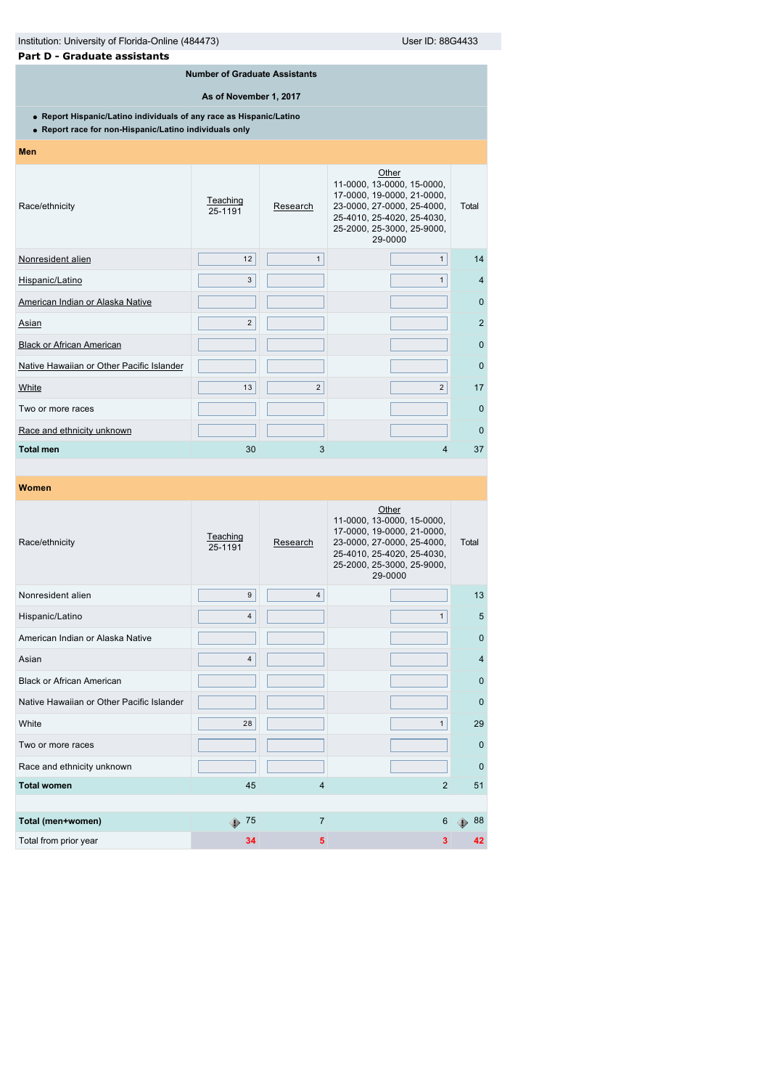| Institution: University of Florida-Online (484473)<br>User ID: 88G4433                                                        |                                      |                |                                                                                                                                                                        |                |  |  |  |  |
|-------------------------------------------------------------------------------------------------------------------------------|--------------------------------------|----------------|------------------------------------------------------------------------------------------------------------------------------------------------------------------------|----------------|--|--|--|--|
| Part D - Graduate assistants                                                                                                  |                                      |                |                                                                                                                                                                        |                |  |  |  |  |
|                                                                                                                               | <b>Number of Graduate Assistants</b> |                |                                                                                                                                                                        |                |  |  |  |  |
|                                                                                                                               | As of November 1, 2017               |                |                                                                                                                                                                        |                |  |  |  |  |
| • Report Hispanic/Latino individuals of any race as Hispanic/Latino<br>• Report race for non-Hispanic/Latino individuals only |                                      |                |                                                                                                                                                                        |                |  |  |  |  |
| <b>Men</b>                                                                                                                    |                                      |                |                                                                                                                                                                        |                |  |  |  |  |
| Race/ethnicity                                                                                                                | Teaching<br>25-1191                  | Research       | Other<br>11-0000, 13-0000, 15-0000,<br>17-0000, 19-0000, 21-0000,<br>23-0000, 27-0000, 25-4000,<br>25-4010, 25-4020, 25-4030,<br>25-2000, 25-3000, 25-9000,<br>29-0000 | Total          |  |  |  |  |
| Nonresident alien                                                                                                             | 12                                   | 1              | $\mathbf{1}$                                                                                                                                                           | 14             |  |  |  |  |
| Hispanic/Latino                                                                                                               | 3                                    |                | 1                                                                                                                                                                      | $\overline{4}$ |  |  |  |  |
| American Indian or Alaska Native                                                                                              |                                      |                |                                                                                                                                                                        | $\Omega$       |  |  |  |  |
| Asian                                                                                                                         | $\overline{2}$                       |                |                                                                                                                                                                        | $\overline{2}$ |  |  |  |  |
| <b>Black or African American</b>                                                                                              |                                      |                |                                                                                                                                                                        | $\Omega$       |  |  |  |  |
| Native Hawaiian or Other Pacific Islander                                                                                     |                                      |                |                                                                                                                                                                        | $\mathbf{0}$   |  |  |  |  |
| White                                                                                                                         | 13                                   | $\overline{2}$ | $\overline{2}$                                                                                                                                                         | 17             |  |  |  |  |
| Two or more races                                                                                                             |                                      |                |                                                                                                                                                                        | $\mathbf{0}$   |  |  |  |  |
| Race and ethnicity unknown                                                                                                    |                                      |                |                                                                                                                                                                        | $\Omega$       |  |  |  |  |
| <b>Total men</b>                                                                                                              | 30                                   | 3              | 4                                                                                                                                                                      | 37             |  |  |  |  |
|                                                                                                                               |                                      |                |                                                                                                                                                                        |                |  |  |  |  |
| Women                                                                                                                         |                                      |                |                                                                                                                                                                        |                |  |  |  |  |

| Race/ethnicity                            | Teaching<br>25-1191 | Research       | Other<br>11-0000, 13-0000, 15-0000,<br>17-0000, 19-0000, 21-0000,<br>23-0000, 27-0000, 25-4000,<br>25-4010, 25-4020, 25-4030,<br>25-2000, 25-3000, 25-9000,<br>29-0000 | Total          |
|-------------------------------------------|---------------------|----------------|------------------------------------------------------------------------------------------------------------------------------------------------------------------------|----------------|
| Nonresident alien                         | 9                   | $\overline{4}$ |                                                                                                                                                                        | 13             |
| Hispanic/Latino                           | $\overline{4}$      |                | $\mathbf{1}$                                                                                                                                                           | 5              |
| American Indian or Alaska Native          |                     |                |                                                                                                                                                                        | $\mathbf{0}$   |
| Asian                                     | 4                   |                |                                                                                                                                                                        | $\overline{4}$ |
| <b>Black or African American</b>          |                     |                |                                                                                                                                                                        | $\mathbf 0$    |
| Native Hawaiian or Other Pacific Islander |                     |                |                                                                                                                                                                        | $\mathbf{0}$   |
| White                                     | 28                  |                | $\mathbf{1}$                                                                                                                                                           | 29             |
| Two or more races                         |                     |                |                                                                                                                                                                        | $\Omega$       |
| Race and ethnicity unknown                |                     |                |                                                                                                                                                                        | $\mathbf 0$    |
| <b>Total women</b>                        | 45                  | 4              | $\overline{2}$                                                                                                                                                         | 51             |
|                                           |                     |                |                                                                                                                                                                        |                |
| Total (men+women)                         | 75<br>⊕             | $\overline{7}$ | 6                                                                                                                                                                      | 88             |
| Total from prior year                     | 34                  | 5              | 3                                                                                                                                                                      | 42             |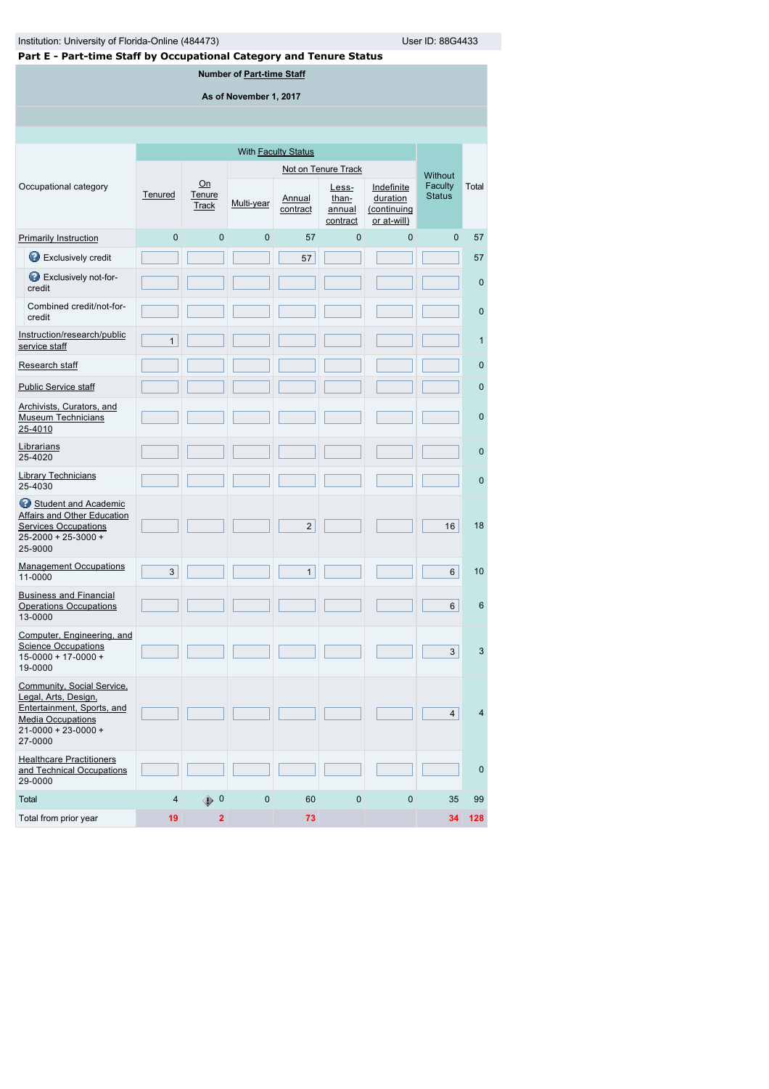**Number of [Part-time Staff](javascript:openglossary(467))**

**As of November 1, 2017**

|                                                                                                                                                      |              |                               |                | With <b>Faculty Status</b> |                                      |                                                      |                          |                |
|------------------------------------------------------------------------------------------------------------------------------------------------------|--------------|-------------------------------|----------------|----------------------------|--------------------------------------|------------------------------------------------------|--------------------------|----------------|
|                                                                                                                                                      |              |                               |                |                            | Not on Tenure Track                  |                                                      | <b>Without</b>           |                |
| Occupational category                                                                                                                                | Tenured      | On<br>Tenure<br><b>Track</b>  | Multi-year     | Annual<br>contract         | Less-<br>than-<br>annual<br>contract | Indefinite<br>duration<br>(continuing<br>or at-will) | Faculty<br><b>Status</b> | Total          |
| <b>Primarily Instruction</b>                                                                                                                         | $\mathbf 0$  | $\mathbf 0$                   | $\overline{0}$ | 57                         | $\mathbf 0$                          | $\mathbf 0$                                          | $\mathbf{0}$             | 57             |
| Exclusively credit                                                                                                                                   |              |                               |                | 57                         |                                      |                                                      |                          | 57             |
| Exclusively not-for-<br>credit                                                                                                                       |              |                               |                |                            |                                      |                                                      |                          | $\mathbf{0}$   |
| Combined credit/not-for-<br>credit                                                                                                                   |              |                               |                |                            |                                      |                                                      |                          | $\mathbf{0}$   |
| Instruction/research/public<br>service staff                                                                                                         | $\mathbf{1}$ |                               |                |                            |                                      |                                                      |                          | 1              |
| Research staff                                                                                                                                       |              |                               |                |                            |                                      |                                                      |                          | $\mathbf 0$    |
| <b>Public Service staff</b>                                                                                                                          |              |                               |                |                            |                                      |                                                      |                          | $\mathbf 0$    |
| Archivists, Curators, and<br><b>Museum Technicians</b><br>25-4010                                                                                    |              |                               |                |                            |                                      |                                                      |                          | $\mathbf 0$    |
| Librarians<br>25-4020                                                                                                                                |              |                               |                |                            |                                      |                                                      |                          | $\mathbf{0}$   |
| <b>Library Technicians</b><br>25-4030                                                                                                                |              |                               |                |                            |                                      |                                                      |                          | $\mathbf{0}$   |
| Student and Academic<br><b>Affairs and Other Education</b><br><b>Services Occupations</b><br>25-2000 + 25-3000 +<br>25-9000                          |              |                               |                | $\overline{2}$             |                                      |                                                      | 16                       | 18             |
| <b>Management Occupations</b><br>11-0000                                                                                                             | 3            |                               |                | $\mathbf{1}$               |                                      |                                                      | 6                        | 10             |
| <b>Business and Financial</b><br><b>Operations Occupations</b><br>13-0000                                                                            |              |                               |                |                            |                                      |                                                      | 6                        | 6              |
| Computer, Engineering, and<br><b>Science Occupations</b><br>$15-0000 + 17-0000 +$<br>19-0000                                                         |              |                               |                |                            |                                      |                                                      | 3                        | 3              |
| Community, Social Service,<br>Legal, Arts, Design,<br>Entertainment, Sports, and<br><b>Media Occupations</b><br>$21 - 0000 + 23 - 0000 +$<br>27-0000 |              |                               |                |                            |                                      |                                                      | 4                        | $\overline{4}$ |
| <b>Healthcare Practitioners</b><br>and Technical Occupations<br>29-0000                                                                              |              |                               |                |                            |                                      |                                                      |                          | $\mathbf{0}$   |
| Total                                                                                                                                                | 4            | $\overline{\mathbf{0}}$<br>⊕. | $\pmb{0}$      | 60                         | 0                                    | $\mathbf 0$                                          | 35                       | 99             |
| Total from prior year                                                                                                                                | 19           | $\mathbf 2$                   |                | 73                         |                                      |                                                      | 34                       | 128            |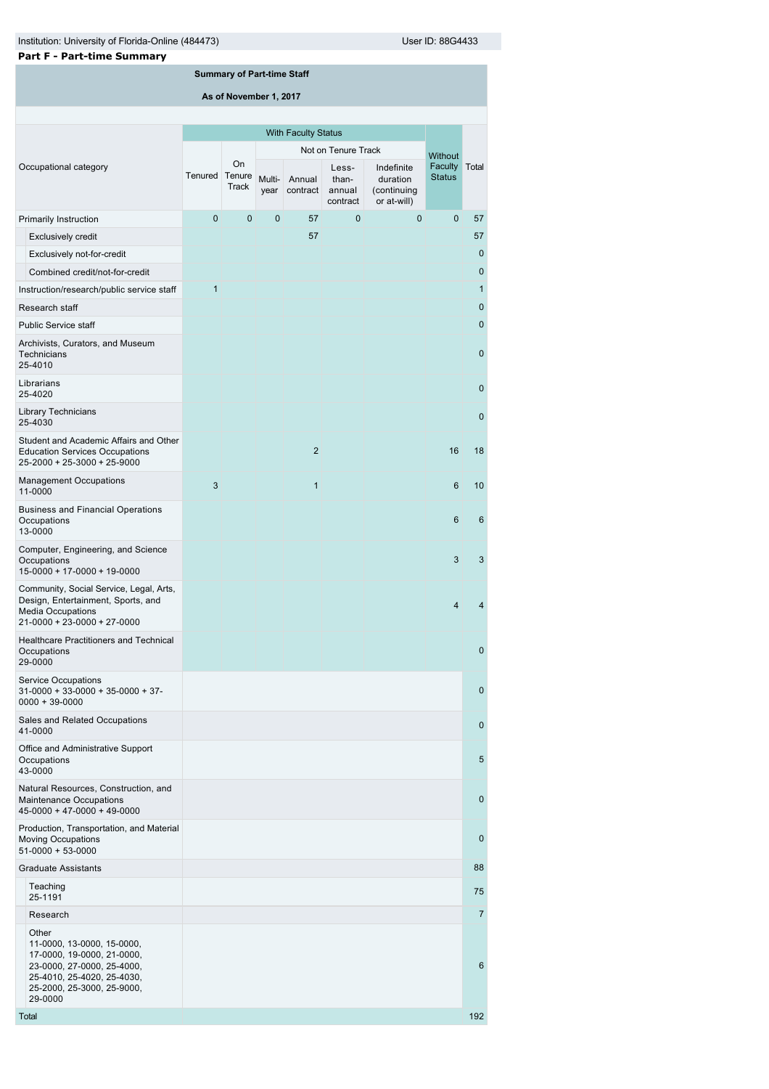$\overline{0}$ 

0

6

| Institution: University of Florida-Online (484473)<br>User ID: 88G4433                                                                           |                |                                   |              |                            |                                      |                                                      |                                 |              |
|--------------------------------------------------------------------------------------------------------------------------------------------------|----------------|-----------------------------------|--------------|----------------------------|--------------------------------------|------------------------------------------------------|---------------------------------|--------------|
| <b>Part F - Part-time Summary</b>                                                                                                                |                |                                   |              |                            |                                      |                                                      |                                 |              |
|                                                                                                                                                  |                | <b>Summary of Part-time Staff</b> |              |                            |                                      |                                                      |                                 |              |
|                                                                                                                                                  |                | As of November 1, 2017            |              |                            |                                      |                                                      |                                 |              |
|                                                                                                                                                  |                |                                   |              |                            |                                      |                                                      |                                 |              |
|                                                                                                                                                  |                |                                   |              | <b>With Faculty Status</b> |                                      |                                                      |                                 |              |
|                                                                                                                                                  |                |                                   |              |                            | Not on Tenure Track                  |                                                      | <b>Without</b>                  |              |
| Occupational category                                                                                                                            | Tenured Tenure | On<br><b>Track</b>                | year         | Multi- Annual<br>contract  | Less-<br>than-<br>annual<br>contract | Indefinite<br>duration<br>(continuing<br>or at-will) | <b>Faculty</b><br><b>Status</b> | Total        |
| Primarily Instruction                                                                                                                            | 0              | $\mathbf 0$                       | $\mathbf{0}$ | 57                         | $\mathbf{0}$                         | 0                                                    | $\Omega$                        | 57           |
| <b>Exclusively credit</b>                                                                                                                        |                |                                   |              | 57                         |                                      |                                                      |                                 | 57           |
| Exclusively not-for-credit                                                                                                                       |                |                                   |              |                            |                                      |                                                      |                                 | $\mathbf{0}$ |
| Combined credit/not-for-credit                                                                                                                   |                |                                   |              |                            |                                      |                                                      |                                 | $\mathbf 0$  |
| Instruction/research/public service staff                                                                                                        | $\mathbf{1}$   |                                   |              |                            |                                      |                                                      |                                 | $\mathbf{1}$ |
| Research staff                                                                                                                                   |                |                                   |              |                            |                                      |                                                      |                                 | $\mathbf 0$  |
| <b>Public Service staff</b>                                                                                                                      |                |                                   |              |                            |                                      |                                                      |                                 | $\mathbf{0}$ |
| Archivists, Curators, and Museum<br><b>Technicians</b><br>25-4010                                                                                |                |                                   |              |                            |                                      |                                                      |                                 | $\mathbf 0$  |
| Librarians<br>25-4020                                                                                                                            |                |                                   |              |                            |                                      |                                                      |                                 | $\mathbf 0$  |
| <b>Library Technicians</b><br>25-4030                                                                                                            |                |                                   |              |                            |                                      |                                                      |                                 | $\mathbf 0$  |
| Student and Academic Affairs and Other<br><b>Education Services Occupations</b><br>25-2000 + 25-3000 + 25-9000                                   |                |                                   |              | $\overline{2}$             |                                      |                                                      | 16                              | 18           |
| <b>Management Occupations</b><br>11-0000                                                                                                         | 3              |                                   |              | $\overline{1}$             |                                      |                                                      | 6                               | 10           |
| <b>Business and Financial Operations</b><br>Occupations<br>13-0000                                                                               |                |                                   |              |                            |                                      |                                                      | 6                               | 6            |
| Computer, Engineering, and Science<br>Occupations<br>15-0000 + 17-0000 + 19-0000                                                                 |                |                                   |              |                            |                                      |                                                      | 3                               | 3            |
| Community, Social Service, Legal, Arts,<br>Design, Entertainment, Sports, and<br><b>Media Occupations</b><br>$21 - 0000 + 23 - 0000 + 27 - 0000$ |                |                                   |              |                            |                                      |                                                      | $\overline{4}$                  | 4            |
| <b>Healthcare Practitioners and Technical</b><br>Occupations<br>29-0000                                                                          |                |                                   |              |                            |                                      |                                                      |                                 | $\mathbf{0}$ |
| <b>Service Occupations</b><br>$31-0000 + 33-0000 + 35-0000 + 37-$<br>$0000 + 39 - 0000$                                                          |                |                                   |              |                            |                                      |                                                      |                                 | $\mathbf{0}$ |
| Sales and Related Occupations<br>41-0000                                                                                                         |                |                                   |              |                            |                                      |                                                      |                                 | $\mathbf{0}$ |
| Office and Administrative Support<br>Occupations                                                                                                 |                |                                   |              |                            |                                      |                                                      |                                 | 5            |

Natural Resources, Construction, and Maintenance Occupations 45-0000 + 47-0000 + 49-0000 Production, Transportation, and Material Moving Occupations 51-0000 + 53-0000 Graduate Assistants 88 Teaching<br>25-1191 reading the control of the control of the control of the control of the control of the control of the control of the control of the control of the control of the control of the control of the control of the control of the Research 7 Other 11-0000, 13-0000, 15-0000, 17-0000, 19-0000, 21-0000, 23-0000, 27-0000, 25-4000, 25-4010, 25-4020, 25-4030, 25-2000, 25-3000, 25-9000, 29-0000 Total 1923, and the control of the control of the control of the control of the control of the control of the control of the control of the control of the control of the control of the control of the control of the control

43-0000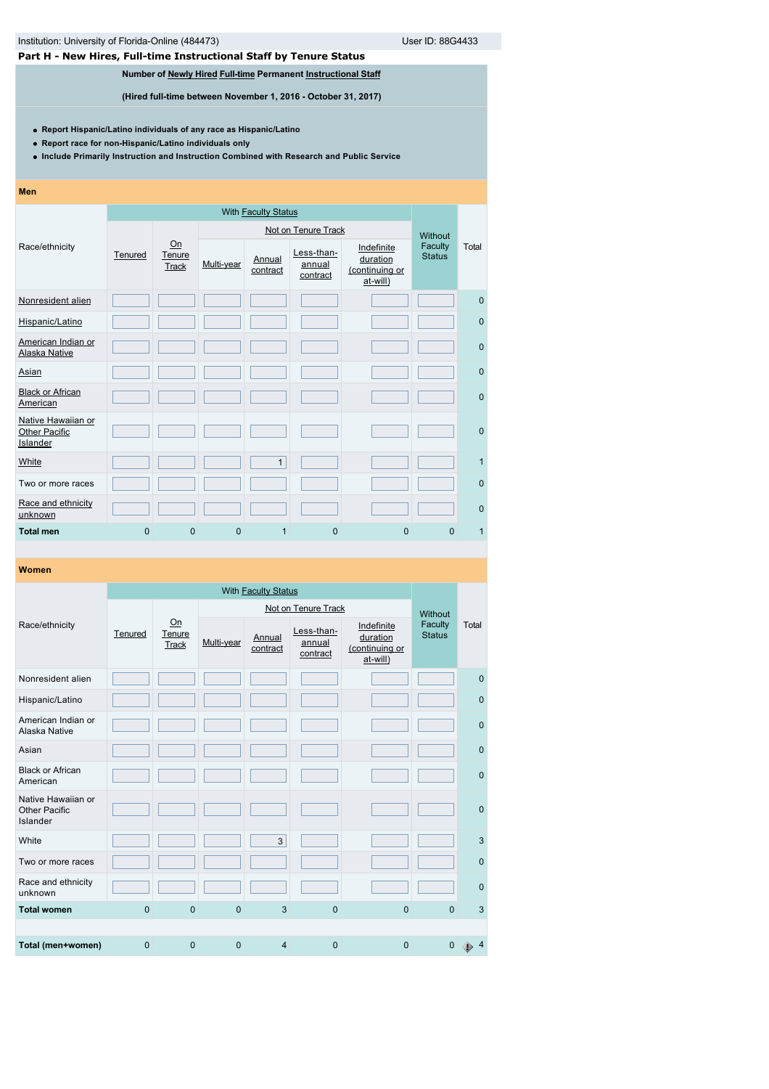# **Part H - New Hires, Full-time Instructional Staff by Tenure Status**

# **Number of [Newly Hired](javascript:openglossary(407)) [Full-time](javascript:openglossary(257)) Permanent [Instructional Staff](javascript:openglossary(996))**

**(Hired full-time between November 1, 2016 - October 31, 2017)**

**Report Hispanic/Latino individuals of any race as Hispanic/Latino**

**Report race for non-Hispanic/Latino individuals only**

**Include Primarily Instruction and Instruction Combined with Research and Public Service**

### **Men**

|                                                 |                |                       |             |                    | Not on Tenure Track              |                                                      | Without                  |              |
|-------------------------------------------------|----------------|-----------------------|-------------|--------------------|----------------------------------|------------------------------------------------------|--------------------------|--------------|
| Race/ethnicity                                  | Tenured        | On<br>Tenure<br>Track | Multi-year  | Annual<br>contract | Less-than-<br>annual<br>contract | Indefinite<br>duration<br>(continuing or<br>at-will) | Faculty<br><b>Status</b> | Total        |
| Nonresident alien                               |                |                       |             |                    |                                  |                                                      |                          | $\mathbf{0}$ |
| Hispanic/Latino                                 |                |                       |             |                    |                                  |                                                      |                          | $\mathbf{0}$ |
| American Indian or<br>Alaska Native             |                |                       |             |                    |                                  |                                                      |                          | $\mathbf{0}$ |
| Asian                                           |                |                       |             |                    |                                  |                                                      |                          | $\mathbf{0}$ |
| <b>Black or African</b><br>American             |                |                       |             |                    |                                  |                                                      |                          | $\mathbf{0}$ |
| Native Hawaiian or<br>Other Pacific<br>Islander |                |                       |             |                    |                                  |                                                      |                          | $\mathbf{0}$ |
| White                                           |                |                       |             | $\mathbf{1}$       |                                  |                                                      |                          | 1            |
| Two or more races                               |                |                       |             |                    |                                  |                                                      |                          | $\mathbf{0}$ |
| Race and ethnicity<br>unknown                   |                |                       |             |                    |                                  |                                                      |                          | $\mathbf{0}$ |
| <b>Total men</b>                                | $\overline{0}$ | $\mathbf{0}$          | $\mathbf 0$ | 1                  | $\overline{0}$                   | $\mathbf{0}$                                         | $\Omega$                 | $\mathbf{1}$ |

|                                                        |          |                       |            | Not on Tenure Track |                                  |                                                      |                          |              |  |
|--------------------------------------------------------|----------|-----------------------|------------|---------------------|----------------------------------|------------------------------------------------------|--------------------------|--------------|--|
| Race/ethnicity                                         | Tenured  | On<br>Tenure<br>Track | Multi-year | Annual<br>contract  | Less-than-<br>annual<br>contract | Indefinite<br>duration<br>(continuing or<br>at-will) | Faculty<br><b>Status</b> | Total        |  |
| Nonresident alien                                      |          |                       |            |                     |                                  |                                                      |                          | $\mathbf{0}$ |  |
| Hispanic/Latino                                        |          |                       |            |                     |                                  |                                                      |                          | $\mathbf{0}$ |  |
| American Indian or<br>Alaska Native                    |          |                       |            |                     |                                  |                                                      |                          | $\mathbf{0}$ |  |
| Asian                                                  |          |                       |            |                     |                                  |                                                      |                          | $\mathbf{0}$ |  |
| <b>Black or African</b><br>American                    |          |                       |            |                     |                                  |                                                      |                          | $\mathbf{0}$ |  |
| Native Hawaiian or<br><b>Other Pacific</b><br>Islander |          |                       |            |                     |                                  |                                                      |                          | $\mathbf{0}$ |  |
| White                                                  |          |                       |            | 3                   |                                  |                                                      |                          | $\mathbf{3}$ |  |
| Two or more races                                      |          |                       |            |                     |                                  |                                                      |                          | $\mathbf{0}$ |  |
| Race and ethnicity<br>unknown                          |          |                       |            |                     |                                  |                                                      |                          | $\mathbf{0}$ |  |
| <b>Total women</b>                                     | $\Omega$ | $\Omega$              | $\Omega$   | 3                   | $\Omega$                         | $\Omega$                                             | $\Omega$                 | 3            |  |
|                                                        |          |                       |            |                     |                                  |                                                      |                          |              |  |
| Total (men+women)                                      | $\Omega$ | $\Omega$              | $\Omega$   | $\overline{4}$      | $\Omega$                         | $\Omega$                                             | 0                        |              |  |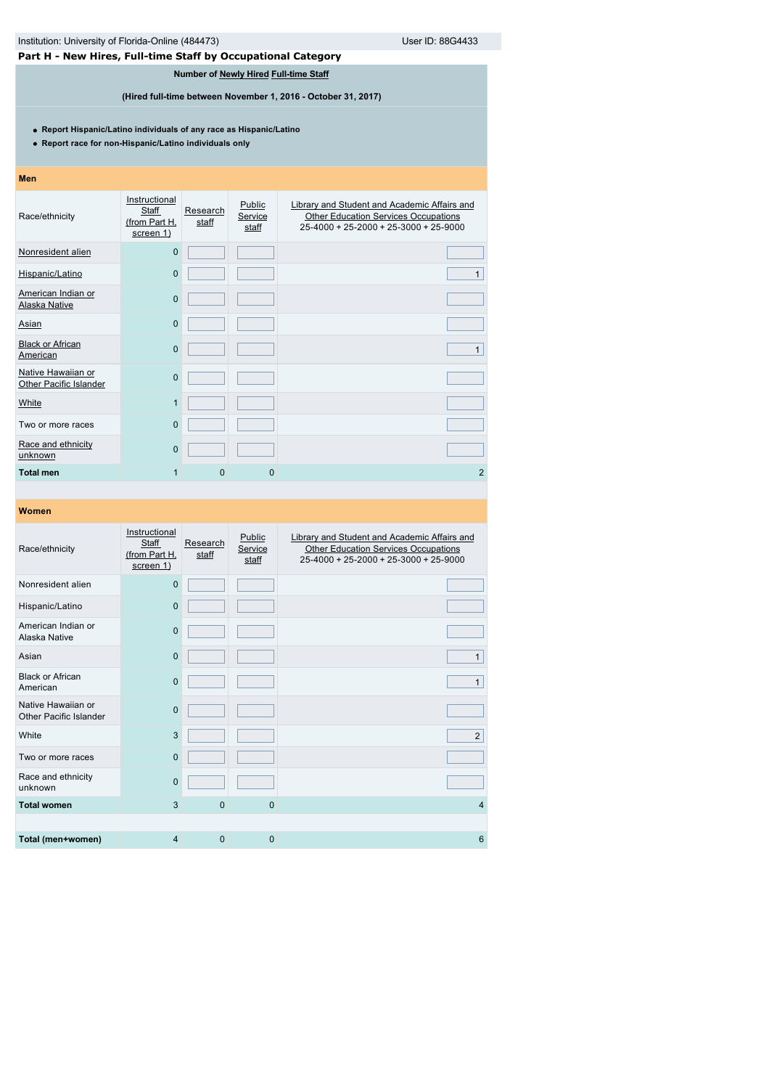| User ID: 88G4433<br>Institution: University of Florida-Online (484473)                                                        |                                                      |                   |                                       |                                                                                                                                      |  |  |  |  |
|-------------------------------------------------------------------------------------------------------------------------------|------------------------------------------------------|-------------------|---------------------------------------|--------------------------------------------------------------------------------------------------------------------------------------|--|--|--|--|
| Part H - New Hires, Full-time Staff by Occupational Category                                                                  |                                                      |                   |                                       |                                                                                                                                      |  |  |  |  |
|                                                                                                                               |                                                      |                   | Number of Newly Hired Full-time Staff |                                                                                                                                      |  |  |  |  |
| (Hired full-time between November 1, 2016 - October 31, 2017)                                                                 |                                                      |                   |                                       |                                                                                                                                      |  |  |  |  |
| • Report Hispanic/Latino individuals of any race as Hispanic/Latino<br>• Report race for non-Hispanic/Latino individuals only |                                                      |                   |                                       |                                                                                                                                      |  |  |  |  |
| <b>Men</b>                                                                                                                    |                                                      |                   |                                       |                                                                                                                                      |  |  |  |  |
| Race/ethnicity                                                                                                                | Instructional<br>Staff<br>(from Part H,<br>screen 1) | Research<br>staff | Public<br>Service<br>staff            | Library and Student and Academic Affairs and<br><b>Other Education Services Occupations</b><br>25-4000 + 25-2000 + 25-3000 + 25-9000 |  |  |  |  |
| Nonresident alien                                                                                                             | $\mathbf 0$                                          |                   |                                       |                                                                                                                                      |  |  |  |  |
| Hispanic/Latino                                                                                                               | $\overline{0}$                                       |                   |                                       | $\mathbf{1}$                                                                                                                         |  |  |  |  |
| American Indian or<br>Alaska Native                                                                                           | $\overline{0}$                                       |                   |                                       |                                                                                                                                      |  |  |  |  |
| Asian                                                                                                                         | $\overline{0}$                                       |                   |                                       |                                                                                                                                      |  |  |  |  |
| <b>Black or African</b><br>American                                                                                           | $\overline{0}$                                       |                   |                                       | $\mathbf{1}$                                                                                                                         |  |  |  |  |
| Native Hawaiian or<br>Other Pacific Islander                                                                                  | $\mathbf 0$                                          |                   |                                       |                                                                                                                                      |  |  |  |  |
| White                                                                                                                         | $\mathbf{1}$                                         |                   |                                       |                                                                                                                                      |  |  |  |  |
| Two or more races                                                                                                             | $\overline{0}$                                       |                   |                                       |                                                                                                                                      |  |  |  |  |
| Race and ethnicity<br>unknown                                                                                                 | $\overline{0}$                                       |                   |                                       |                                                                                                                                      |  |  |  |  |
| <b>Total men</b>                                                                                                              | $\mathbf{1}$                                         | $\overline{0}$    | $\Omega$                              | $\overline{2}$                                                                                                                       |  |  |  |  |
|                                                                                                                               |                                                      |                   |                                       |                                                                                                                                      |  |  |  |  |
| Women                                                                                                                         |                                                      |                   |                                       |                                                                                                                                      |  |  |  |  |
| Race/ethnicity                                                                                                                | Instructional<br>Staff<br>(from Part H,<br>screen 1) | Research<br>staff | Public<br>Service<br>staff            | Library and Student and Academic Affairs and<br><b>Other Education Services Occupations</b><br>25-4000 + 25-2000 + 25-3000 + 25-9000 |  |  |  |  |
| Nonresident alien                                                                                                             | $\overline{0}$                                       |                   |                                       |                                                                                                                                      |  |  |  |  |
| Hispanic/Latino                                                                                                               | $\overline{0}$                                       |                   |                                       |                                                                                                                                      |  |  |  |  |
| American Indian or<br>Alaska Native                                                                                           | $\overline{0}$                                       |                   |                                       |                                                                                                                                      |  |  |  |  |
| Asian                                                                                                                         | 0                                                    |                   |                                       | $\mathbf{1}$                                                                                                                         |  |  |  |  |

Black or African American<sup>0</sup> <sup>1</sup>

White 3 2

**Total women** 3 0 0 0 4 4

٦

1

**Total (men+women)** 4 0 0 6

Native Hawaiian or Other Pacific Islander<sup>0</sup>

Two or more races 0

Race and ethnicity<br>unknown 0

Race and ethnicity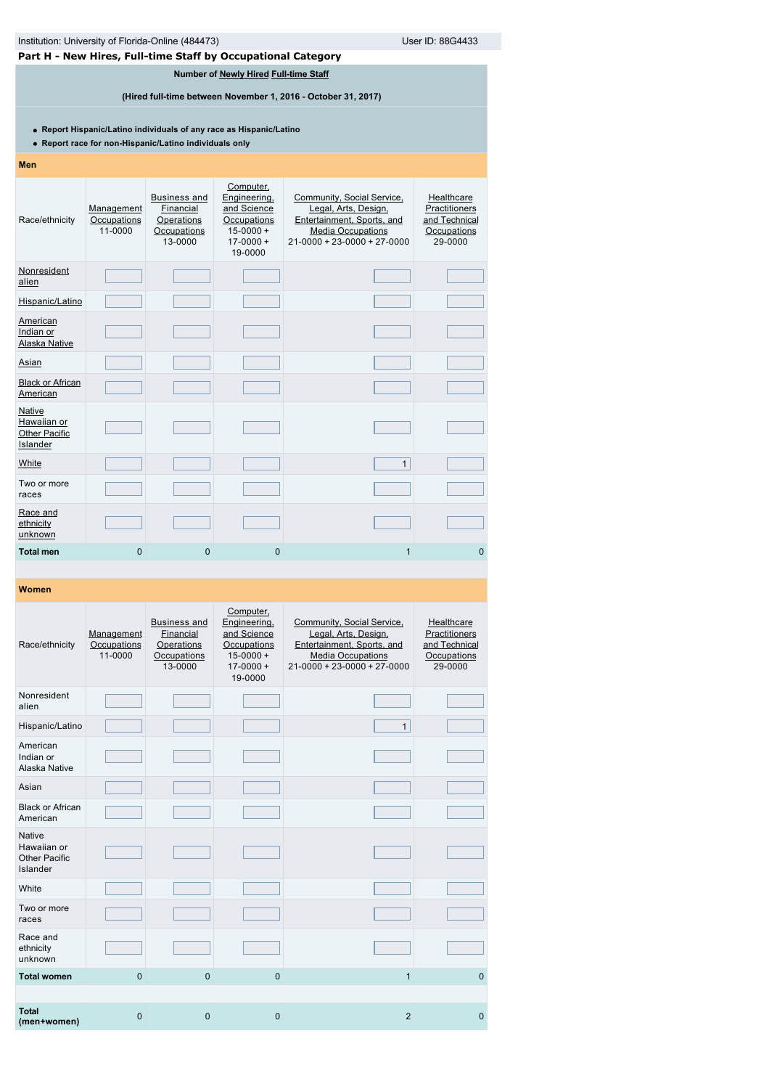| Institution: University of Florida-Online (484473)<br>User ID: 88G4433                                                        |                                                                                                        |                                                                          |                                                                                                      |                                                                                                                                                     |                                                                        |  |  |  |  |  |
|-------------------------------------------------------------------------------------------------------------------------------|--------------------------------------------------------------------------------------------------------|--------------------------------------------------------------------------|------------------------------------------------------------------------------------------------------|-----------------------------------------------------------------------------------------------------------------------------------------------------|------------------------------------------------------------------------|--|--|--|--|--|
|                                                                                                                               |                                                                                                        |                                                                          | Part H - New Hires, Full-time Staff by Occupational Category                                         |                                                                                                                                                     |                                                                        |  |  |  |  |  |
|                                                                                                                               | Number of Newly Hired Full-time Staff<br>(Hired full-time between November 1, 2016 - October 31, 2017) |                                                                          |                                                                                                      |                                                                                                                                                     |                                                                        |  |  |  |  |  |
| • Report Hispanic/Latino individuals of any race as Hispanic/Latino<br>• Report race for non-Hispanic/Latino individuals only |                                                                                                        |                                                                          |                                                                                                      |                                                                                                                                                     |                                                                        |  |  |  |  |  |
| <b>Men</b>                                                                                                                    |                                                                                                        |                                                                          |                                                                                                      |                                                                                                                                                     |                                                                        |  |  |  |  |  |
| Race/ethnicity                                                                                                                | Management<br>Occupations<br>11-0000                                                                   | <b>Business and</b><br>Financial<br>Operations<br>Occupations<br>13-0000 | Computer,<br>Engineering,<br>and Science<br>Occupations<br>$15 - 0000 +$<br>$17 - 0000 +$<br>19-0000 | Community, Social Service,<br>Legal, Arts, Design,<br>Entertainment, Sports, and<br><b>Media Occupations</b><br>$21 - 0000 + 23 - 0000 + 27 - 0000$ | Healthcare<br>Practitioners<br>and Technical<br>Occupations<br>29-0000 |  |  |  |  |  |
| Nonresident<br>alien                                                                                                          |                                                                                                        |                                                                          |                                                                                                      |                                                                                                                                                     |                                                                        |  |  |  |  |  |
| Hispanic/Latino                                                                                                               |                                                                                                        |                                                                          |                                                                                                      |                                                                                                                                                     |                                                                        |  |  |  |  |  |
| American<br>Indian or<br>Alaska Native                                                                                        |                                                                                                        |                                                                          |                                                                                                      |                                                                                                                                                     |                                                                        |  |  |  |  |  |
| <u>Asian</u>                                                                                                                  |                                                                                                        |                                                                          |                                                                                                      |                                                                                                                                                     |                                                                        |  |  |  |  |  |
| <b>Black or African</b><br>American                                                                                           |                                                                                                        |                                                                          |                                                                                                      |                                                                                                                                                     |                                                                        |  |  |  |  |  |
| Native<br>Hawaiian or<br><b>Other Pacific</b><br>Islander                                                                     |                                                                                                        |                                                                          |                                                                                                      |                                                                                                                                                     |                                                                        |  |  |  |  |  |
| White                                                                                                                         |                                                                                                        |                                                                          |                                                                                                      | $\mathbf{1}$                                                                                                                                        |                                                                        |  |  |  |  |  |
| Two or more<br>races                                                                                                          |                                                                                                        |                                                                          |                                                                                                      |                                                                                                                                                     |                                                                        |  |  |  |  |  |
| Race and<br>ethnicity<br>unknown                                                                                              |                                                                                                        |                                                                          |                                                                                                      |                                                                                                                                                     |                                                                        |  |  |  |  |  |
| <b>Total men</b>                                                                                                              | 0                                                                                                      | 0                                                                        | 0                                                                                                    | $\mathbf{1}$                                                                                                                                        | $\mathbf{0}$                                                           |  |  |  |  |  |

| Race/ethnicity                                                   | Management<br>Occupations<br>11-0000 | <b>Business and</b><br>Financial<br>Operations<br>Occupations<br>13-0000 | Computer,<br>Engineering,<br>and Science<br>Occupations<br>$15 - 0000 +$<br>$17 - 0000 +$<br>19-0000 | Community, Social Service,<br>Legal, Arts, Design,<br>Entertainment, Sports, and<br><b>Media Occupations</b><br>$21 - 0000 + 23 - 0000 + 27 - 0000$ | Healthcare<br>Practitioners<br>and Technical<br>Occupations<br>29-0000 |
|------------------------------------------------------------------|--------------------------------------|--------------------------------------------------------------------------|------------------------------------------------------------------------------------------------------|-----------------------------------------------------------------------------------------------------------------------------------------------------|------------------------------------------------------------------------|
| Nonresident<br>alien                                             |                                      |                                                                          |                                                                                                      |                                                                                                                                                     |                                                                        |
| Hispanic/Latino                                                  |                                      |                                                                          |                                                                                                      | $\mathbf{1}$                                                                                                                                        |                                                                        |
| American<br>Indian or<br>Alaska Native                           |                                      |                                                                          |                                                                                                      |                                                                                                                                                     |                                                                        |
| Asian                                                            |                                      |                                                                          |                                                                                                      |                                                                                                                                                     |                                                                        |
| <b>Black or African</b><br>American                              |                                      |                                                                          |                                                                                                      |                                                                                                                                                     |                                                                        |
| <b>Native</b><br>Hawaiian or<br><b>Other Pacific</b><br>Islander |                                      |                                                                          |                                                                                                      |                                                                                                                                                     |                                                                        |
| White                                                            |                                      |                                                                          |                                                                                                      |                                                                                                                                                     |                                                                        |
| Two or more<br>races                                             |                                      |                                                                          |                                                                                                      |                                                                                                                                                     |                                                                        |
| Race and<br>ethnicity<br>unknown                                 |                                      |                                                                          |                                                                                                      |                                                                                                                                                     |                                                                        |
| <b>Total women</b>                                               | $\Omega$                             | $\mathbf{0}$                                                             | $\Omega$                                                                                             | $\overline{1}$                                                                                                                                      | $\mathbf 0$                                                            |
|                                                                  |                                      |                                                                          |                                                                                                      |                                                                                                                                                     |                                                                        |
| <b>Total</b><br>(men+women)                                      | $\overline{0}$                       | $\mathbf{0}$                                                             | $\overline{0}$                                                                                       | $\overline{2}$                                                                                                                                      | $\mathbf{0}$                                                           |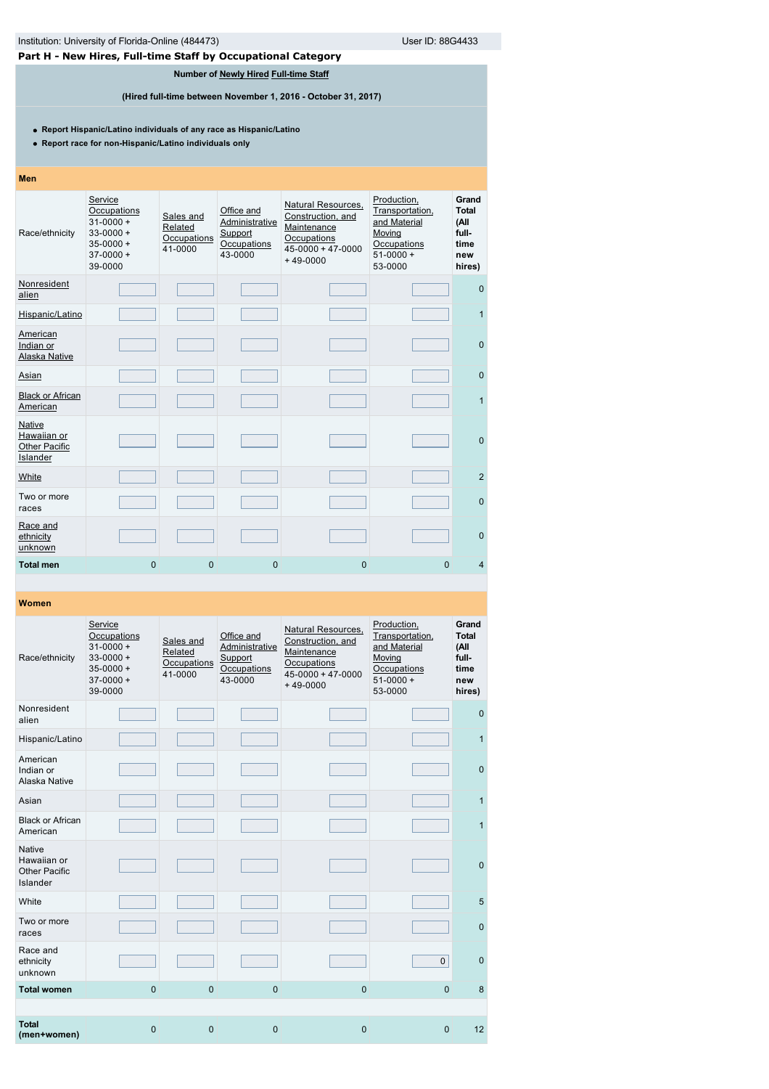# **Part H - New Hires, Full-time Staff by Occupational Category**

# **Number of [Newly Hired](javascript:openglossary(407)) [Full-time Staff](javascript:openglossary(257))**

**(Hired full-time between November 1, 2016 - October 31, 2017)**

**Report Hispanic/Latino individuals of any race as Hispanic/Latino**

**Report race for non-Hispanic/Latino individuals only**

# **Men**

| Race/ethnicity                                                   | Service<br>Occupations<br>$31 - 0000 +$<br>$33 - 0000 +$<br>$35 - 0000 +$<br>$37-0000+$<br>39-0000 | Sales and<br>Related<br>Occupations<br>41-0000 | Office and<br>Administrative<br>Support<br>Occupations<br>43-0000 | Natural Resources,<br>Construction, and<br>Maintenance<br>Occupations<br>$45 - 0000 + 47 - 0000$<br>$+49-0000$ | Production,<br>Transportation,<br>and Material<br>Moving<br>Occupations<br>$51-0000+$<br>53-0000 | Grand<br><b>Total</b><br>(All<br>full-<br>time<br>new<br>hires) |
|------------------------------------------------------------------|----------------------------------------------------------------------------------------------------|------------------------------------------------|-------------------------------------------------------------------|----------------------------------------------------------------------------------------------------------------|--------------------------------------------------------------------------------------------------|-----------------------------------------------------------------|
| Nonresident<br>alien                                             |                                                                                                    |                                                |                                                                   |                                                                                                                |                                                                                                  | $\mathbf{0}$                                                    |
| Hispanic/Latino                                                  |                                                                                                    |                                                |                                                                   |                                                                                                                |                                                                                                  | $\mathbf{1}$                                                    |
| American<br>Indian or<br><b>Alaska Native</b>                    |                                                                                                    |                                                |                                                                   |                                                                                                                |                                                                                                  | $\mathbf{0}$                                                    |
| Asian                                                            |                                                                                                    |                                                |                                                                   |                                                                                                                |                                                                                                  | $\mathbf 0$                                                     |
| <b>Black or African</b><br>American                              |                                                                                                    |                                                |                                                                   |                                                                                                                |                                                                                                  | 1                                                               |
| <b>Native</b><br>Hawaiian or<br><b>Other Pacific</b><br>Islander |                                                                                                    |                                                |                                                                   |                                                                                                                |                                                                                                  | $\mathbf{0}$                                                    |
| <b>White</b>                                                     |                                                                                                    |                                                |                                                                   |                                                                                                                |                                                                                                  | $\overline{2}$                                                  |
| Two or more<br>races                                             |                                                                                                    |                                                |                                                                   |                                                                                                                |                                                                                                  | $\mathbf{0}$                                                    |
| Race and<br>ethnicity<br>unknown                                 |                                                                                                    |                                                |                                                                   |                                                                                                                |                                                                                                  | $\Omega$                                                        |
| <b>Total men</b>                                                 | $\overline{0}$                                                                                     | $\mathbf 0$                                    | $\mathbf{0}$                                                      | 0                                                                                                              | $\mathbf{0}$                                                                                     | $\overline{4}$                                                  |

| Race/ethnicity                                            | Service<br>Occupations<br>$31 - 0000 +$<br>$33 - 0000 +$<br>$35 - 0000 +$<br>$37-0000+$<br>39-0000 | Sales and<br>Related<br>Occupations<br>41-0000 | Office and<br>Administrative<br>Support<br>Occupations<br>43-0000 | Natural Resources,<br>Construction, and<br>Maintenance<br>Occupations<br>$45 - 0000 + 47 - 0000$<br>$+49-0000$ | Production,<br>Transportation,<br>and Material<br>Moving<br>Occupations<br>$51-0000+$<br>53-0000 | Grand<br><b>Total</b><br>(All<br>full-<br>time<br>new<br>hires) |
|-----------------------------------------------------------|----------------------------------------------------------------------------------------------------|------------------------------------------------|-------------------------------------------------------------------|----------------------------------------------------------------------------------------------------------------|--------------------------------------------------------------------------------------------------|-----------------------------------------------------------------|
| Nonresident<br>alien                                      |                                                                                                    |                                                |                                                                   |                                                                                                                |                                                                                                  | $\mathbf{0}$                                                    |
| Hispanic/Latino                                           |                                                                                                    |                                                |                                                                   |                                                                                                                |                                                                                                  | $\mathbf{1}$                                                    |
| American<br>Indian or<br>Alaska Native                    |                                                                                                    |                                                |                                                                   |                                                                                                                |                                                                                                  | $\mathbf 0$                                                     |
| Asian                                                     |                                                                                                    |                                                |                                                                   |                                                                                                                |                                                                                                  | $\mathbf{1}$                                                    |
| <b>Black or African</b><br>American                       |                                                                                                    |                                                |                                                                   |                                                                                                                |                                                                                                  | $\mathbf{1}$                                                    |
| <b>Native</b><br>Hawaiian or<br>Other Pacific<br>Islander |                                                                                                    |                                                |                                                                   |                                                                                                                |                                                                                                  | $\mathbf{0}$                                                    |
| White                                                     |                                                                                                    |                                                |                                                                   |                                                                                                                |                                                                                                  | 5                                                               |
| Two or more<br>races                                      |                                                                                                    |                                                |                                                                   |                                                                                                                |                                                                                                  | $\pmb{0}$                                                       |
| Race and<br>ethnicity<br>unknown                          |                                                                                                    |                                                |                                                                   |                                                                                                                | $\mathbf{0}$                                                                                     | $\mathbf{0}$                                                    |
| <b>Total women</b>                                        | $\mathbf{0}$                                                                                       | $\mathbf 0$                                    | $\mathbf{0}$                                                      | $\mathbf 0$                                                                                                    | $\mathbf{0}$                                                                                     | 8                                                               |
|                                                           |                                                                                                    |                                                |                                                                   |                                                                                                                |                                                                                                  |                                                                 |
| <b>Total</b><br>(men+women)                               | $\mathbf{0}$                                                                                       | $\mathbf 0$                                    | $\mathbf{0}$                                                      | $\mathbf 0$                                                                                                    | $\mathbf{0}$                                                                                     | 12                                                              |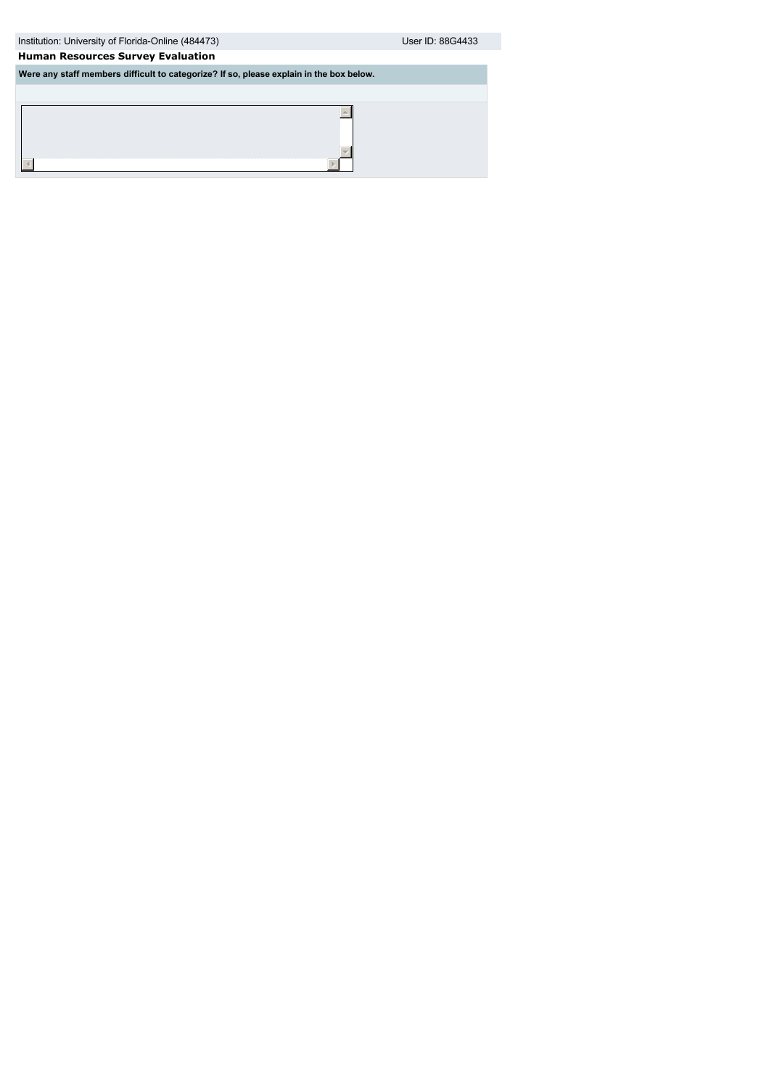| Institution: University of Florida-Online (484473) | User ID: 88G4433 |
|----------------------------------------------------|------------------|

 $\blacktriangle$ 

 $\mathbb{E}$ 

# **Human Resources Survey Evaluation**

 $\overline{4}$ 

**Were any staff members difficult to categorize? If so, please explain in the box below.**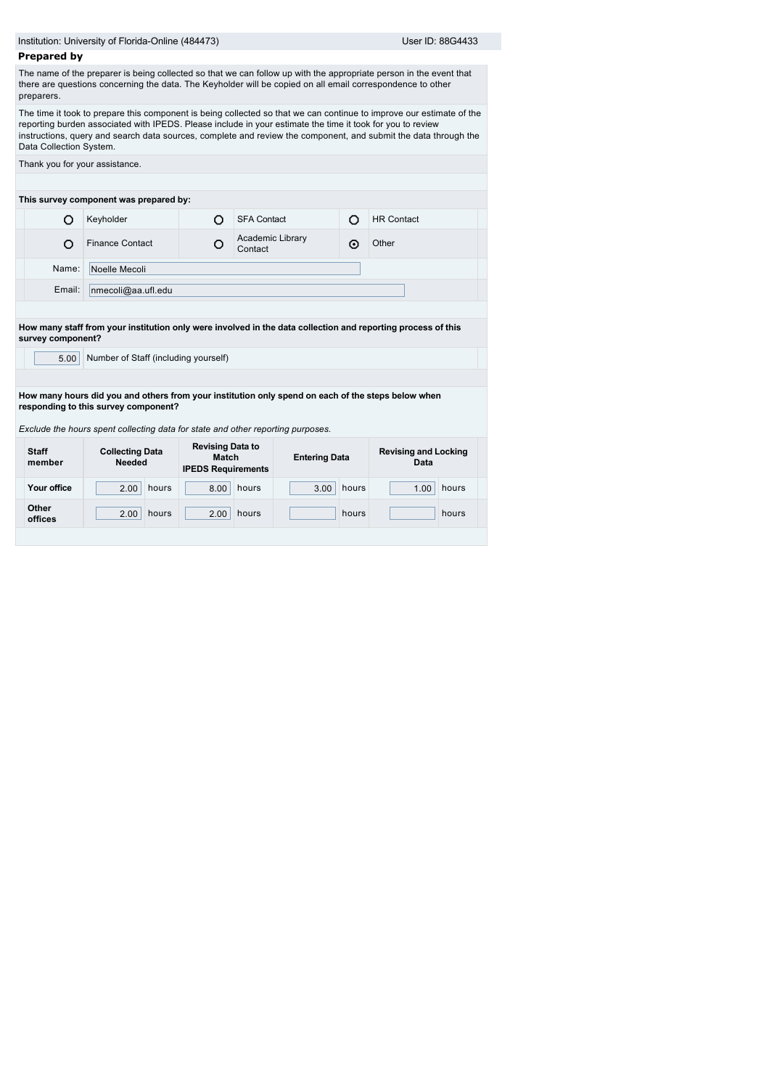|                         | Institution: University of Florida-Online (484473)                                                                      | User ID: 88G4433                                                     |                             |               |                                                                                                                                                                                                                                         |  |  |
|-------------------------|-------------------------------------------------------------------------------------------------------------------------|----------------------------------------------------------------------|-----------------------------|---------------|-----------------------------------------------------------------------------------------------------------------------------------------------------------------------------------------------------------------------------------------|--|--|
| <b>Prepared by</b>      |                                                                                                                         |                                                                      |                             |               |                                                                                                                                                                                                                                         |  |  |
| preparers.              | there are questions concerning the data. The Keyholder will be copied on all email correspondence to other              |                                                                      |                             |               | The name of the preparer is being collected so that we can follow up with the appropriate person in the event that                                                                                                                      |  |  |
| Data Collection System. | reporting burden associated with IPEDS. Please include in your estimate the time it took for you to review              |                                                                      |                             |               | The time it took to prepare this component is being collected so that we can continue to improve our estimate of the<br>instructions, query and search data sources, complete and review the component, and submit the data through the |  |  |
|                         | Thank you for your assistance.                                                                                          |                                                                      |                             |               |                                                                                                                                                                                                                                         |  |  |
|                         |                                                                                                                         |                                                                      |                             |               |                                                                                                                                                                                                                                         |  |  |
|                         | This survey component was prepared by:                                                                                  |                                                                      |                             |               |                                                                                                                                                                                                                                         |  |  |
| Ω                       | Keyholder                                                                                                               | O                                                                    | <b>SFA Contact</b>          | O             | <b>HR Contact</b>                                                                                                                                                                                                                       |  |  |
| O                       | <b>Finance Contact</b>                                                                                                  | О                                                                    | Academic Library<br>Contact | ⊙             | Other                                                                                                                                                                                                                                   |  |  |
| Name:                   | Noelle Mecoli                                                                                                           |                                                                      |                             |               |                                                                                                                                                                                                                                         |  |  |
| Email:                  | nmecoli@aa.util.edu                                                                                                     |                                                                      |                             |               |                                                                                                                                                                                                                                         |  |  |
|                         |                                                                                                                         |                                                                      |                             |               |                                                                                                                                                                                                                                         |  |  |
| survey component?       | How many staff from your institution only were involved in the data collection and reporting process of this            |                                                                      |                             |               |                                                                                                                                                                                                                                         |  |  |
| 5.00                    | Number of Staff (including yourself)                                                                                    |                                                                      |                             |               |                                                                                                                                                                                                                                         |  |  |
|                         |                                                                                                                         |                                                                      |                             |               |                                                                                                                                                                                                                                         |  |  |
|                         | How many hours did you and others from your institution only spend on each of the steps below when                      |                                                                      |                             |               |                                                                                                                                                                                                                                         |  |  |
|                         | responding to this survey component?<br>Exclude the hours spent collecting data for state and other reporting purposes. |                                                                      |                             |               |                                                                                                                                                                                                                                         |  |  |
| <b>Staff</b><br>member  | <b>Collecting Data</b><br><b>Needed</b>                                                                                 | <b>Revising Data to</b><br><b>Match</b><br><b>IPEDS Requirements</b> | <b>Entering Data</b>        |               | <b>Revising and Locking</b><br>Data                                                                                                                                                                                                     |  |  |
| Your office             | hours<br>2.00                                                                                                           | 8.00                                                                 | hours                       | hours<br>3.00 | hours<br>1.00                                                                                                                                                                                                                           |  |  |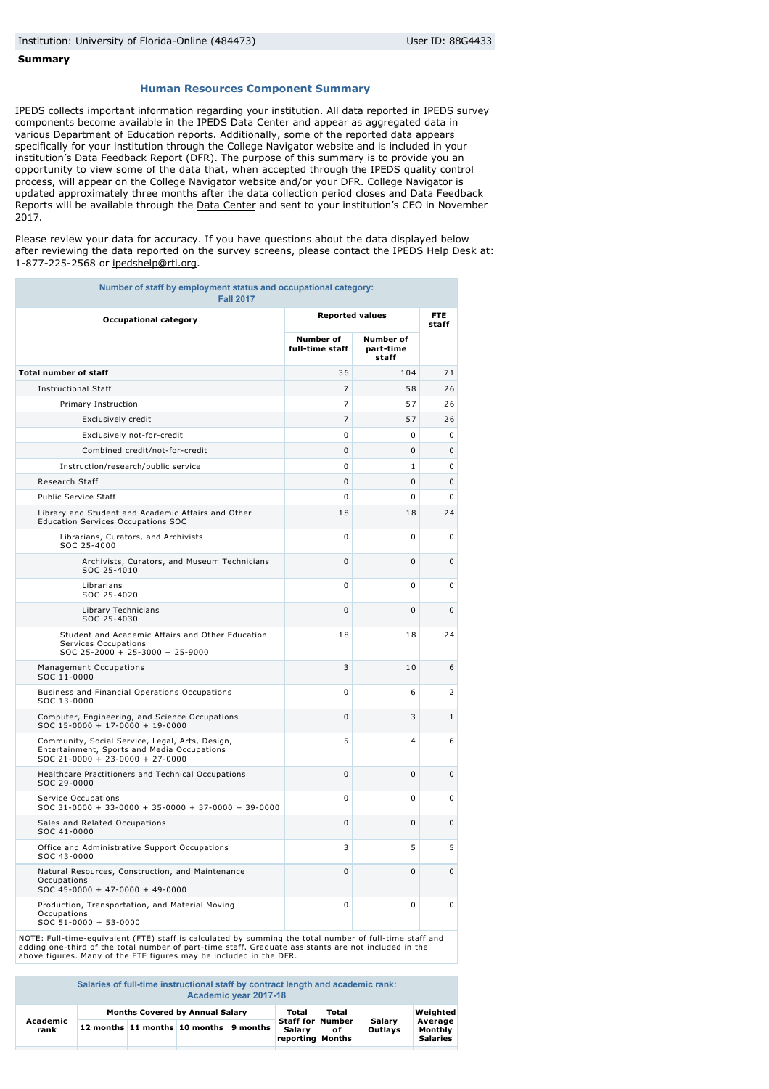### **Summary**

### **Human Resources Component Summary**

IPEDS collects important information regarding your institution. All data reported in IPEDS survey components become available in the IPEDS Data Center and appear as aggregated data in various Department of Education reports. Additionally, some of the reported data appears specifically for your institution through the College Navigator website and is included in your institution's Data Feedback Report (DFR). The purpose of this summary is to provide you an opportunity to view some of the data that, when accepted through the IPEDS quality control process, will appear on the College Navigator website and/or your DFR. College Navigator is updated approximately three months after the data collection period closes and Data Feedback Reports will be available through the [Data Center](http://nces.ed.gov/ipeds/datacenter/) and sent to your institution's CEO in November 2017.

Please review your data for accuracy. If you have questions about the data displayed below after reviewing the data reported on the survey screens, please contact the IPEDS Help Desk at: 1-877-225-2568 or [ipedshelp@rti.org](mailto:ipedshelp@rti.org).

| Number of staff by employment status and occupational category:<br><b>Fall 2017</b>                                               |                              |                                        |                |  |  |  |  |
|-----------------------------------------------------------------------------------------------------------------------------------|------------------------------|----------------------------------------|----------------|--|--|--|--|
| <b>Occupational category</b>                                                                                                      | <b>Reported values</b>       | <b>FTE</b><br>staff                    |                |  |  |  |  |
|                                                                                                                                   | Number of<br>full-time staff | <b>Number of</b><br>part-time<br>staff |                |  |  |  |  |
| <b>Total number of staff</b>                                                                                                      | 36                           | 104                                    | 71             |  |  |  |  |
| <b>Instructional Staff</b>                                                                                                        | $\overline{7}$               | 58                                     | 26             |  |  |  |  |
| Primary Instruction                                                                                                               | $\overline{7}$               | 57                                     | 26             |  |  |  |  |
| Exclusively credit                                                                                                                | $\overline{7}$               | 57                                     | 26             |  |  |  |  |
| Exclusively not-for-credit                                                                                                        | $\Omega$                     | 0                                      | $\mathbf{0}$   |  |  |  |  |
| Combined credit/not-for-credit                                                                                                    | 0                            | 0                                      | 0              |  |  |  |  |
| Instruction/research/public service                                                                                               | 0                            | $\mathbf{1}$                           | 0              |  |  |  |  |
| Research Staff                                                                                                                    | 0                            | 0                                      | $\mathbf 0$    |  |  |  |  |
| <b>Public Service Staff</b>                                                                                                       | $\Omega$                     | $\Omega$                               | 0              |  |  |  |  |
| Library and Student and Academic Affairs and Other<br><b>Education Services Occupations SOC</b>                                   | 18                           | 18                                     | 24             |  |  |  |  |
| Librarians, Curators, and Archivists<br>SOC 25-4000                                                                               | 0                            | 0                                      | 0              |  |  |  |  |
| Archivists, Curators, and Museum Technicians<br>SOC 25-4010                                                                       | 0                            | $\Omega$                               | 0              |  |  |  |  |
| Librarians<br>SOC 25-4020                                                                                                         | 0                            | 0                                      | 0              |  |  |  |  |
| Library Technicians<br>SOC 25-4030                                                                                                | $\Omega$                     | $\Omega$                               | 0              |  |  |  |  |
| Student and Academic Affairs and Other Education<br>Services Occupations<br>SOC 25-2000 + 25-3000 + 25-9000                       | 18                           | 18                                     | 24             |  |  |  |  |
| Management Occupations<br>SOC 11-0000                                                                                             | 3                            | 10                                     | 6              |  |  |  |  |
| Business and Financial Operations Occupations<br>SOC 13-0000                                                                      | 0                            | 6                                      | $\overline{2}$ |  |  |  |  |
| Computer, Engineering, and Science Occupations<br>$SOC 15-0000 + 17-0000 + 19-0000$                                               | 0                            | 3                                      | $\mathbf{1}$   |  |  |  |  |
| Community, Social Service, Legal, Arts, Design,<br>Entertainment, Sports and Media Occupations<br>SOC 21-0000 + 23-0000 + 27-0000 | 5                            | $\overline{\mathbf{4}}$                | 6              |  |  |  |  |
| Healthcare Practitioners and Technical Occupations<br>SOC 29-0000                                                                 | 0                            | 0                                      | 0              |  |  |  |  |
| Service Occupations<br>SOC 31-0000 + 33-0000 + 35-0000 + 37-0000 + 39-0000                                                        | 0                            | 0                                      | 0              |  |  |  |  |
| Sales and Related Occupations<br>SOC 41-0000                                                                                      | $\Omega$                     | $\Omega$                               | $\mathbf 0$    |  |  |  |  |
| Office and Administrative Support Occupations<br>SOC 43-0000                                                                      | 3                            | 5                                      | 5              |  |  |  |  |
| Natural Resources, Construction, and Maintenance<br>Occupations<br>SOC 45-0000 + 47-0000 + 49-0000                                | 0                            | $\mathbf 0$                            | 0              |  |  |  |  |
| Production, Transportation, and Material Moving<br>Occupations<br>SOC 51-0000 + 53-0000                                           | 0                            | 0                                      | 0              |  |  |  |  |

NOTE: Full-time-equivalent (FTE) staff is calculated by summing the total number of full-time staff and<br>adding one-third of the total number of part-time staff. Graduate assistants are not included in the<br>above figures. Ma

**Salaries of full-time instructional staff by contract length and academic rank: Academic year 2017-18**

| Academic<br>rank | <b>Months Covered by Annual Salary</b> |  |                                        |  | Total                                                 | Total |                   | Weighted                              |
|------------------|----------------------------------------|--|----------------------------------------|--|-------------------------------------------------------|-------|-------------------|---------------------------------------|
|                  |                                        |  | 12 months 11 months 10 months 9 months |  | <b>Staff for Number</b><br>Salary<br>reporting Months | оf    | Salarv<br>Outlavs | Average<br>Monthly<br><b>Salaries</b> |
|                  |                                        |  |                                        |  |                                                       |       |                   |                                       |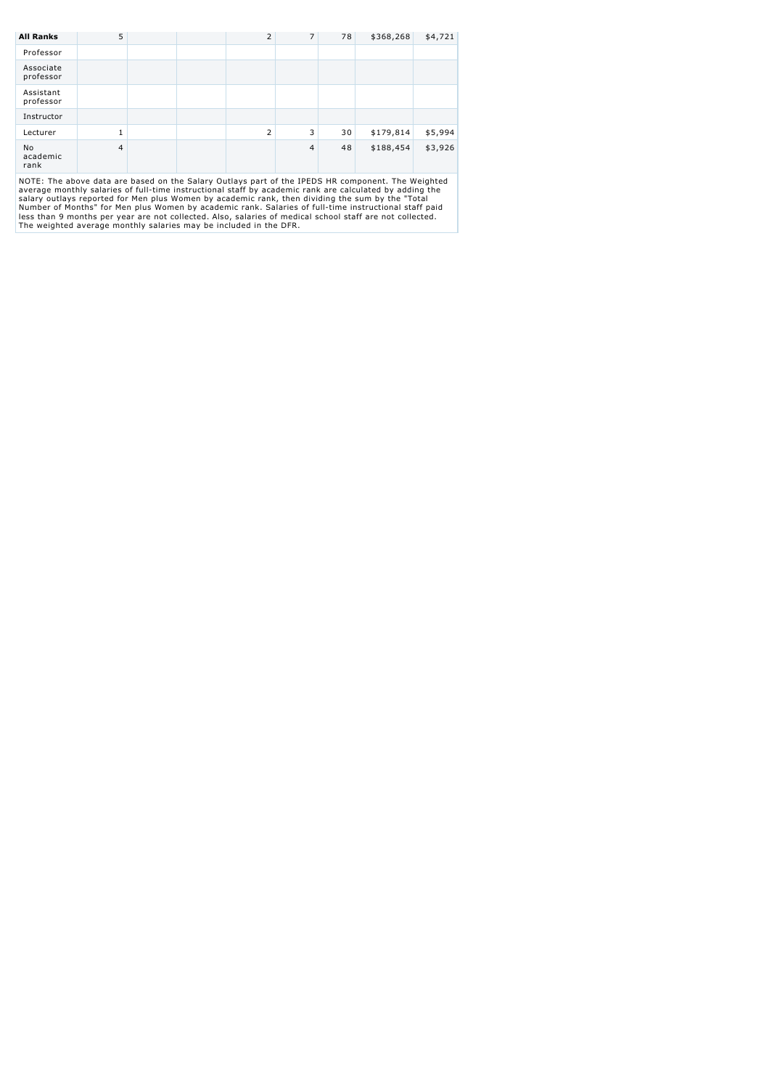| <b>All Ranks</b>       | 5              |  |  | $\overline{2}$ | $\overline{7}$ | 78 | \$368,268 | \$4,721 |
|------------------------|----------------|--|--|----------------|----------------|----|-----------|---------|
| Professor              |                |  |  |                |                |    |           |         |
| Associate<br>professor |                |  |  |                |                |    |           |         |
| Assistant<br>professor |                |  |  |                |                |    |           |         |
| Instructor             |                |  |  |                |                |    |           |         |
| Lecturer               |                |  |  | $\overline{2}$ | 3              | 30 | \$179,814 | \$5,994 |
| No<br>academic<br>rank | $\overline{4}$ |  |  |                | $\overline{4}$ | 48 | \$188,454 | \$3,926 |
| $\cdots$               |                |  |  |                |                |    |           |         |

NOTE: The above data are based on the Salary Outlays part of the IPEDS HR component. The Weighted<br>average monthly salaries of full-time instructional staff by academic rank are calculated by adding the<br>salary outlays repor